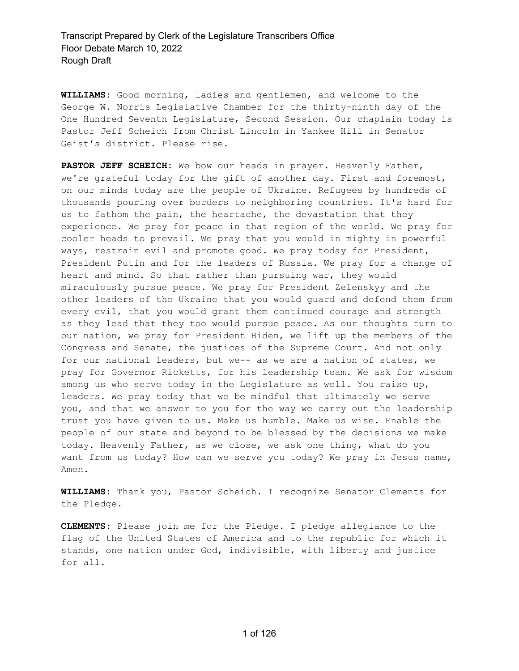**WILLIAMS:** Good morning, ladies and gentlemen, and welcome to the George W. Norris Legislative Chamber for the thirty-ninth day of the One Hundred Seventh Legislature, Second Session. Our chaplain today is Pastor Jeff Scheich from Christ Lincoln in Yankee Hill in Senator Geist's district. Please rise.

**PASTOR JEFF SCHEICH:** We bow our heads in prayer. Heavenly Father, we're grateful today for the gift of another day. First and foremost, on our minds today are the people of Ukraine. Refugees by hundreds of thousands pouring over borders to neighboring countries. It's hard for us to fathom the pain, the heartache, the devastation that they experience. We pray for peace in that region of the world. We pray for cooler heads to prevail. We pray that you would in mighty in powerful ways, restrain evil and promote good. We pray today for President, President Putin and for the leaders of Russia. We pray for a change of heart and mind. So that rather than pursuing war, they would miraculously pursue peace. We pray for President Zelenskyy and the other leaders of the Ukraine that you would guard and defend them from every evil, that you would grant them continued courage and strength as they lead that they too would pursue peace. As our thoughts turn to our nation, we pray for President Biden, we lift up the members of the Congress and Senate, the justices of the Supreme Court. And not only for our national leaders, but we-- as we are a nation of states, we pray for Governor Ricketts, for his leadership team. We ask for wisdom among us who serve today in the Legislature as well. You raise up, leaders. We pray today that we be mindful that ultimately we serve you, and that we answer to you for the way we carry out the leadership trust you have given to us. Make us humble. Make us wise. Enable the people of our state and beyond to be blessed by the decisions we make today. Heavenly Father, as we close, we ask one thing, what do you want from us today? How can we serve you today? We pray in Jesus name, Amen.

**WILLIAMS:** Thank you, Pastor Scheich. I recognize Senator Clements for the Pledge.

**CLEMENTS:** Please join me for the Pledge. I pledge allegiance to the flag of the United States of America and to the republic for which it stands, one nation under God, indivisible, with liberty and justice for all.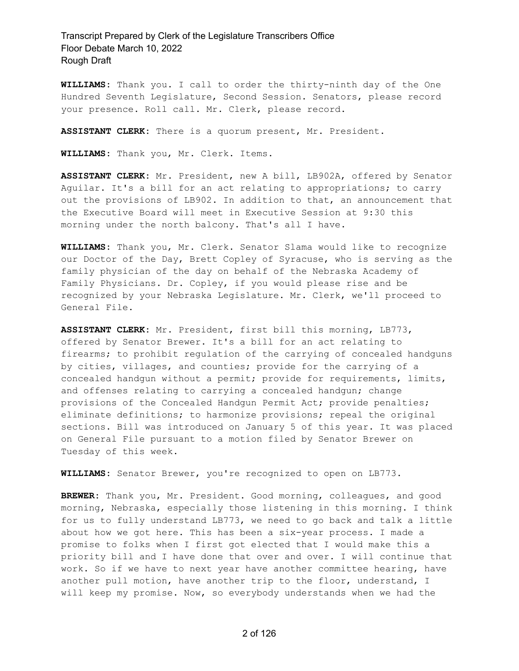**WILLIAMS:** Thank you. I call to order the thirty-ninth day of the One Hundred Seventh Legislature, Second Session. Senators, please record your presence. Roll call. Mr. Clerk, please record.

**ASSISTANT CLERK:** There is a quorum present, Mr. President.

**WILLIAMS:** Thank you, Mr. Clerk. Items.

**ASSISTANT CLERK:** Mr. President, new A bill, LB902A, offered by Senator Aguilar. It's a bill for an act relating to appropriations; to carry out the provisions of LB902. In addition to that, an announcement that the Executive Board will meet in Executive Session at 9:30 this morning under the north balcony. That's all I have.

**WILLIAMS:** Thank you, Mr. Clerk. Senator Slama would like to recognize our Doctor of the Day, Brett Copley of Syracuse, who is serving as the family physician of the day on behalf of the Nebraska Academy of Family Physicians. Dr. Copley, if you would please rise and be recognized by your Nebraska Legislature. Mr. Clerk, we'll proceed to General File.

**ASSISTANT CLERK:** Mr. President, first bill this morning, LB773, offered by Senator Brewer. It's a bill for an act relating to firearms; to prohibit regulation of the carrying of concealed handguns by cities, villages, and counties; provide for the carrying of a concealed handgun without a permit; provide for requirements, limits, and offenses relating to carrying a concealed handgun; change provisions of the Concealed Handgun Permit Act; provide penalties; eliminate definitions; to harmonize provisions; repeal the original sections. Bill was introduced on January 5 of this year. It was placed on General File pursuant to a motion filed by Senator Brewer on Tuesday of this week.

**WILLIAMS:** Senator Brewer, you're recognized to open on LB773.

**BREWER:** Thank you, Mr. President. Good morning, colleagues, and good morning, Nebraska, especially those listening in this morning. I think for us to fully understand LB773, we need to go back and talk a little about how we got here. This has been a six-year process. I made a promise to folks when I first got elected that I would make this a priority bill and I have done that over and over. I will continue that work. So if we have to next year have another committee hearing, have another pull motion, have another trip to the floor, understand, I will keep my promise. Now, so everybody understands when we had the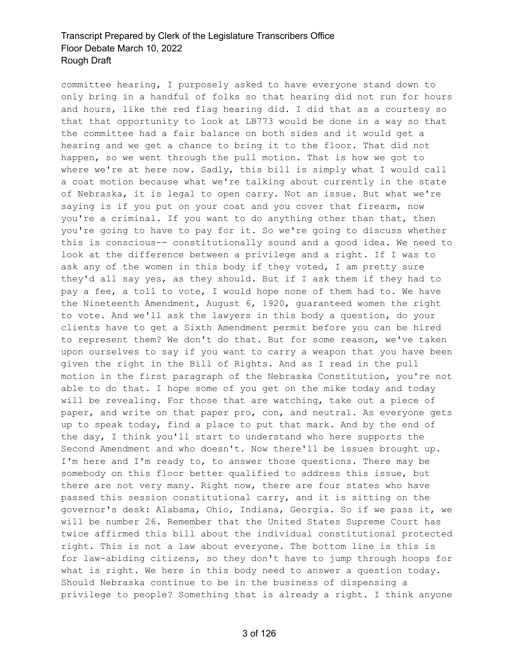committee hearing, I purposely asked to have everyone stand down to only bring in a handful of folks so that hearing did not run for hours and hours, like the red flag hearing did. I did that as a courtesy so that that opportunity to look at LB773 would be done in a way so that the committee had a fair balance on both sides and it would get a hearing and we get a chance to bring it to the floor. That did not happen, so we went through the pull motion. That is how we got to where we're at here now. Sadly, this bill is simply what I would call a coat motion because what we're talking about currently in the state of Nebraska, it is legal to open carry. Not an issue. But what we're saying is if you put on your coat and you cover that firearm, now you're a criminal. If you want to do anything other than that, then you're going to have to pay for it. So we're going to discuss whether this is conscious-- constitutionally sound and a good idea. We need to look at the difference between a privilege and a right. If I was to ask any of the women in this body if they voted, I am pretty sure they'd all say yes, as they should. But if I ask them if they had to pay a fee, a toll to vote, I would hope none of them had to. We have the Nineteenth Amendment, August 6, 1920, guaranteed women the right to vote. And we'll ask the lawyers in this body a question, do your clients have to get a Sixth Amendment permit before you can be hired to represent them? We don't do that. But for some reason, we've taken upon ourselves to say if you want to carry a weapon that you have been given the right in the Bill of Rights. And as I read in the pull motion in the first paragraph of the Nebraska Constitution, you're not able to do that. I hope some of you get on the mike today and today will be revealing. For those that are watching, take out a piece of paper, and write on that paper pro, con, and neutral. As everyone gets up to speak today, find a place to put that mark. And by the end of the day, I think you'll start to understand who here supports the Second Amendment and who doesn't. Now there'll be issues brought up. I'm here and I'm ready to, to answer those questions. There may be somebody on this floor better qualified to address this issue, but there are not very many. Right now, there are four states who have passed this session constitutional carry, and it is sitting on the governor's desk: Alabama, Ohio, Indiana, Georgia. So if we pass it, we will be number 26. Remember that the United States Supreme Court has twice affirmed this bill about the individual constitutional protected right. This is not a law about everyone. The bottom line is this is for law-abiding citizens, so they don't have to jump through hoops for what is right. We here in this body need to answer a question today. Should Nebraska continue to be in the business of dispensing a privilege to people? Something that is already a right. I think anyone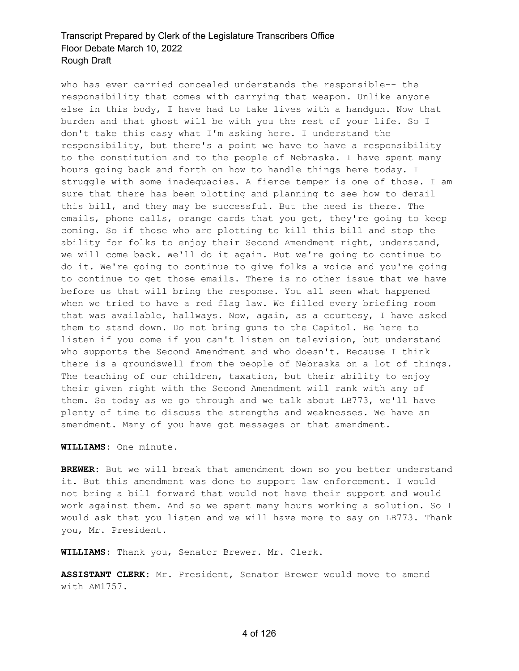who has ever carried concealed understands the responsible-- the responsibility that comes with carrying that weapon. Unlike anyone else in this body, I have had to take lives with a handgun. Now that burden and that ghost will be with you the rest of your life. So I don't take this easy what I'm asking here. I understand the responsibility, but there's a point we have to have a responsibility to the constitution and to the people of Nebraska. I have spent many hours going back and forth on how to handle things here today. I struggle with some inadequacies. A fierce temper is one of those. I am sure that there has been plotting and planning to see how to derail this bill, and they may be successful. But the need is there. The emails, phone calls, orange cards that you get, they're going to keep coming. So if those who are plotting to kill this bill and stop the ability for folks to enjoy their Second Amendment right, understand, we will come back. We'll do it again. But we're going to continue to do it. We're going to continue to give folks a voice and you're going to continue to get those emails. There is no other issue that we have before us that will bring the response. You all seen what happened when we tried to have a red flag law. We filled every briefing room that was available, hallways. Now, again, as a courtesy, I have asked them to stand down. Do not bring guns to the Capitol. Be here to listen if you come if you can't listen on television, but understand who supports the Second Amendment and who doesn't. Because I think there is a groundswell from the people of Nebraska on a lot of things. The teaching of our children, taxation, but their ability to enjoy their given right with the Second Amendment will rank with any of them. So today as we go through and we talk about LB773, we'll have plenty of time to discuss the strengths and weaknesses. We have an amendment. Many of you have got messages on that amendment.

**WILLIAMS:** One minute.

**BREWER:** But we will break that amendment down so you better understand it. But this amendment was done to support law enforcement. I would not bring a bill forward that would not have their support and would work against them. And so we spent many hours working a solution. So I would ask that you listen and we will have more to say on LB773. Thank you, Mr. President.

**WILLIAMS:** Thank you, Senator Brewer. Mr. Clerk.

**ASSISTANT CLERK:** Mr. President, Senator Brewer would move to amend with AM1757.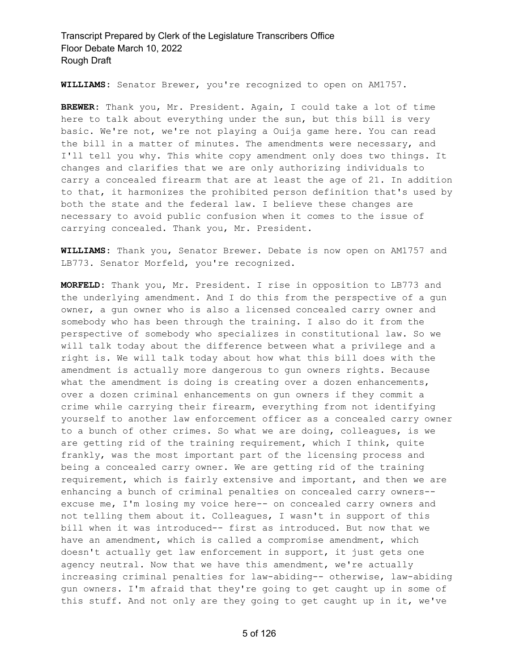**WILLIAMS:** Senator Brewer, you're recognized to open on AM1757.

**BREWER:** Thank you, Mr. President. Again, I could take a lot of time here to talk about everything under the sun, but this bill is very basic. We're not, we're not playing a Ouija game here. You can read the bill in a matter of minutes. The amendments were necessary, and I'll tell you why. This white copy amendment only does two things. It changes and clarifies that we are only authorizing individuals to carry a concealed firearm that are at least the age of 21. In addition to that, it harmonizes the prohibited person definition that's used by both the state and the federal law. I believe these changes are necessary to avoid public confusion when it comes to the issue of carrying concealed. Thank you, Mr. President.

**WILLIAMS:** Thank you, Senator Brewer. Debate is now open on AM1757 and LB773. Senator Morfeld, you're recognized.

**MORFELD:** Thank you, Mr. President. I rise in opposition to LB773 and the underlying amendment. And I do this from the perspective of a gun owner, a gun owner who is also a licensed concealed carry owner and somebody who has been through the training. I also do it from the perspective of somebody who specializes in constitutional law. So we will talk today about the difference between what a privilege and a right is. We will talk today about how what this bill does with the amendment is actually more dangerous to gun owners rights. Because what the amendment is doing is creating over a dozen enhancements, over a dozen criminal enhancements on gun owners if they commit a crime while carrying their firearm, everything from not identifying yourself to another law enforcement officer as a concealed carry owner to a bunch of other crimes. So what we are doing, colleagues, is we are getting rid of the training requirement, which I think, quite frankly, was the most important part of the licensing process and being a concealed carry owner. We are getting rid of the training requirement, which is fairly extensive and important, and then we are enhancing a bunch of criminal penalties on concealed carry owners- excuse me, I'm losing my voice here-- on concealed carry owners and not telling them about it. Colleagues, I wasn't in support of this bill when it was introduced-- first as introduced. But now that we have an amendment, which is called a compromise amendment, which doesn't actually get law enforcement in support, it just gets one agency neutral. Now that we have this amendment, we're actually increasing criminal penalties for law-abiding-- otherwise, law-abiding gun owners. I'm afraid that they're going to get caught up in some of this stuff. And not only are they going to get caught up in it, we've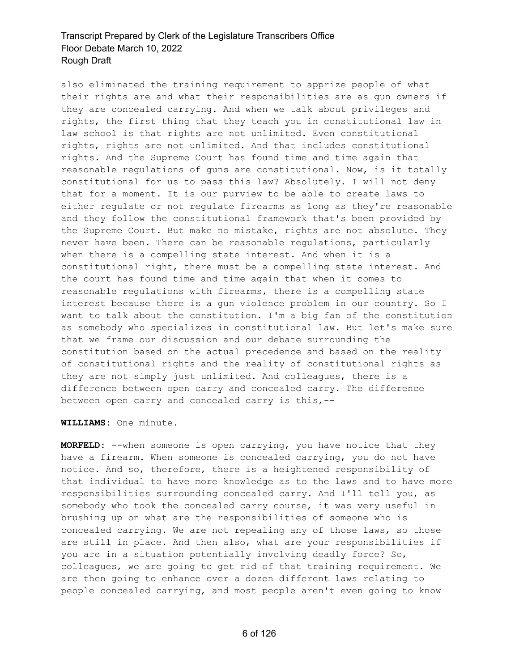also eliminated the training requirement to apprize people of what their rights are and what their responsibilities are as gun owners if they are concealed carrying. And when we talk about privileges and rights, the first thing that they teach you in constitutional law in law school is that rights are not unlimited. Even constitutional rights, rights are not unlimited. And that includes constitutional rights. And the Supreme Court has found time and time again that reasonable regulations of guns are constitutional. Now, is it totally constitutional for us to pass this law? Absolutely. I will not deny that for a moment. It is our purview to be able to create laws to either regulate or not regulate firearms as long as they're reasonable and they follow the constitutional framework that's been provided by the Supreme Court. But make no mistake, rights are not absolute. They never have been. There can be reasonable regulations, particularly when there is a compelling state interest. And when it is a constitutional right, there must be a compelling state interest. And the court has found time and time again that when it comes to reasonable regulations with firearms, there is a compelling state interest because there is a gun violence problem in our country. So I want to talk about the constitution. I'm a big fan of the constitution as somebody who specializes in constitutional law. But let's make sure that we frame our discussion and our debate surrounding the constitution based on the actual precedence and based on the reality of constitutional rights and the reality of constitutional rights as they are not simply just unlimited. And colleagues, there is a difference between open carry and concealed carry. The difference between open carry and concealed carry is this,--

**WILLIAMS:** One minute.

**MORFELD:** --when someone is open carrying, you have notice that they have a firearm. When someone is concealed carrying, you do not have notice. And so, therefore, there is a heightened responsibility of that individual to have more knowledge as to the laws and to have more responsibilities surrounding concealed carry. And I'll tell you, as somebody who took the concealed carry course, it was very useful in brushing up on what are the responsibilities of someone who is concealed carrying. We are not repealing any of those laws, so those are still in place. And then also, what are your responsibilities if you are in a situation potentially involving deadly force? So, colleagues, we are going to get rid of that training requirement. We are then going to enhance over a dozen different laws relating to people concealed carrying, and most people aren't even going to know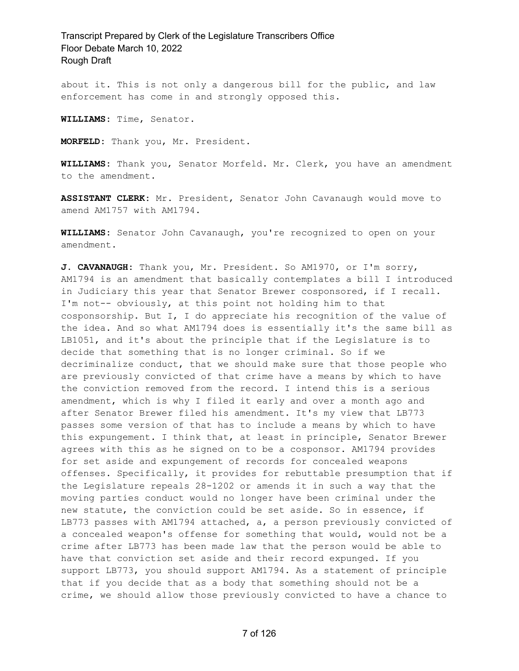about it. This is not only a dangerous bill for the public, and law enforcement has come in and strongly opposed this.

**WILLIAMS:** Time, Senator.

**MORFELD:** Thank you, Mr. President.

**WILLIAMS:** Thank you, Senator Morfeld. Mr. Clerk, you have an amendment to the amendment.

**ASSISTANT CLERK:** Mr. President, Senator John Cavanaugh would move to amend AM1757 with AM1794.

**WILLIAMS:** Senator John Cavanaugh, you're recognized to open on your amendment.

**J. CAVANAUGH:** Thank you, Mr. President. So AM1970, or I'm sorry, AM1794 is an amendment that basically contemplates a bill I introduced in Judiciary this year that Senator Brewer cosponsored, if I recall. I'm not-- obviously, at this point not holding him to that cosponsorship. But I, I do appreciate his recognition of the value of the idea. And so what AM1794 does is essentially it's the same bill as LB1051, and it's about the principle that if the Legislature is to decide that something that is no longer criminal. So if we decriminalize conduct, that we should make sure that those people who are previously convicted of that crime have a means by which to have the conviction removed from the record. I intend this is a serious amendment, which is why I filed it early and over a month ago and after Senator Brewer filed his amendment. It's my view that LB773 passes some version of that has to include a means by which to have this expungement. I think that, at least in principle, Senator Brewer agrees with this as he signed on to be a cosponsor. AM1794 provides for set aside and expungement of records for concealed weapons offenses. Specifically, it provides for rebuttable presumption that if the Legislature repeals 28-1202 or amends it in such a way that the moving parties conduct would no longer have been criminal under the new statute, the conviction could be set aside. So in essence, if LB773 passes with AM1794 attached, a, a person previously convicted of a concealed weapon's offense for something that would, would not be a crime after LB773 has been made law that the person would be able to have that conviction set aside and their record expunged. If you support LB773, you should support AM1794. As a statement of principle that if you decide that as a body that something should not be a crime, we should allow those previously convicted to have a chance to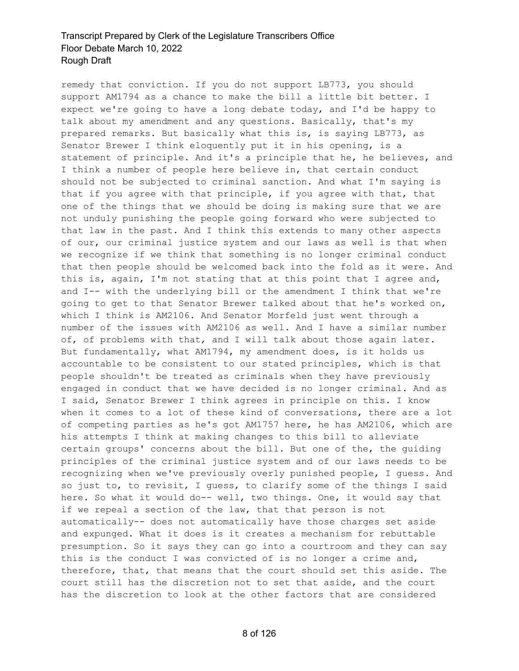remedy that conviction. If you do not support LB773, you should support AM1794 as a chance to make the bill a little bit better. I expect we're going to have a long debate today, and I'd be happy to talk about my amendment and any questions. Basically, that's my prepared remarks. But basically what this is, is saying LB773, as Senator Brewer I think eloquently put it in his opening, is a statement of principle. And it's a principle that he, he believes, and I think a number of people here believe in, that certain conduct should not be subjected to criminal sanction. And what I'm saying is that if you agree with that principle, if you agree with that, that one of the things that we should be doing is making sure that we are not unduly punishing the people going forward who were subjected to that law in the past. And I think this extends to many other aspects of our, our criminal justice system and our laws as well is that when we recognize if we think that something is no longer criminal conduct that then people should be welcomed back into the fold as it were. And this is, again, I'm not stating that at this point that I agree and, and I-- with the underlying bill or the amendment I think that we're going to get to that Senator Brewer talked about that he's worked on, which I think is AM2106. And Senator Morfeld just went through a number of the issues with AM2106 as well. And I have a similar number of, of problems with that, and I will talk about those again later. But fundamentally, what AM1794, my amendment does, is it holds us accountable to be consistent to our stated principles, which is that people shouldn't be treated as criminals when they have previously engaged in conduct that we have decided is no longer criminal. And as I said, Senator Brewer I think agrees in principle on this. I know when it comes to a lot of these kind of conversations, there are a lot of competing parties as he's got AM1757 here, he has AM2106, which are his attempts I think at making changes to this bill to alleviate certain groups' concerns about the bill. But one of the, the guiding principles of the criminal justice system and of our laws needs to be recognizing when we've previously overly punished people, I guess. And so just to, to revisit, I guess, to clarify some of the things I said here. So what it would do-- well, two things. One, it would say that if we repeal a section of the law, that that person is not automatically-- does not automatically have those charges set aside and expunged. What it does is it creates a mechanism for rebuttable presumption. So it says they can go into a courtroom and they can say this is the conduct I was convicted of is no longer a crime and, therefore, that, that means that the court should set this aside. The court still has the discretion not to set that aside, and the court has the discretion to look at the other factors that are considered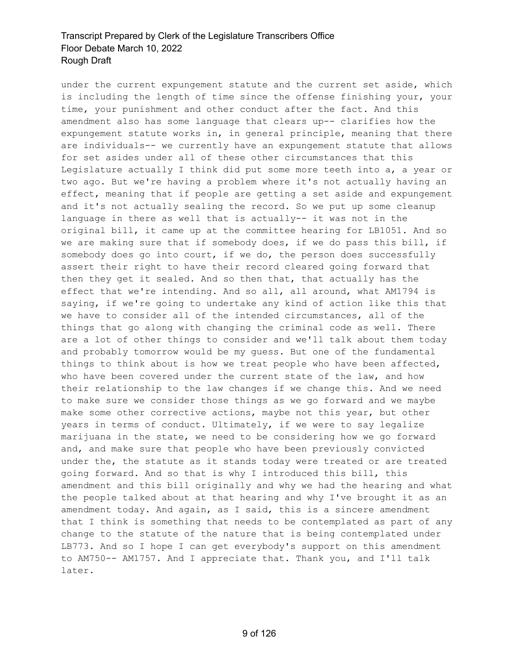under the current expungement statute and the current set aside, which is including the length of time since the offense finishing your, your time, your punishment and other conduct after the fact. And this amendment also has some language that clears up-- clarifies how the expungement statute works in, in general principle, meaning that there are individuals-- we currently have an expungement statute that allows for set asides under all of these other circumstances that this Legislature actually I think did put some more teeth into a, a year or two ago. But we're having a problem where it's not actually having an effect, meaning that if people are getting a set aside and expungement and it's not actually sealing the record. So we put up some cleanup language in there as well that is actually-- it was not in the original bill, it came up at the committee hearing for LB1051. And so we are making sure that if somebody does, if we do pass this bill, if somebody does go into court, if we do, the person does successfully assert their right to have their record cleared going forward that then they get it sealed. And so then that, that actually has the effect that we're intending. And so all, all around, what AM1794 is saying, if we're going to undertake any kind of action like this that we have to consider all of the intended circumstances, all of the things that go along with changing the criminal code as well. There are a lot of other things to consider and we'll talk about them today and probably tomorrow would be my guess. But one of the fundamental things to think about is how we treat people who have been affected, who have been covered under the current state of the law, and how their relationship to the law changes if we change this. And we need to make sure we consider those things as we go forward and we maybe make some other corrective actions, maybe not this year, but other years in terms of conduct. Ultimately, if we were to say legalize marijuana in the state, we need to be considering how we go forward and, and make sure that people who have been previously convicted under the, the statute as it stands today were treated or are treated going forward. And so that is why I introduced this bill, this amendment and this bill originally and why we had the hearing and what the people talked about at that hearing and why I've brought it as an amendment today. And again, as I said, this is a sincere amendment that I think is something that needs to be contemplated as part of any change to the statute of the nature that is being contemplated under LB773. And so I hope I can get everybody's support on this amendment to AM750-- AM1757. And I appreciate that. Thank you, and I'll talk later.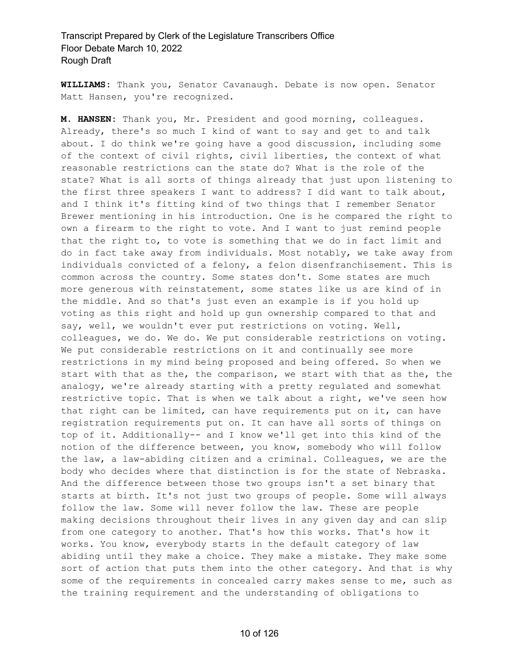**WILLIAMS:** Thank you, Senator Cavanaugh. Debate is now open. Senator Matt Hansen, you're recognized.

**M. HANSEN:** Thank you, Mr. President and good morning, colleagues. Already, there's so much I kind of want to say and get to and talk about. I do think we're going have a good discussion, including some of the context of civil rights, civil liberties, the context of what reasonable restrictions can the state do? What is the role of the state? What is all sorts of things already that just upon listening to the first three speakers I want to address? I did want to talk about, and I think it's fitting kind of two things that I remember Senator Brewer mentioning in his introduction. One is he compared the right to own a firearm to the right to vote. And I want to just remind people that the right to, to vote is something that we do in fact limit and do in fact take away from individuals. Most notably, we take away from individuals convicted of a felony, a felon disenfranchisement. This is common across the country. Some states don't. Some states are much more generous with reinstatement, some states like us are kind of in the middle. And so that's just even an example is if you hold up voting as this right and hold up gun ownership compared to that and say, well, we wouldn't ever put restrictions on voting. Well, colleagues, we do. We do. We put considerable restrictions on voting. We put considerable restrictions on it and continually see more restrictions in my mind being proposed and being offered. So when we start with that as the, the comparison, we start with that as the, the analogy, we're already starting with a pretty regulated and somewhat restrictive topic. That is when we talk about a right, we've seen how that right can be limited, can have requirements put on it, can have registration requirements put on. It can have all sorts of things on top of it. Additionally-- and I know we'll get into this kind of the notion of the difference between, you know, somebody who will follow the law, a law-abiding citizen and a criminal. Colleagues, we are the body who decides where that distinction is for the state of Nebraska. And the difference between those two groups isn't a set binary that starts at birth. It's not just two groups of people. Some will always follow the law. Some will never follow the law. These are people making decisions throughout their lives in any given day and can slip from one category to another. That's how this works. That's how it works. You know, everybody starts in the default category of law abiding until they make a choice. They make a mistake. They make some sort of action that puts them into the other category. And that is why some of the requirements in concealed carry makes sense to me, such as the training requirement and the understanding of obligations to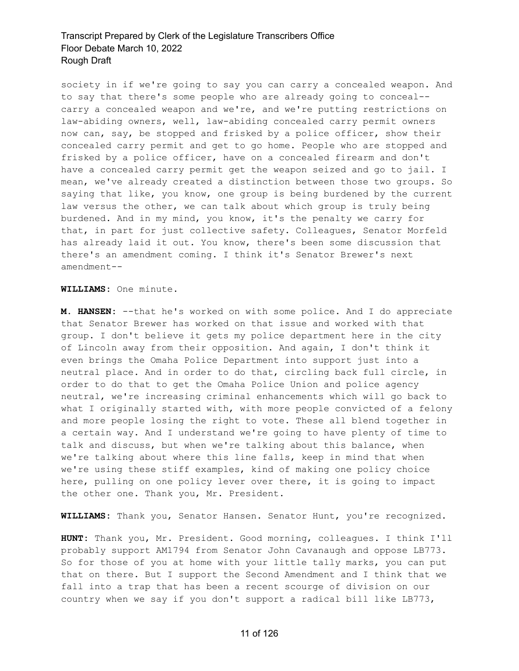society in if we're going to say you can carry a concealed weapon. And to say that there's some people who are already going to conceal- carry a concealed weapon and we're, and we're putting restrictions on law-abiding owners, well, law-abiding concealed carry permit owners now can, say, be stopped and frisked by a police officer, show their concealed carry permit and get to go home. People who are stopped and frisked by a police officer, have on a concealed firearm and don't have a concealed carry permit get the weapon seized and go to jail. I mean, we've already created a distinction between those two groups. So saying that like, you know, one group is being burdened by the current law versus the other, we can talk about which group is truly being burdened. And in my mind, you know, it's the penalty we carry for that, in part for just collective safety. Colleagues, Senator Morfeld has already laid it out. You know, there's been some discussion that there's an amendment coming. I think it's Senator Brewer's next amendment--

**WILLIAMS:** One minute.

**M. HANSEN:** --that he's worked on with some police. And I do appreciate that Senator Brewer has worked on that issue and worked with that group. I don't believe it gets my police department here in the city of Lincoln away from their opposition. And again, I don't think it even brings the Omaha Police Department into support just into a neutral place. And in order to do that, circling back full circle, in order to do that to get the Omaha Police Union and police agency neutral, we're increasing criminal enhancements which will go back to what I originally started with, with more people convicted of a felony and more people losing the right to vote. These all blend together in a certain way. And I understand we're going to have plenty of time to talk and discuss, but when we're talking about this balance, when we're talking about where this line falls, keep in mind that when we're using these stiff examples, kind of making one policy choice here, pulling on one policy lever over there, it is going to impact the other one. Thank you, Mr. President.

**WILLIAMS:** Thank you, Senator Hansen. Senator Hunt, you're recognized.

**HUNT:** Thank you, Mr. President. Good morning, colleagues. I think I'll probably support AM1794 from Senator John Cavanaugh and oppose LB773. So for those of you at home with your little tally marks, you can put that on there. But I support the Second Amendment and I think that we fall into a trap that has been a recent scourge of division on our country when we say if you don't support a radical bill like LB773,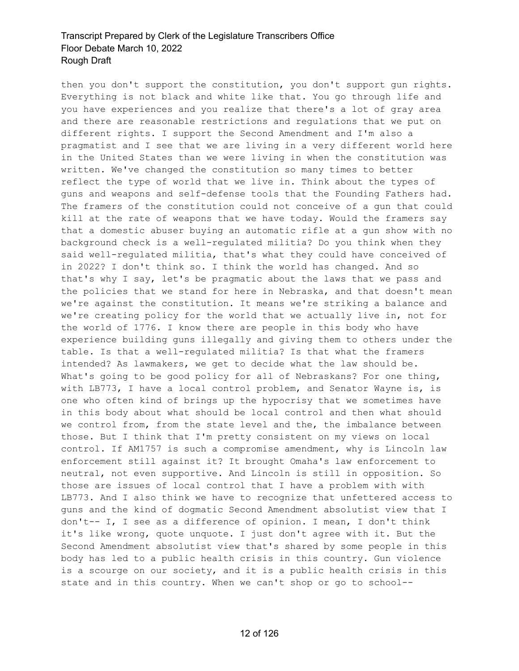then you don't support the constitution, you don't support gun rights. Everything is not black and white like that. You go through life and you have experiences and you realize that there's a lot of gray area and there are reasonable restrictions and regulations that we put on different rights. I support the Second Amendment and I'm also a pragmatist and I see that we are living in a very different world here in the United States than we were living in when the constitution was written. We've changed the constitution so many times to better reflect the type of world that we live in. Think about the types of guns and weapons and self-defense tools that the Founding Fathers had. The framers of the constitution could not conceive of a gun that could kill at the rate of weapons that we have today. Would the framers say that a domestic abuser buying an automatic rifle at a gun show with no background check is a well-regulated militia? Do you think when they said well-regulated militia, that's what they could have conceived of in 2022? I don't think so. I think the world has changed. And so that's why I say, let's be pragmatic about the laws that we pass and the policies that we stand for here in Nebraska, and that doesn't mean we're against the constitution. It means we're striking a balance and we're creating policy for the world that we actually live in, not for the world of 1776. I know there are people in this body who have experience building guns illegally and giving them to others under the table. Is that a well-regulated militia? Is that what the framers intended? As lawmakers, we get to decide what the law should be. What's going to be good policy for all of Nebraskans? For one thing, with LB773, I have a local control problem, and Senator Wayne is, is one who often kind of brings up the hypocrisy that we sometimes have in this body about what should be local control and then what should we control from, from the state level and the, the imbalance between those. But I think that I'm pretty consistent on my views on local control. If AM1757 is such a compromise amendment, why is Lincoln law enforcement still against it? It brought Omaha's law enforcement to neutral, not even supportive. And Lincoln is still in opposition. So those are issues of local control that I have a problem with with LB773. And I also think we have to recognize that unfettered access to guns and the kind of dogmatic Second Amendment absolutist view that I don't-- I, I see as a difference of opinion. I mean, I don't think it's like wrong, quote unquote. I just don't agree with it. But the Second Amendment absolutist view that's shared by some people in this body has led to a public health crisis in this country. Gun violence is a scourge on our society, and it is a public health crisis in this state and in this country. When we can't shop or go to school--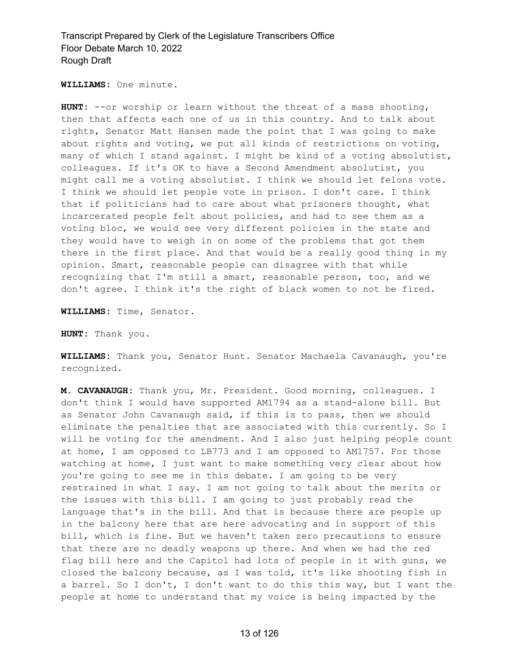**WILLIAMS:** One minute.

**HUNT:** --or worship or learn without the threat of a mass shooting, then that affects each one of us in this country. And to talk about rights, Senator Matt Hansen made the point that I was going to make about rights and voting, we put all kinds of restrictions on voting, many of which I stand against. I might be kind of a voting absolutist, colleagues. If it's OK to have a Second Amendment absolutist, you might call me a voting absolutist. I think we should let felons vote. I think we should let people vote in prison. I don't care. I think that if politicians had to care about what prisoners thought, what incarcerated people felt about policies, and had to see them as a voting bloc, we would see very different policies in the state and they would have to weigh in on some of the problems that got them there in the first place. And that would be a really good thing in my opinion. Smart, reasonable people can disagree with that while recognizing that I'm still a smart, reasonable person, too, and we don't agree. I think it's the right of black women to not be fired.

**WILLIAMS:** Time, Senator.

**HUNT:** Thank you.

**WILLIAMS:** Thank you, Senator Hunt. Senator Machaela Cavanaugh, you're recognized.

**M. CAVANAUGH:** Thank you, Mr. President. Good morning, colleagues. I don't think I would have supported AM1794 as a stand-alone bill. But as Senator John Cavanaugh said, if this is to pass, then we should eliminate the penalties that are associated with this currently. So I will be voting for the amendment. And I also just helping people count at home, I am opposed to LB773 and I am opposed to AM1757. For those watching at home, I just want to make something very clear about how you're going to see me in this debate. I am going to be very restrained in what I say. I am not going to talk about the merits or the issues with this bill. I am going to just probably read the language that's in the bill. And that is because there are people up in the balcony here that are here advocating and in support of this bill, which is fine. But we haven't taken zero precautions to ensure that there are no deadly weapons up there. And when we had the red flag bill here and the Capitol had lots of people in it with guns, we closed the balcony because, as I was told, it's like shooting fish in a barrel. So I don't, I don't want to do this this way, but I want the people at home to understand that my voice is being impacted by the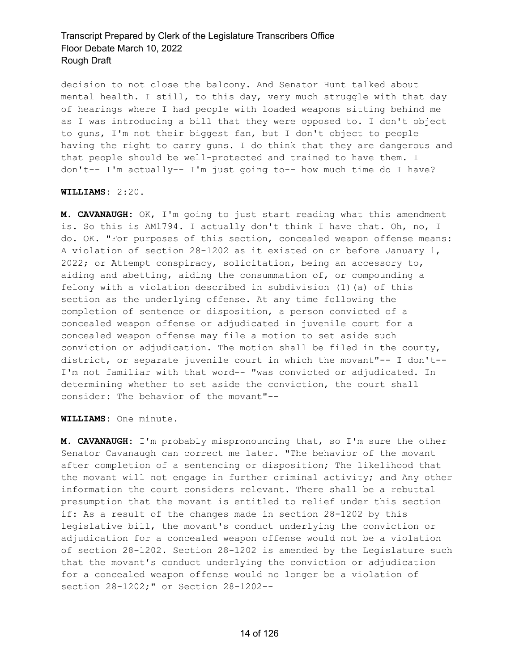decision to not close the balcony. And Senator Hunt talked about mental health. I still, to this day, very much struggle with that day of hearings where I had people with loaded weapons sitting behind me as I was introducing a bill that they were opposed to. I don't object to guns, I'm not their biggest fan, but I don't object to people having the right to carry guns. I do think that they are dangerous and that people should be well-protected and trained to have them. I don't-- I'm actually-- I'm just going to-- how much time do I have?

#### **WILLIAMS:** 2:20.

**M. CAVANAUGH:** OK, I'm going to just start reading what this amendment is. So this is AM1794. I actually don't think I have that. Oh, no, I do. OK. "For purposes of this section, concealed weapon offense means: A violation of section 28-1202 as it existed on or before January 1, 2022; or Attempt conspiracy, solicitation, being an accessory to, aiding and abetting, aiding the consummation of, or compounding a felony with a violation described in subdivision (1)(a) of this section as the underlying offense. At any time following the completion of sentence or disposition, a person convicted of a concealed weapon offense or adjudicated in juvenile court for a concealed weapon offense may file a motion to set aside such conviction or adjudication. The motion shall be filed in the county, district, or separate juvenile court in which the movant"-- I don't-- I'm not familiar with that word-- "was convicted or adjudicated. In determining whether to set aside the conviction, the court shall consider: The behavior of the movant"--

#### **WILLIAMS:** One minute.

**M. CAVANAUGH:** I'm probably mispronouncing that, so I'm sure the other Senator Cavanaugh can correct me later. "The behavior of the movant after completion of a sentencing or disposition; The likelihood that the movant will not engage in further criminal activity; and Any other information the court considers relevant. There shall be a rebuttal presumption that the movant is entitled to relief under this section if: As a result of the changes made in section 28-1202 by this legislative bill, the movant's conduct underlying the conviction or adjudication for a concealed weapon offense would not be a violation of section 28-1202. Section 28-1202 is amended by the Legislature such that the movant's conduct underlying the conviction or adjudication for a concealed weapon offense would no longer be a violation of section 28-1202;" or Section 28-1202--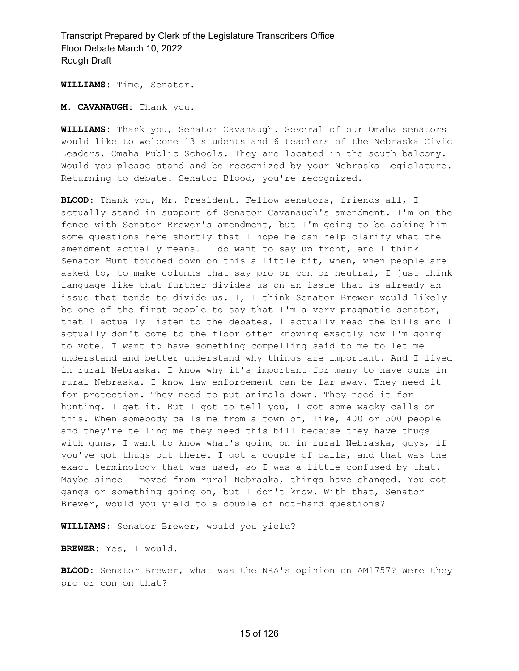**WILLIAMS:** Time, Senator.

**M. CAVANAUGH:** Thank you.

**WILLIAMS:** Thank you, Senator Cavanaugh. Several of our Omaha senators would like to welcome 13 students and 6 teachers of the Nebraska Civic Leaders, Omaha Public Schools. They are located in the south balcony. Would you please stand and be recognized by your Nebraska Legislature. Returning to debate. Senator Blood, you're recognized.

**BLOOD:** Thank you, Mr. President. Fellow senators, friends all, I actually stand in support of Senator Cavanaugh's amendment. I'm on the fence with Senator Brewer's amendment, but I'm going to be asking him some questions here shortly that I hope he can help clarify what the amendment actually means. I do want to say up front, and I think Senator Hunt touched down on this a little bit, when, when people are asked to, to make columns that say pro or con or neutral, I just think language like that further divides us on an issue that is already an issue that tends to divide us. I, I think Senator Brewer would likely be one of the first people to say that I'm a very pragmatic senator, that I actually listen to the debates. I actually read the bills and I actually don't come to the floor often knowing exactly how I'm going to vote. I want to have something compelling said to me to let me understand and better understand why things are important. And I lived in rural Nebraska. I know why it's important for many to have guns in rural Nebraska. I know law enforcement can be far away. They need it for protection. They need to put animals down. They need it for hunting. I get it. But I got to tell you, I got some wacky calls on this. When somebody calls me from a town of, like, 400 or 500 people and they're telling me they need this bill because they have thugs with guns, I want to know what's going on in rural Nebraska, guys, if you've got thugs out there. I got a couple of calls, and that was the exact terminology that was used, so I was a little confused by that. Maybe since I moved from rural Nebraska, things have changed. You got gangs or something going on, but I don't know. With that, Senator Brewer, would you yield to a couple of not-hard questions?

**WILLIAMS:** Senator Brewer, would you yield?

**BREWER:** Yes, I would.

**BLOOD:** Senator Brewer, what was the NRA's opinion on AM1757? Were they pro or con on that?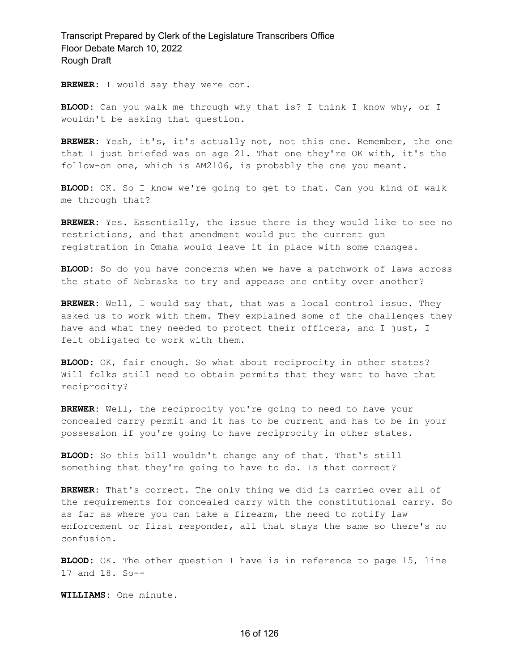**BREWER:** I would say they were con.

**BLOOD:** Can you walk me through why that is? I think I know why, or I wouldn't be asking that question.

**BREWER:** Yeah, it's, it's actually not, not this one. Remember, the one that I just briefed was on age 21. That one they're OK with, it's the follow-on one, which is AM2106, is probably the one you meant.

**BLOOD:** OK. So I know we're going to get to that. Can you kind of walk me through that?

**BREWER:** Yes. Essentially, the issue there is they would like to see no restrictions, and that amendment would put the current gun registration in Omaha would leave it in place with some changes.

**BLOOD:** So do you have concerns when we have a patchwork of laws across the state of Nebraska to try and appease one entity over another?

**BREWER:** Well, I would say that, that was a local control issue. They asked us to work with them. They explained some of the challenges they have and what they needed to protect their officers, and I just, I felt obligated to work with them.

**BLOOD:** OK, fair enough. So what about reciprocity in other states? Will folks still need to obtain permits that they want to have that reciprocity?

**BREWER:** Well, the reciprocity you're going to need to have your concealed carry permit and it has to be current and has to be in your possession if you're going to have reciprocity in other states.

**BLOOD:** So this bill wouldn't change any of that. That's still something that they're going to have to do. Is that correct?

**BREWER:** That's correct. The only thing we did is carried over all of the requirements for concealed carry with the constitutional carry. So as far as where you can take a firearm, the need to notify law enforcement or first responder, all that stays the same so there's no confusion.

**BLOOD:** OK. The other question I have is in reference to page 15, line 17 and 18. So--

**WILLIAMS:** One minute.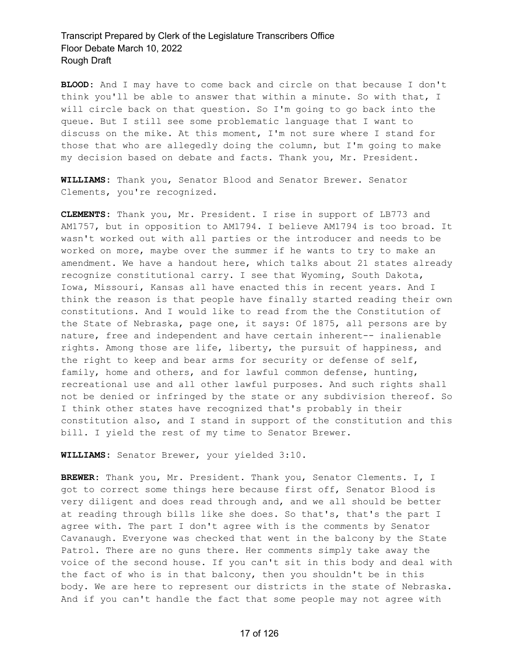**BLOOD:** And I may have to come back and circle on that because I don't think you'll be able to answer that within a minute. So with that, I will circle back on that question. So I'm going to go back into the queue. But I still see some problematic language that I want to discuss on the mike. At this moment, I'm not sure where I stand for those that who are allegedly doing the column, but I'm going to make my decision based on debate and facts. Thank you, Mr. President.

**WILLIAMS:** Thank you, Senator Blood and Senator Brewer. Senator Clements, you're recognized.

**CLEMENTS:** Thank you, Mr. President. I rise in support of LB773 and AM1757, but in opposition to AM1794. I believe AM1794 is too broad. It wasn't worked out with all parties or the introducer and needs to be worked on more, maybe over the summer if he wants to try to make an amendment. We have a handout here, which talks about 21 states already recognize constitutional carry. I see that Wyoming, South Dakota, Iowa, Missouri, Kansas all have enacted this in recent years. And I think the reason is that people have finally started reading their own constitutions. And I would like to read from the the Constitution of the State of Nebraska, page one, it says: Of 1875, all persons are by nature, free and independent and have certain inherent-- inalienable rights. Among those are life, liberty, the pursuit of happiness, and the right to keep and bear arms for security or defense of self, family, home and others, and for lawful common defense, hunting, recreational use and all other lawful purposes. And such rights shall not be denied or infringed by the state or any subdivision thereof. So I think other states have recognized that's probably in their constitution also, and I stand in support of the constitution and this bill. I yield the rest of my time to Senator Brewer.

**WILLIAMS:** Senator Brewer, your yielded 3:10.

**BREWER:** Thank you, Mr. President. Thank you, Senator Clements. I, I got to correct some things here because first off, Senator Blood is very diligent and does read through and, and we all should be better at reading through bills like she does. So that's, that's the part I agree with. The part I don't agree with is the comments by Senator Cavanaugh. Everyone was checked that went in the balcony by the State Patrol. There are no guns there. Her comments simply take away the voice of the second house. If you can't sit in this body and deal with the fact of who is in that balcony, then you shouldn't be in this body. We are here to represent our districts in the state of Nebraska. And if you can't handle the fact that some people may not agree with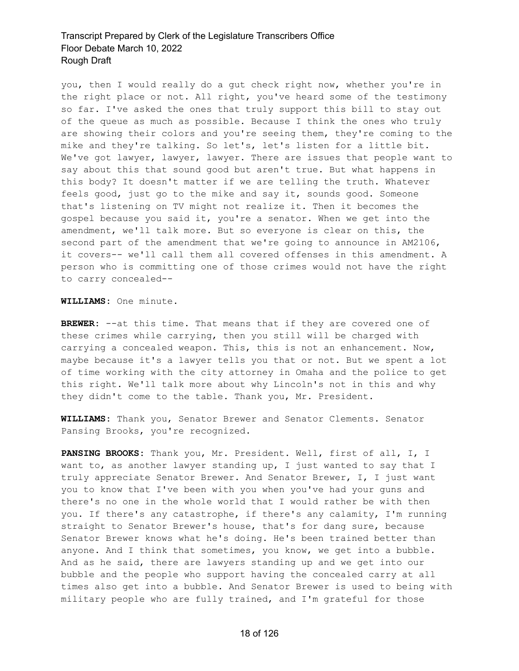you, then I would really do a gut check right now, whether you're in the right place or not. All right, you've heard some of the testimony so far. I've asked the ones that truly support this bill to stay out of the queue as much as possible. Because I think the ones who truly are showing their colors and you're seeing them, they're coming to the mike and they're talking. So let's, let's listen for a little bit. We've got lawyer, lawyer, lawyer. There are issues that people want to say about this that sound good but aren't true. But what happens in this body? It doesn't matter if we are telling the truth. Whatever feels good, just go to the mike and say it, sounds good. Someone that's listening on TV might not realize it. Then it becomes the gospel because you said it, you're a senator. When we get into the amendment, we'll talk more. But so everyone is clear on this, the second part of the amendment that we're going to announce in AM2106, it covers-- we'll call them all covered offenses in this amendment. A person who is committing one of those crimes would not have the right to carry concealed--

**WILLIAMS:** One minute.

**BREWER:** --at this time. That means that if they are covered one of these crimes while carrying, then you still will be charged with carrying a concealed weapon. This, this is not an enhancement. Now, maybe because it's a lawyer tells you that or not. But we spent a lot of time working with the city attorney in Omaha and the police to get this right. We'll talk more about why Lincoln's not in this and why they didn't come to the table. Thank you, Mr. President.

**WILLIAMS:** Thank you, Senator Brewer and Senator Clements. Senator Pansing Brooks, you're recognized.

**PANSING BROOKS:** Thank you, Mr. President. Well, first of all, I, I want to, as another lawyer standing up, I just wanted to say that I truly appreciate Senator Brewer. And Senator Brewer, I, I just want you to know that I've been with you when you've had your guns and there's no one in the whole world that I would rather be with then you. If there's any catastrophe, if there's any calamity, I'm running straight to Senator Brewer's house, that's for dang sure, because Senator Brewer knows what he's doing. He's been trained better than anyone. And I think that sometimes, you know, we get into a bubble. And as he said, there are lawyers standing up and we get into our bubble and the people who support having the concealed carry at all times also get into a bubble. And Senator Brewer is used to being with military people who are fully trained, and I'm grateful for those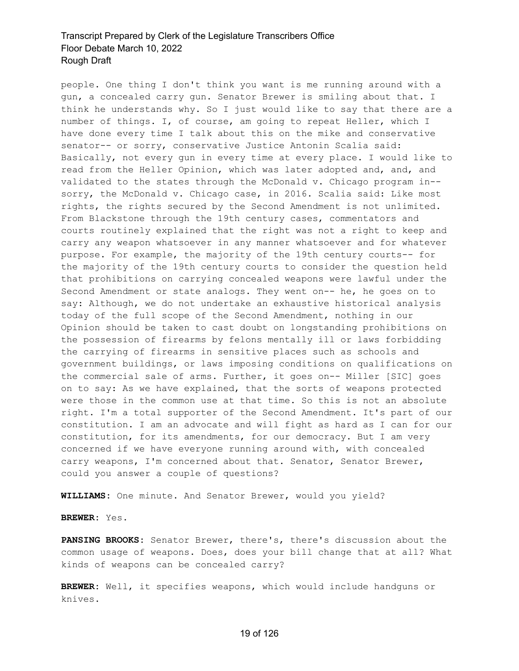people. One thing I don't think you want is me running around with a gun, a concealed carry gun. Senator Brewer is smiling about that. I think he understands why. So I just would like to say that there are a number of things. I, of course, am going to repeat Heller, which I have done every time I talk about this on the mike and conservative senator-- or sorry, conservative Justice Antonin Scalia said: Basically, not every gun in every time at every place. I would like to read from the Heller Opinion, which was later adopted and, and, and validated to the states through the McDonald v. Chicago program in- sorry, the McDonald v. Chicago case, in 2016. Scalia said: Like most rights, the rights secured by the Second Amendment is not unlimited. From Blackstone through the 19th century cases, commentators and courts routinely explained that the right was not a right to keep and carry any weapon whatsoever in any manner whatsoever and for whatever purpose. For example, the majority of the 19th century courts-- for the majority of the 19th century courts to consider the question held that prohibitions on carrying concealed weapons were lawful under the Second Amendment or state analogs. They went on-- he, he goes on to say: Although, we do not undertake an exhaustive historical analysis today of the full scope of the Second Amendment, nothing in our Opinion should be taken to cast doubt on longstanding prohibitions on the possession of firearms by felons mentally ill or laws forbidding the carrying of firearms in sensitive places such as schools and government buildings, or laws imposing conditions on qualifications on the commercial sale of arms. Further, it goes on-- Miller [SIC] goes on to say: As we have explained, that the sorts of weapons protected were those in the common use at that time. So this is not an absolute right. I'm a total supporter of the Second Amendment. It's part of our constitution. I am an advocate and will fight as hard as I can for our constitution, for its amendments, for our democracy. But I am very concerned if we have everyone running around with, with concealed carry weapons, I'm concerned about that. Senator, Senator Brewer, could you answer a couple of questions?

**WILLIAMS:** One minute. And Senator Brewer, would you yield?

#### **BREWER:** Yes.

**PANSING BROOKS:** Senator Brewer, there's, there's discussion about the common usage of weapons. Does, does your bill change that at all? What kinds of weapons can be concealed carry?

**BREWER:** Well, it specifies weapons, which would include handguns or knives.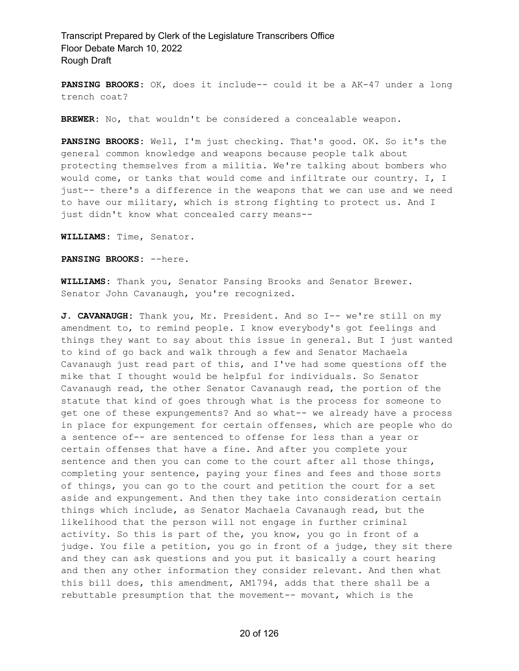**PANSING BROOKS:** OK, does it include-- could it be a AK-47 under a long trench coat?

**BREWER:** No, that wouldn't be considered a concealable weapon.

**PANSING BROOKS:** Well, I'm just checking. That's good. OK. So it's the general common knowledge and weapons because people talk about protecting themselves from a militia. We're talking about bombers who would come, or tanks that would come and infiltrate our country. I, I just-- there's a difference in the weapons that we can use and we need to have our military, which is strong fighting to protect us. And I just didn't know what concealed carry means--

**WILLIAMS:** Time, Senator.

**PANSING BROOKS:** --here.

**WILLIAMS:** Thank you, Senator Pansing Brooks and Senator Brewer. Senator John Cavanaugh, you're recognized.

**J. CAVANAUGH:** Thank you, Mr. President. And so I-- we're still on my amendment to, to remind people. I know everybody's got feelings and things they want to say about this issue in general. But I just wanted to kind of go back and walk through a few and Senator Machaela Cavanaugh just read part of this, and I've had some questions off the mike that I thought would be helpful for individuals. So Senator Cavanaugh read, the other Senator Cavanaugh read, the portion of the statute that kind of goes through what is the process for someone to get one of these expungements? And so what-- we already have a process in place for expungement for certain offenses, which are people who do a sentence of-- are sentenced to offense for less than a year or certain offenses that have a fine. And after you complete your sentence and then you can come to the court after all those things, completing your sentence, paying your fines and fees and those sorts of things, you can go to the court and petition the court for a set aside and expungement. And then they take into consideration certain things which include, as Senator Machaela Cavanaugh read, but the likelihood that the person will not engage in further criminal activity. So this is part of the, you know, you go in front of a judge. You file a petition, you go in front of a judge, they sit there and they can ask questions and you put it basically a court hearing and then any other information they consider relevant. And then what this bill does, this amendment, AM1794, adds that there shall be a rebuttable presumption that the movement-- movant, which is the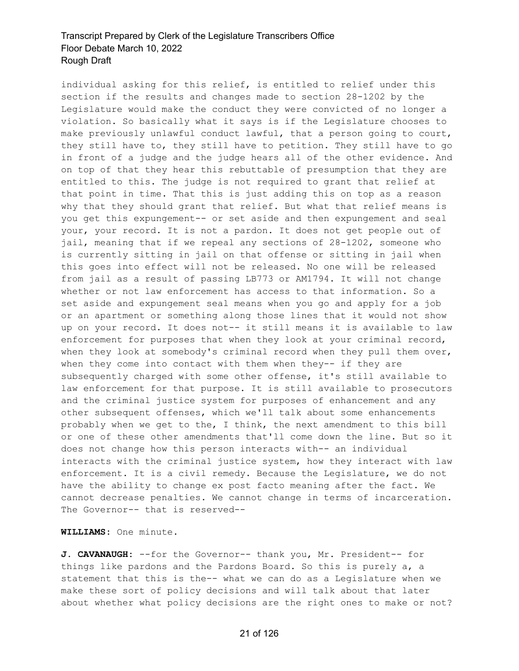individual asking for this relief, is entitled to relief under this section if the results and changes made to section 28-1202 by the Legislature would make the conduct they were convicted of no longer a violation. So basically what it says is if the Legislature chooses to make previously unlawful conduct lawful, that a person going to court, they still have to, they still have to petition. They still have to go in front of a judge and the judge hears all of the other evidence. And on top of that they hear this rebuttable of presumption that they are entitled to this. The judge is not required to grant that relief at that point in time. That this is just adding this on top as a reason why that they should grant that relief. But what that relief means is you get this expungement-- or set aside and then expungement and seal your, your record. It is not a pardon. It does not get people out of jail, meaning that if we repeal any sections of 28-1202, someone who is currently sitting in jail on that offense or sitting in jail when this goes into effect will not be released. No one will be released from jail as a result of passing LB773 or AM1794. It will not change whether or not law enforcement has access to that information. So a set aside and expungement seal means when you go and apply for a job or an apartment or something along those lines that it would not show up on your record. It does not-- it still means it is available to law enforcement for purposes that when they look at your criminal record, when they look at somebody's criminal record when they pull them over, when they come into contact with them when they-- if they are subsequently charged with some other offense, it's still available to law enforcement for that purpose. It is still available to prosecutors and the criminal justice system for purposes of enhancement and any other subsequent offenses, which we'll talk about some enhancements probably when we get to the, I think, the next amendment to this bill or one of these other amendments that'll come down the line. But so it does not change how this person interacts with-- an individual interacts with the criminal justice system, how they interact with law enforcement. It is a civil remedy. Because the Legislature, we do not have the ability to change ex post facto meaning after the fact. We cannot decrease penalties. We cannot change in terms of incarceration. The Governor-- that is reserved--

**WILLIAMS:** One minute.

**J. CAVANAUGH:** --for the Governor-- thank you, Mr. President-- for things like pardons and the Pardons Board. So this is purely a, a statement that this is the-- what we can do as a Legislature when we make these sort of policy decisions and will talk about that later about whether what policy decisions are the right ones to make or not?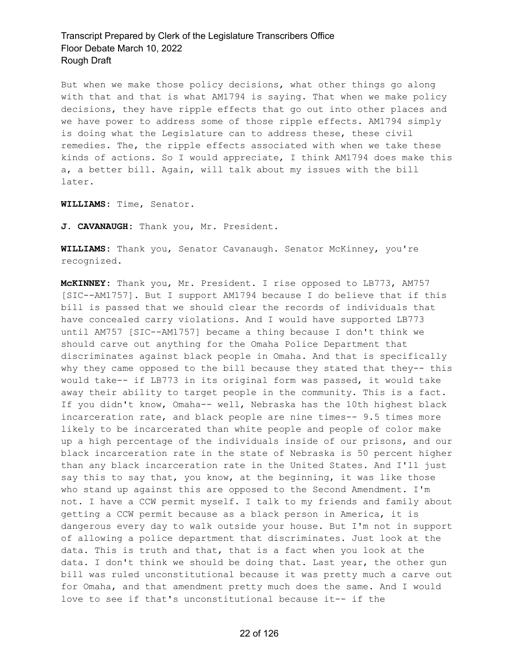But when we make those policy decisions, what other things go along with that and that is what AM1794 is saying. That when we make policy decisions, they have ripple effects that go out into other places and we have power to address some of those ripple effects. AM1794 simply is doing what the Legislature can to address these, these civil remedies. The, the ripple effects associated with when we take these kinds of actions. So I would appreciate, I think AM1794 does make this a, a better bill. Again, will talk about my issues with the bill later.

**WILLIAMS:** Time, Senator.

**J. CAVANAUGH:** Thank you, Mr. President.

**WILLIAMS:** Thank you, Senator Cavanaugh. Senator McKinney, you're recognized.

**McKINNEY:** Thank you, Mr. President. I rise opposed to LB773, AM757 [SIC--AM1757]. But I support AM1794 because I do believe that if this bill is passed that we should clear the records of individuals that have concealed carry violations. And I would have supported LB773 until AM757 [SIC--AM1757] became a thing because I don't think we should carve out anything for the Omaha Police Department that discriminates against black people in Omaha. And that is specifically why they came opposed to the bill because they stated that they-- this would take-- if LB773 in its original form was passed, it would take away their ability to target people in the community. This is a fact. If you didn't know, Omaha-- well, Nebraska has the 10th highest black incarceration rate, and black people are nine times-- 9.5 times more likely to be incarcerated than white people and people of color make up a high percentage of the individuals inside of our prisons, and our black incarceration rate in the state of Nebraska is 50 percent higher than any black incarceration rate in the United States. And I'll just say this to say that, you know, at the beginning, it was like those who stand up against this are opposed to the Second Amendment. I'm not. I have a CCW permit myself. I talk to my friends and family about getting a CCW permit because as a black person in America, it is dangerous every day to walk outside your house. But I'm not in support of allowing a police department that discriminates. Just look at the data. This is truth and that, that is a fact when you look at the data. I don't think we should be doing that. Last year, the other gun bill was ruled unconstitutional because it was pretty much a carve out for Omaha, and that amendment pretty much does the same. And I would love to see if that's unconstitutional because it-- if the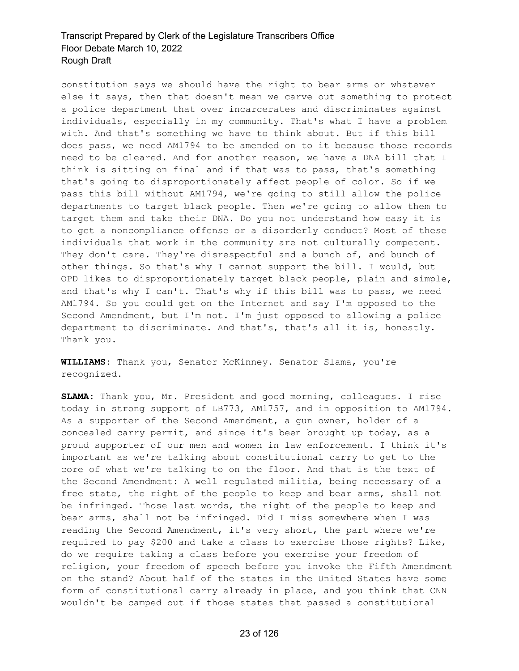constitution says we should have the right to bear arms or whatever else it says, then that doesn't mean we carve out something to protect a police department that over incarcerates and discriminates against individuals, especially in my community. That's what I have a problem with. And that's something we have to think about. But if this bill does pass, we need AM1794 to be amended on to it because those records need to be cleared. And for another reason, we have a DNA bill that I think is sitting on final and if that was to pass, that's something that's going to disproportionately affect people of color. So if we pass this bill without AM1794, we're going to still allow the police departments to target black people. Then we're going to allow them to target them and take their DNA. Do you not understand how easy it is to get a noncompliance offense or a disorderly conduct? Most of these individuals that work in the community are not culturally competent. They don't care. They're disrespectful and a bunch of, and bunch of other things. So that's why I cannot support the bill. I would, but OPD likes to disproportionately target black people, plain and simple, and that's why I can't. That's why if this bill was to pass, we need AM1794. So you could get on the Internet and say I'm opposed to the Second Amendment, but I'm not. I'm just opposed to allowing a police department to discriminate. And that's, that's all it is, honestly. Thank you.

**WILLIAMS:** Thank you, Senator McKinney. Senator Slama, you're recognized.

**SLAMA:** Thank you, Mr. President and good morning, colleagues. I rise today in strong support of LB773, AM1757, and in opposition to AM1794. As a supporter of the Second Amendment, a gun owner, holder of a concealed carry permit, and since it's been brought up today, as a proud supporter of our men and women in law enforcement. I think it's important as we're talking about constitutional carry to get to the core of what we're talking to on the floor. And that is the text of the Second Amendment: A well regulated militia, being necessary of a free state, the right of the people to keep and bear arms, shall not be infringed. Those last words, the right of the people to keep and bear arms, shall not be infringed. Did I miss somewhere when I was reading the Second Amendment, it's very short, the part where we're required to pay \$200 and take a class to exercise those rights? Like, do we require taking a class before you exercise your freedom of religion, your freedom of speech before you invoke the Fifth Amendment on the stand? About half of the states in the United States have some form of constitutional carry already in place, and you think that CNN wouldn't be camped out if those states that passed a constitutional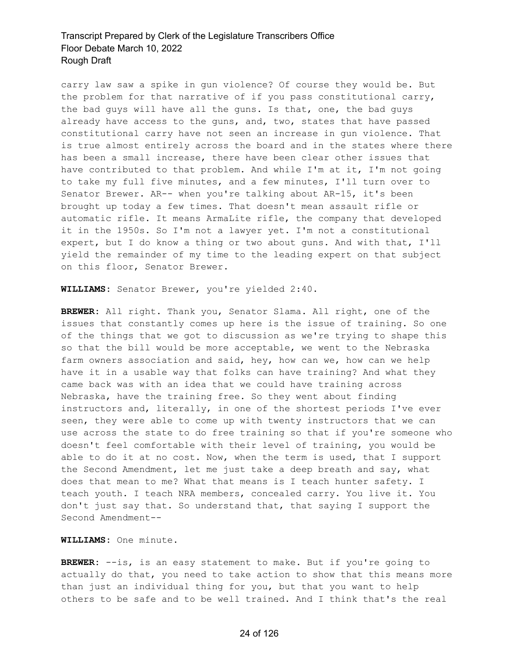carry law saw a spike in gun violence? Of course they would be. But the problem for that narrative of if you pass constitutional carry, the bad guys will have all the guns. Is that, one, the bad guys already have access to the guns, and, two, states that have passed constitutional carry have not seen an increase in gun violence. That is true almost entirely across the board and in the states where there has been a small increase, there have been clear other issues that have contributed to that problem. And while I'm at it, I'm not going to take my full five minutes, and a few minutes, I'll turn over to Senator Brewer. AR-- when you're talking about AR-15, it's been brought up today a few times. That doesn't mean assault rifle or automatic rifle. It means ArmaLite rifle, the company that developed it in the 1950s. So I'm not a lawyer yet. I'm not a constitutional expert, but I do know a thing or two about guns. And with that, I'll yield the remainder of my time to the leading expert on that subject on this floor, Senator Brewer.

**WILLIAMS:** Senator Brewer, you're yielded 2:40.

**BREWER:** All right. Thank you, Senator Slama. All right, one of the issues that constantly comes up here is the issue of training. So one of the things that we got to discussion as we're trying to shape this so that the bill would be more acceptable, we went to the Nebraska farm owners association and said, hey, how can we, how can we help have it in a usable way that folks can have training? And what they came back was with an idea that we could have training across Nebraska, have the training free. So they went about finding instructors and, literally, in one of the shortest periods I've ever seen, they were able to come up with twenty instructors that we can use across the state to do free training so that if you're someone who doesn't feel comfortable with their level of training, you would be able to do it at no cost. Now, when the term is used, that I support the Second Amendment, let me just take a deep breath and say, what does that mean to me? What that means is I teach hunter safety. I teach youth. I teach NRA members, concealed carry. You live it. You don't just say that. So understand that, that saying I support the Second Amendment--

**WILLIAMS:** One minute.

**BREWER:** --is, is an easy statement to make. But if you're going to actually do that, you need to take action to show that this means more than just an individual thing for you, but that you want to help others to be safe and to be well trained. And I think that's the real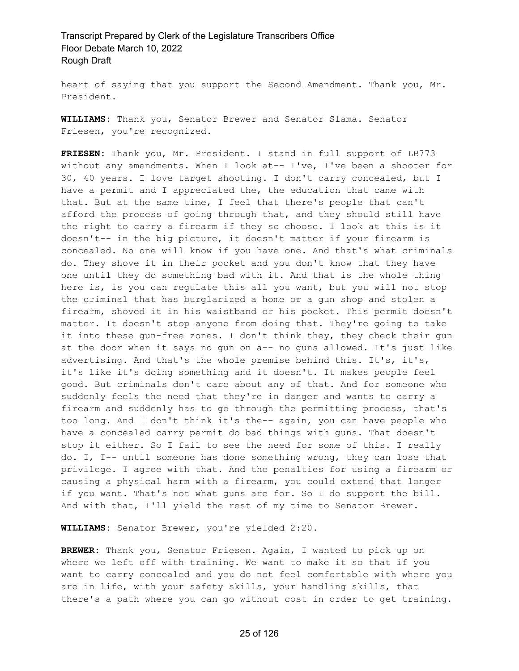heart of saying that you support the Second Amendment. Thank you, Mr. President.

**WILLIAMS:** Thank you, Senator Brewer and Senator Slama. Senator Friesen, you're recognized.

**FRIESEN:** Thank you, Mr. President. I stand in full support of LB773 without any amendments. When I look at-- I've, I've been a shooter for 30, 40 years. I love target shooting. I don't carry concealed, but I have a permit and I appreciated the, the education that came with that. But at the same time, I feel that there's people that can't afford the process of going through that, and they should still have the right to carry a firearm if they so choose. I look at this is it doesn't-- in the big picture, it doesn't matter if your firearm is concealed. No one will know if you have one. And that's what criminals do. They shove it in their pocket and you don't know that they have one until they do something bad with it. And that is the whole thing here is, is you can regulate this all you want, but you will not stop the criminal that has burglarized a home or a gun shop and stolen a firearm, shoved it in his waistband or his pocket. This permit doesn't matter. It doesn't stop anyone from doing that. They're going to take it into these gun-free zones. I don't think they, they check their gun at the door when it says no gun on a-- no guns allowed. It's just like advertising. And that's the whole premise behind this. It's, it's, it's like it's doing something and it doesn't. It makes people feel good. But criminals don't care about any of that. And for someone who suddenly feels the need that they're in danger and wants to carry a firearm and suddenly has to go through the permitting process, that's too long. And I don't think it's the-- again, you can have people who have a concealed carry permit do bad things with guns. That doesn't stop it either. So I fail to see the need for some of this. I really do. I, I-- until someone has done something wrong, they can lose that privilege. I agree with that. And the penalties for using a firearm or causing a physical harm with a firearm, you could extend that longer if you want. That's not what guns are for. So I do support the bill. And with that, I'll yield the rest of my time to Senator Brewer.

**WILLIAMS:** Senator Brewer, you're yielded 2:20.

**BREWER:** Thank you, Senator Friesen. Again, I wanted to pick up on where we left off with training. We want to make it so that if you want to carry concealed and you do not feel comfortable with where you are in life, with your safety skills, your handling skills, that there's a path where you can go without cost in order to get training.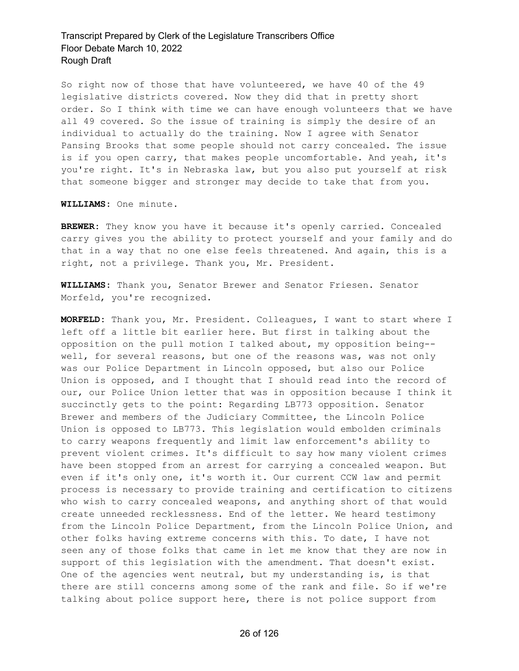So right now of those that have volunteered, we have 40 of the 49 legislative districts covered. Now they did that in pretty short order. So I think with time we can have enough volunteers that we have all 49 covered. So the issue of training is simply the desire of an individual to actually do the training. Now I agree with Senator Pansing Brooks that some people should not carry concealed. The issue is if you open carry, that makes people uncomfortable. And yeah, it's you're right. It's in Nebraska law, but you also put yourself at risk that someone bigger and stronger may decide to take that from you.

**WILLIAMS:** One minute.

**BREWER:** They know you have it because it's openly carried. Concealed carry gives you the ability to protect yourself and your family and do that in a way that no one else feels threatened. And again, this is a right, not a privilege. Thank you, Mr. President.

**WILLIAMS:** Thank you, Senator Brewer and Senator Friesen. Senator Morfeld, you're recognized.

**MORFELD:** Thank you, Mr. President. Colleagues, I want to start where I left off a little bit earlier here. But first in talking about the opposition on the pull motion I talked about, my opposition being- well, for several reasons, but one of the reasons was, was not only was our Police Department in Lincoln opposed, but also our Police Union is opposed, and I thought that I should read into the record of our, our Police Union letter that was in opposition because I think it succinctly gets to the point: Regarding LB773 opposition. Senator Brewer and members of the Judiciary Committee, the Lincoln Police Union is opposed to LB773. This legislation would embolden criminals to carry weapons frequently and limit law enforcement's ability to prevent violent crimes. It's difficult to say how many violent crimes have been stopped from an arrest for carrying a concealed weapon. But even if it's only one, it's worth it. Our current CCW law and permit process is necessary to provide training and certification to citizens who wish to carry concealed weapons, and anything short of that would create unneeded recklessness. End of the letter. We heard testimony from the Lincoln Police Department, from the Lincoln Police Union, and other folks having extreme concerns with this. To date, I have not seen any of those folks that came in let me know that they are now in support of this legislation with the amendment. That doesn't exist. One of the agencies went neutral, but my understanding is, is that there are still concerns among some of the rank and file. So if we're talking about police support here, there is not police support from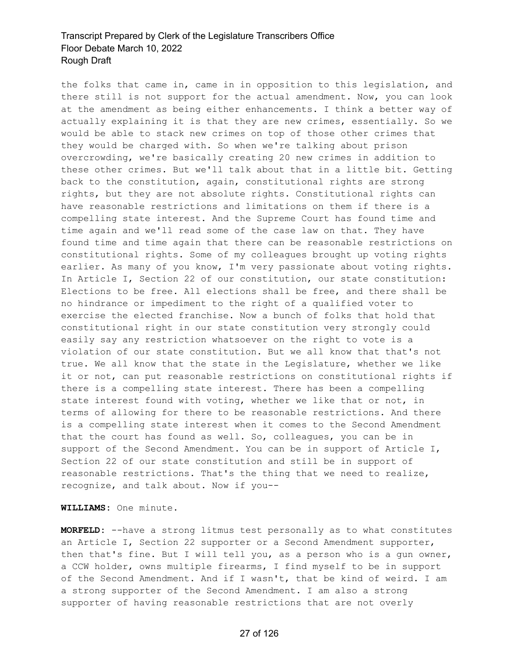the folks that came in, came in in opposition to this legislation, and there still is not support for the actual amendment. Now, you can look at the amendment as being either enhancements. I think a better way of actually explaining it is that they are new crimes, essentially. So we would be able to stack new crimes on top of those other crimes that they would be charged with. So when we're talking about prison overcrowding, we're basically creating 20 new crimes in addition to these other crimes. But we'll talk about that in a little bit. Getting back to the constitution, again, constitutional rights are strong rights, but they are not absolute rights. Constitutional rights can have reasonable restrictions and limitations on them if there is a compelling state interest. And the Supreme Court has found time and time again and we'll read some of the case law on that. They have found time and time again that there can be reasonable restrictions on constitutional rights. Some of my colleagues brought up voting rights earlier. As many of you know, I'm very passionate about voting rights. In Article I, Section 22 of our constitution, our state constitution: Elections to be free. All elections shall be free, and there shall be no hindrance or impediment to the right of a qualified voter to exercise the elected franchise. Now a bunch of folks that hold that constitutional right in our state constitution very strongly could easily say any restriction whatsoever on the right to vote is a violation of our state constitution. But we all know that that's not true. We all know that the state in the Legislature, whether we like it or not, can put reasonable restrictions on constitutional rights if there is a compelling state interest. There has been a compelling state interest found with voting, whether we like that or not, in terms of allowing for there to be reasonable restrictions. And there is a compelling state interest when it comes to the Second Amendment that the court has found as well. So, colleagues, you can be in support of the Second Amendment. You can be in support of Article I, Section 22 of our state constitution and still be in support of reasonable restrictions. That's the thing that we need to realize, recognize, and talk about. Now if you--

**WILLIAMS:** One minute.

**MORFELD:** --have a strong litmus test personally as to what constitutes an Article I, Section 22 supporter or a Second Amendment supporter, then that's fine. But I will tell you, as a person who is a gun owner, a CCW holder, owns multiple firearms, I find myself to be in support of the Second Amendment. And if I wasn't, that be kind of weird. I am a strong supporter of the Second Amendment. I am also a strong supporter of having reasonable restrictions that are not overly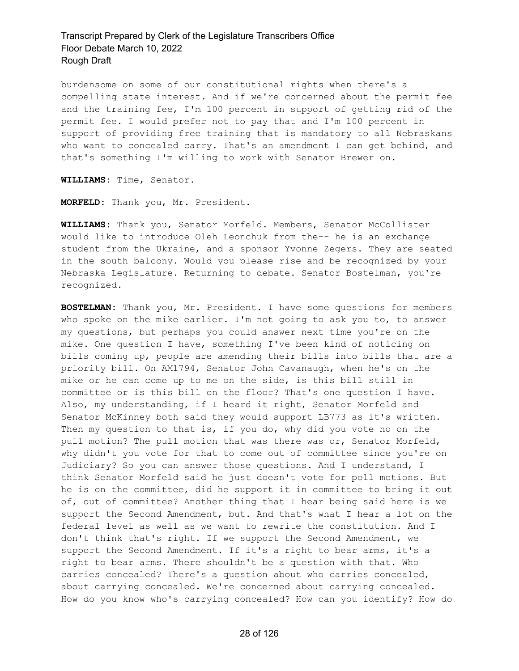burdensome on some of our constitutional rights when there's a compelling state interest. And if we're concerned about the permit fee and the training fee, I'm 100 percent in support of getting rid of the permit fee. I would prefer not to pay that and I'm 100 percent in support of providing free training that is mandatory to all Nebraskans who want to concealed carry. That's an amendment I can get behind, and that's something I'm willing to work with Senator Brewer on.

**WILLIAMS:** Time, Senator.

**MORFELD:** Thank you, Mr. President.

**WILLIAMS:** Thank you, Senator Morfeld. Members, Senator McCollister would like to introduce Oleh Leonchuk from the-- he is an exchange student from the Ukraine, and a sponsor Yvonne Zegers. They are seated in the south balcony. Would you please rise and be recognized by your Nebraska Legislature. Returning to debate. Senator Bostelman, you're recognized.

**BOSTELMAN:** Thank you, Mr. President. I have some questions for members who spoke on the mike earlier. I'm not going to ask you to, to answer my questions, but perhaps you could answer next time you're on the mike. One question I have, something I've been kind of noticing on bills coming up, people are amending their bills into bills that are a priority bill. On AM1794, Senator John Cavanaugh, when he's on the mike or he can come up to me on the side, is this bill still in committee or is this bill on the floor? That's one question I have. Also, my understanding, if I heard it right, Senator Morfeld and Senator McKinney both said they would support LB773 as it's written. Then my question to that is, if you do, why did you vote no on the pull motion? The pull motion that was there was or, Senator Morfeld, why didn't you vote for that to come out of committee since you're on Judiciary? So you can answer those questions. And I understand, I think Senator Morfeld said he just doesn't vote for poll motions. But he is on the committee, did he support it in committee to bring it out of, out of committee? Another thing that I hear being said here is we support the Second Amendment, but. And that's what I hear a lot on the federal level as well as we want to rewrite the constitution. And I don't think that's right. If we support the Second Amendment, we support the Second Amendment. If it's a right to bear arms, it's a right to bear arms. There shouldn't be a question with that. Who carries concealed? There's a question about who carries concealed, about carrying concealed. We're concerned about carrying concealed. How do you know who's carrying concealed? How can you identify? How do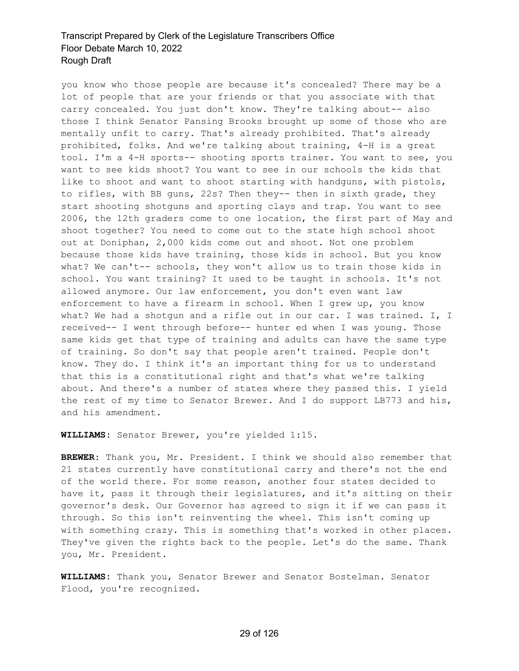you know who those people are because it's concealed? There may be a lot of people that are your friends or that you associate with that carry concealed. You just don't know. They're talking about-- also those I think Senator Pansing Brooks brought up some of those who are mentally unfit to carry. That's already prohibited. That's already prohibited, folks. And we're talking about training, 4-H is a great tool. I'm a 4-H sports-- shooting sports trainer. You want to see, you want to see kids shoot? You want to see in our schools the kids that like to shoot and want to shoot starting with handguns, with pistols, to rifles, with BB guns, 22s? Then they-- then in sixth grade, they start shooting shotguns and sporting clays and trap. You want to see 2006, the 12th graders come to one location, the first part of May and shoot together? You need to come out to the state high school shoot out at Doniphan, 2,000 kids come out and shoot. Not one problem because those kids have training, those kids in school. But you know what? We can't-- schools, they won't allow us to train those kids in school. You want training? It used to be taught in schools. It's not allowed anymore. Our law enforcement, you don't even want law enforcement to have a firearm in school. When I grew up, you know what? We had a shotgun and a rifle out in our car. I was trained. I, I received-- I went through before-- hunter ed when I was young. Those same kids get that type of training and adults can have the same type of training. So don't say that people aren't trained. People don't know. They do. I think it's an important thing for us to understand that this is a constitutional right and that's what we're talking about. And there's a number of states where they passed this. I yield the rest of my time to Senator Brewer. And I do support LB773 and his, and his amendment.

**WILLIAMS:** Senator Brewer, you're yielded 1:15.

**BREWER:** Thank you, Mr. President. I think we should also remember that 21 states currently have constitutional carry and there's not the end of the world there. For some reason, another four states decided to have it, pass it through their legislatures, and it's sitting on their governor's desk. Our Governor has agreed to sign it if we can pass it through. So this isn't reinventing the wheel. This isn't coming up with something crazy. This is something that's worked in other places. They've given the rights back to the people. Let's do the same. Thank you, Mr. President.

**WILLIAMS:** Thank you, Senator Brewer and Senator Bostelman. Senator Flood, you're recognized.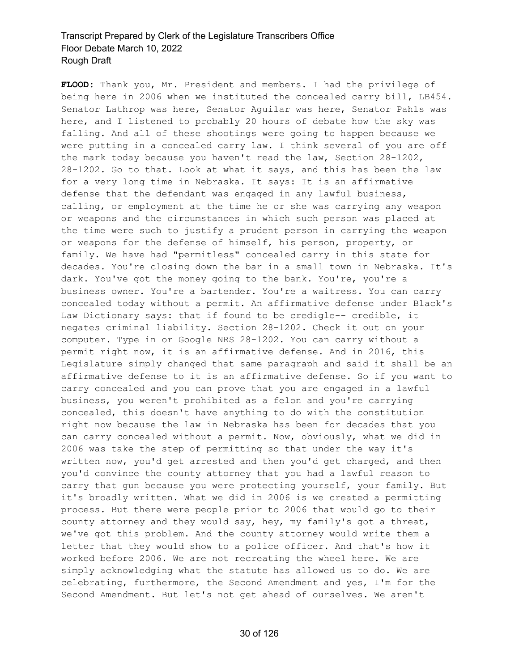**FLOOD:** Thank you, Mr. President and members. I had the privilege of being here in 2006 when we instituted the concealed carry bill, LB454. Senator Lathrop was here, Senator Aguilar was here, Senator Pahls was here, and I listened to probably 20 hours of debate how the sky was falling. And all of these shootings were going to happen because we were putting in a concealed carry law. I think several of you are off the mark today because you haven't read the law, Section 28-1202, 28-1202. Go to that. Look at what it says, and this has been the law for a very long time in Nebraska. It says: It is an affirmative defense that the defendant was engaged in any lawful business, calling, or employment at the time he or she was carrying any weapon or weapons and the circumstances in which such person was placed at the time were such to justify a prudent person in carrying the weapon or weapons for the defense of himself, his person, property, or family. We have had "permitless" concealed carry in this state for decades. You're closing down the bar in a small town in Nebraska. It's dark. You've got the money going to the bank. You're, you're a business owner. You're a bartender. You're a waitress. You can carry concealed today without a permit. An affirmative defense under Black's Law Dictionary says: that if found to be credigle-- credible, it negates criminal liability. Section 28-1202. Check it out on your computer. Type in or Google NRS 28-1202. You can carry without a permit right now, it is an affirmative defense. And in 2016, this Legislature simply changed that same paragraph and said it shall be an affirmative defense to it is an affirmative defense. So if you want to carry concealed and you can prove that you are engaged in a lawful business, you weren't prohibited as a felon and you're carrying concealed, this doesn't have anything to do with the constitution right now because the law in Nebraska has been for decades that you can carry concealed without a permit. Now, obviously, what we did in 2006 was take the step of permitting so that under the way it's written now, you'd get arrested and then you'd get charged, and then you'd convince the county attorney that you had a lawful reason to carry that gun because you were protecting yourself, your family. But it's broadly written. What we did in 2006 is we created a permitting process. But there were people prior to 2006 that would go to their county attorney and they would say, hey, my family's got a threat, we've got this problem. And the county attorney would write them a letter that they would show to a police officer. And that's how it worked before 2006. We are not recreating the wheel here. We are simply acknowledging what the statute has allowed us to do. We are celebrating, furthermore, the Second Amendment and yes, I'm for the Second Amendment. But let's not get ahead of ourselves. We aren't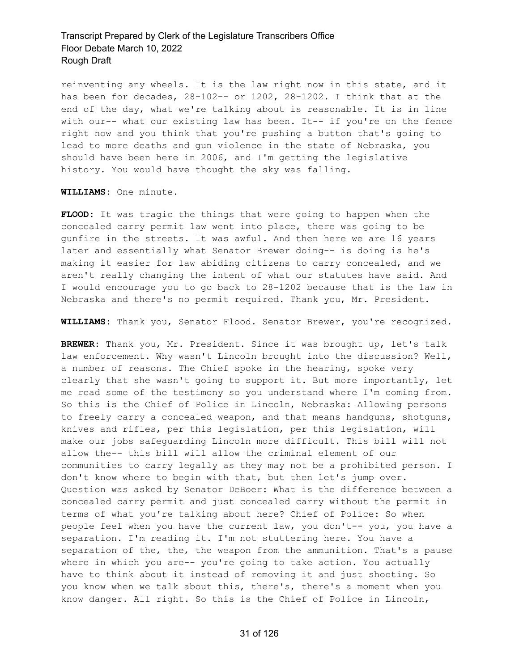reinventing any wheels. It is the law right now in this state, and it has been for decades, 28-102-- or 1202, 28-1202. I think that at the end of the day, what we're talking about is reasonable. It is in line with our-- what our existing law has been. It-- if you're on the fence right now and you think that you're pushing a button that's going to lead to more deaths and gun violence in the state of Nebraska, you should have been here in 2006, and I'm getting the legislative history. You would have thought the sky was falling.

**WILLIAMS:** One minute.

**FLOOD:** It was tragic the things that were going to happen when the concealed carry permit law went into place, there was going to be gunfire in the streets. It was awful. And then here we are 16 years later and essentially what Senator Brewer doing-- is doing is he's making it easier for law abiding citizens to carry concealed, and we aren't really changing the intent of what our statutes have said. And I would encourage you to go back to 28-1202 because that is the law in Nebraska and there's no permit required. Thank you, Mr. President.

**WILLIAMS:** Thank you, Senator Flood. Senator Brewer, you're recognized.

**BREWER:** Thank you, Mr. President. Since it was brought up, let's talk law enforcement. Why wasn't Lincoln brought into the discussion? Well, a number of reasons. The Chief spoke in the hearing, spoke very clearly that she wasn't going to support it. But more importantly, let me read some of the testimony so you understand where I'm coming from. So this is the Chief of Police in Lincoln, Nebraska: Allowing persons to freely carry a concealed weapon, and that means handguns, shotguns, knives and rifles, per this legislation, per this legislation, will make our jobs safeguarding Lincoln more difficult. This bill will not allow the-- this bill will allow the criminal element of our communities to carry legally as they may not be a prohibited person. I don't know where to begin with that, but then let's jump over. Question was asked by Senator DeBoer: What is the difference between a concealed carry permit and just concealed carry without the permit in terms of what you're talking about here? Chief of Police: So when people feel when you have the current law, you don't-- you, you have a separation. I'm reading it. I'm not stuttering here. You have a separation of the, the, the weapon from the ammunition. That's a pause where in which you are-- you're going to take action. You actually have to think about it instead of removing it and just shooting. So you know when we talk about this, there's, there's a moment when you know danger. All right. So this is the Chief of Police in Lincoln,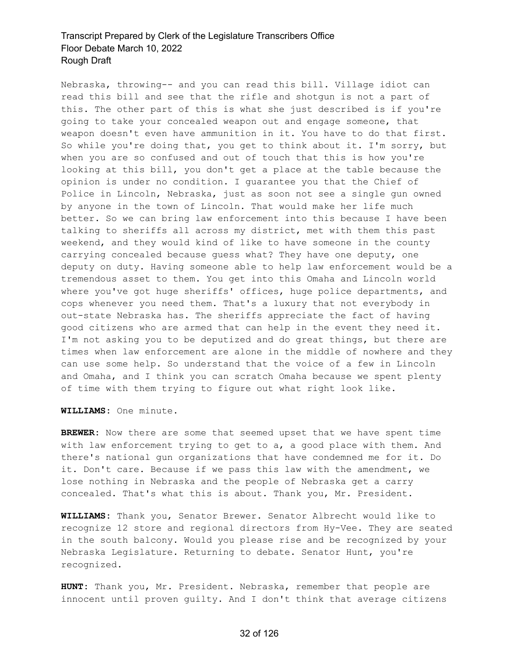Nebraska, throwing-- and you can read this bill. Village idiot can read this bill and see that the rifle and shotgun is not a part of this. The other part of this is what she just described is if you're going to take your concealed weapon out and engage someone, that weapon doesn't even have ammunition in it. You have to do that first. So while you're doing that, you get to think about it. I'm sorry, but when you are so confused and out of touch that this is how you're looking at this bill, you don't get a place at the table because the opinion is under no condition. I guarantee you that the Chief of Police in Lincoln, Nebraska, just as soon not see a single gun owned by anyone in the town of Lincoln. That would make her life much better. So we can bring law enforcement into this because I have been talking to sheriffs all across my district, met with them this past weekend, and they would kind of like to have someone in the county carrying concealed because guess what? They have one deputy, one deputy on duty. Having someone able to help law enforcement would be a tremendous asset to them. You get into this Omaha and Lincoln world where you've got huge sheriffs' offices, huge police departments, and cops whenever you need them. That's a luxury that not everybody in out-state Nebraska has. The sheriffs appreciate the fact of having good citizens who are armed that can help in the event they need it. I'm not asking you to be deputized and do great things, but there are times when law enforcement are alone in the middle of nowhere and they can use some help. So understand that the voice of a few in Lincoln and Omaha, and I think you can scratch Omaha because we spent plenty of time with them trying to figure out what right look like.

**WILLIAMS:** One minute.

**BREWER:** Now there are some that seemed upset that we have spent time with law enforcement trying to get to a, a good place with them. And there's national gun organizations that have condemned me for it. Do it. Don't care. Because if we pass this law with the amendment, we lose nothing in Nebraska and the people of Nebraska get a carry concealed. That's what this is about. Thank you, Mr. President.

**WILLIAMS:** Thank you, Senator Brewer. Senator Albrecht would like to recognize 12 store and regional directors from Hy-Vee. They are seated in the south balcony. Would you please rise and be recognized by your Nebraska Legislature. Returning to debate. Senator Hunt, you're recognized.

**HUNT:** Thank you, Mr. President. Nebraska, remember that people are innocent until proven guilty. And I don't think that average citizens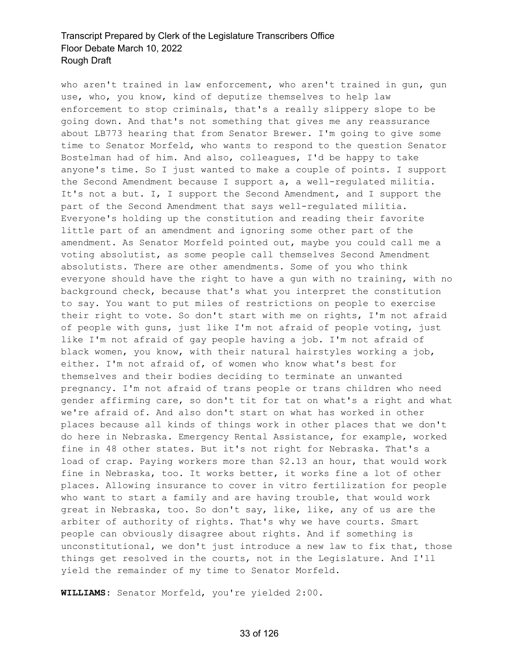who aren't trained in law enforcement, who aren't trained in gun, gun use, who, you know, kind of deputize themselves to help law enforcement to stop criminals, that's a really slippery slope to be going down. And that's not something that gives me any reassurance about LB773 hearing that from Senator Brewer. I'm going to give some time to Senator Morfeld, who wants to respond to the question Senator Bostelman had of him. And also, colleagues, I'd be happy to take anyone's time. So I just wanted to make a couple of points. I support the Second Amendment because I support a, a well-regulated militia. It's not a but. I, I support the Second Amendment, and I support the part of the Second Amendment that says well-regulated militia. Everyone's holding up the constitution and reading their favorite little part of an amendment and ignoring some other part of the amendment. As Senator Morfeld pointed out, maybe you could call me a voting absolutist, as some people call themselves Second Amendment absolutists. There are other amendments. Some of you who think everyone should have the right to have a gun with no training, with no background check, because that's what you interpret the constitution to say. You want to put miles of restrictions on people to exercise their right to vote. So don't start with me on rights, I'm not afraid of people with guns, just like I'm not afraid of people voting, just like I'm not afraid of gay people having a job. I'm not afraid of black women, you know, with their natural hairstyles working a job, either. I'm not afraid of, of women who know what's best for themselves and their bodies deciding to terminate an unwanted pregnancy. I'm not afraid of trans people or trans children who need gender affirming care, so don't tit for tat on what's a right and what we're afraid of. And also don't start on what has worked in other places because all kinds of things work in other places that we don't do here in Nebraska. Emergency Rental Assistance, for example, worked fine in 48 other states. But it's not right for Nebraska. That's a load of crap. Paying workers more than \$2.13 an hour, that would work fine in Nebraska, too. It works better, it works fine a lot of other places. Allowing insurance to cover in vitro fertilization for people who want to start a family and are having trouble, that would work great in Nebraska, too. So don't say, like, like, any of us are the arbiter of authority of rights. That's why we have courts. Smart people can obviously disagree about rights. And if something is unconstitutional, we don't just introduce a new law to fix that, those things get resolved in the courts, not in the Legislature. And I'll yield the remainder of my time to Senator Morfeld.

**WILLIAMS:** Senator Morfeld, you're yielded 2:00.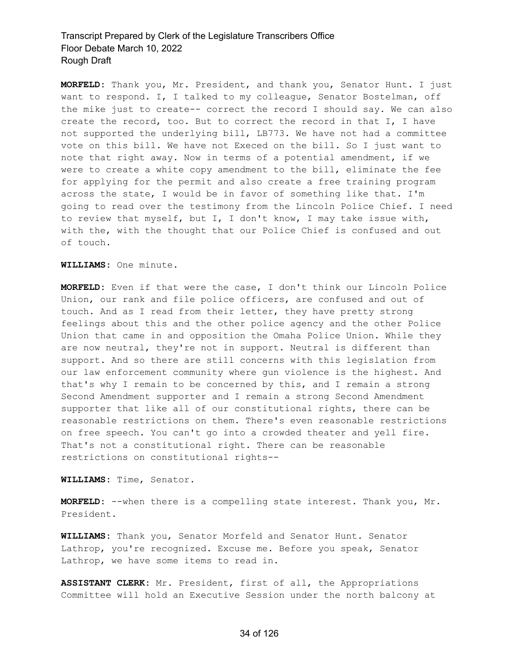**MORFELD:** Thank you, Mr. President, and thank you, Senator Hunt. I just want to respond. I, I talked to my colleague, Senator Bostelman, off the mike just to create-- correct the record I should say. We can also create the record, too. But to correct the record in that I, I have not supported the underlying bill, LB773. We have not had a committee vote on this bill. We have not Execed on the bill. So I just want to note that right away. Now in terms of a potential amendment, if we were to create a white copy amendment to the bill, eliminate the fee for applying for the permit and also create a free training program across the state, I would be in favor of something like that. I'm going to read over the testimony from the Lincoln Police Chief. I need to review that myself, but I, I don't know, I may take issue with, with the, with the thought that our Police Chief is confused and out of touch.

#### **WILLIAMS:** One minute.

**MORFELD:** Even if that were the case, I don't think our Lincoln Police Union, our rank and file police officers, are confused and out of touch. And as I read from their letter, they have pretty strong feelings about this and the other police agency and the other Police Union that came in and opposition the Omaha Police Union. While they are now neutral, they're not in support. Neutral is different than support. And so there are still concerns with this legislation from our law enforcement community where gun violence is the highest. And that's why I remain to be concerned by this, and I remain a strong Second Amendment supporter and I remain a strong Second Amendment supporter that like all of our constitutional rights, there can be reasonable restrictions on them. There's even reasonable restrictions on free speech. You can't go into a crowded theater and yell fire. That's not a constitutional right. There can be reasonable restrictions on constitutional rights--

#### **WILLIAMS:** Time, Senator.

**MORFELD:** --when there is a compelling state interest. Thank you, Mr. President.

**WILLIAMS:** Thank you, Senator Morfeld and Senator Hunt. Senator Lathrop, you're recognized. Excuse me. Before you speak, Senator Lathrop, we have some items to read in.

**ASSISTANT CLERK:** Mr. President, first of all, the Appropriations Committee will hold an Executive Session under the north balcony at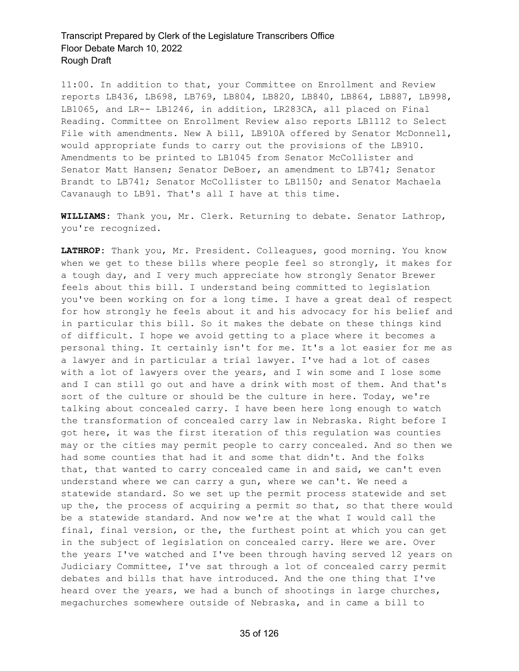11:00. In addition to that, your Committee on Enrollment and Review reports LB436, LB698, LB769, LB804, LB820, LB840, LB864, LB887, LB998, LB1065, and LR-- LB1246, in addition, LR283CA, all placed on Final Reading. Committee on Enrollment Review also reports LB1112 to Select File with amendments. New A bill, LB910A offered by Senator McDonnell, would appropriate funds to carry out the provisions of the LB910. Amendments to be printed to LB1045 from Senator McCollister and Senator Matt Hansen; Senator DeBoer, an amendment to LB741; Senator Brandt to LB741; Senator McCollister to LB1150; and Senator Machaela Cavanaugh to LB91. That's all I have at this time.

**WILLIAMS:** Thank you, Mr. Clerk. Returning to debate. Senator Lathrop, you're recognized.

**LATHROP:** Thank you, Mr. President. Colleagues, good morning. You know when we get to these bills where people feel so strongly, it makes for a tough day, and I very much appreciate how strongly Senator Brewer feels about this bill. I understand being committed to legislation you've been working on for a long time. I have a great deal of respect for how strongly he feels about it and his advocacy for his belief and in particular this bill. So it makes the debate on these things kind of difficult. I hope we avoid getting to a place where it becomes a personal thing. It certainly isn't for me. It's a lot easier for me as a lawyer and in particular a trial lawyer. I've had a lot of cases with a lot of lawyers over the years, and I win some and I lose some and I can still go out and have a drink with most of them. And that's sort of the culture or should be the culture in here. Today, we're talking about concealed carry. I have been here long enough to watch the transformation of concealed carry law in Nebraska. Right before I got here, it was the first iteration of this regulation was counties may or the cities may permit people to carry concealed. And so then we had some counties that had it and some that didn't. And the folks that, that wanted to carry concealed came in and said, we can't even understand where we can carry a gun, where we can't. We need a statewide standard. So we set up the permit process statewide and set up the, the process of acquiring a permit so that, so that there would be a statewide standard. And now we're at the what I would call the final, final version, or the, the furthest point at which you can get in the subject of legislation on concealed carry. Here we are. Over the years I've watched and I've been through having served 12 years on Judiciary Committee, I've sat through a lot of concealed carry permit debates and bills that have introduced. And the one thing that I've heard over the years, we had a bunch of shootings in large churches, megachurches somewhere outside of Nebraska, and in came a bill to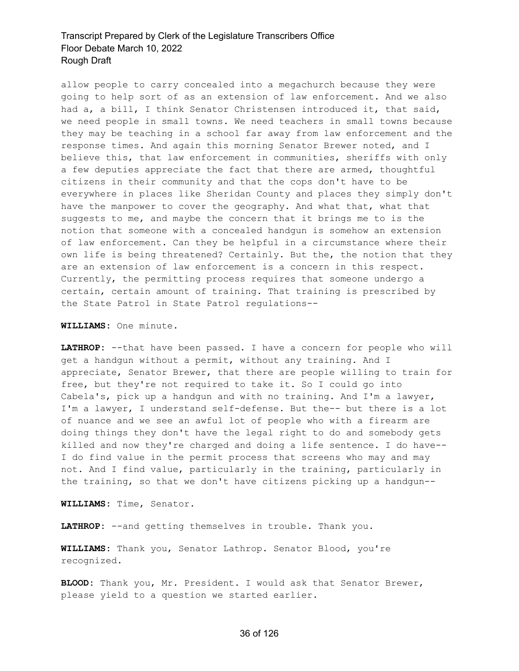allow people to carry concealed into a megachurch because they were going to help sort of as an extension of law enforcement. And we also had a, a bill, I think Senator Christensen introduced it, that said, we need people in small towns. We need teachers in small towns because they may be teaching in a school far away from law enforcement and the response times. And again this morning Senator Brewer noted, and I believe this, that law enforcement in communities, sheriffs with only a few deputies appreciate the fact that there are armed, thoughtful citizens in their community and that the cops don't have to be everywhere in places like Sheridan County and places they simply don't have the manpower to cover the geography. And what that, what that suggests to me, and maybe the concern that it brings me to is the notion that someone with a concealed handgun is somehow an extension of law enforcement. Can they be helpful in a circumstance where their own life is being threatened? Certainly. But the, the notion that they are an extension of law enforcement is a concern in this respect. Currently, the permitting process requires that someone undergo a certain, certain amount of training. That training is prescribed by the State Patrol in State Patrol regulations--

#### **WILLIAMS:** One minute.

**LATHROP:** --that have been passed. I have a concern for people who will get a handgun without a permit, without any training. And I appreciate, Senator Brewer, that there are people willing to train for free, but they're not required to take it. So I could go into Cabela's, pick up a handgun and with no training. And I'm a lawyer, I'm a lawyer, I understand self-defense. But the-- but there is a lot of nuance and we see an awful lot of people who with a firearm are doing things they don't have the legal right to do and somebody gets killed and now they're charged and doing a life sentence. I do have-- I do find value in the permit process that screens who may and may not. And I find value, particularly in the training, particularly in the training, so that we don't have citizens picking up a handgun--

**WILLIAMS:** Time, Senator.

LATHROP: --and getting themselves in trouble. Thank you.

**WILLIAMS:** Thank you, Senator Lathrop. Senator Blood, you're recognized.

**BLOOD:** Thank you, Mr. President. I would ask that Senator Brewer, please yield to a question we started earlier.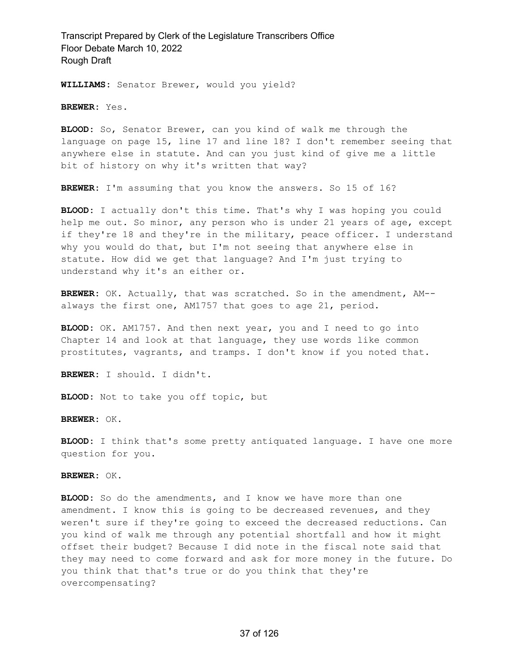**WILLIAMS:** Senator Brewer, would you yield?

**BREWER:** Yes.

**BLOOD:** So, Senator Brewer, can you kind of walk me through the language on page 15, line 17 and line 18? I don't remember seeing that anywhere else in statute. And can you just kind of give me a little bit of history on why it's written that way?

**BREWER:** I'm assuming that you know the answers. So 15 of 16?

**BLOOD:** I actually don't this time. That's why I was hoping you could help me out. So minor, any person who is under 21 years of age, except if they're 18 and they're in the military, peace officer. I understand why you would do that, but I'm not seeing that anywhere else in statute. How did we get that language? And I'm just trying to understand why it's an either or.

**BREWER:** OK. Actually, that was scratched. So in the amendment, AM- always the first one, AM1757 that goes to age 21, period.

**BLOOD:** OK. AM1757. And then next year, you and I need to go into Chapter 14 and look at that language, they use words like common prostitutes, vagrants, and tramps. I don't know if you noted that.

**BREWER:** I should. I didn't.

**BLOOD:** Not to take you off topic, but

**BREWER:** OK.

**BLOOD:** I think that's some pretty antiquated language. I have one more question for you.

**BREWER:** OK.

**BLOOD:** So do the amendments, and I know we have more than one amendment. I know this is going to be decreased revenues, and they weren't sure if they're going to exceed the decreased reductions. Can you kind of walk me through any potential shortfall and how it might offset their budget? Because I did note in the fiscal note said that they may need to come forward and ask for more money in the future. Do you think that that's true or do you think that they're overcompensating?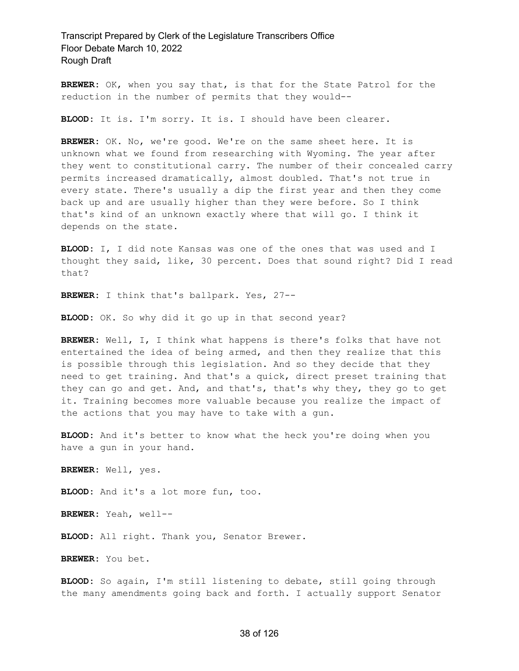**BREWER:** OK, when you say that, is that for the State Patrol for the reduction in the number of permits that they would--

**BLOOD:** It is. I'm sorry. It is. I should have been clearer.

**BREWER:** OK. No, we're good. We're on the same sheet here. It is unknown what we found from researching with Wyoming. The year after they went to constitutional carry. The number of their concealed carry permits increased dramatically, almost doubled. That's not true in every state. There's usually a dip the first year and then they come back up and are usually higher than they were before. So I think that's kind of an unknown exactly where that will go. I think it depends on the state.

**BLOOD:** I, I did note Kansas was one of the ones that was used and I thought they said, like, 30 percent. Does that sound right? Did I read that?

**BREWER:** I think that's ballpark. Yes, 27--

**BLOOD:** OK. So why did it go up in that second year?

**BREWER:** Well, I, I think what happens is there's folks that have not entertained the idea of being armed, and then they realize that this is possible through this legislation. And so they decide that they need to get training. And that's a quick, direct preset training that they can go and get. And, and that's, that's why they, they go to get it. Training becomes more valuable because you realize the impact of the actions that you may have to take with a gun.

**BLOOD:** And it's better to know what the heck you're doing when you have a gun in your hand.

**BREWER:** Well, yes.

**BLOOD:** And it's a lot more fun, too.

**BREWER:** Yeah, well--

**BLOOD:** All right. Thank you, Senator Brewer.

**BREWER:** You bet.

**BLOOD:** So again, I'm still listening to debate, still going through the many amendments going back and forth. I actually support Senator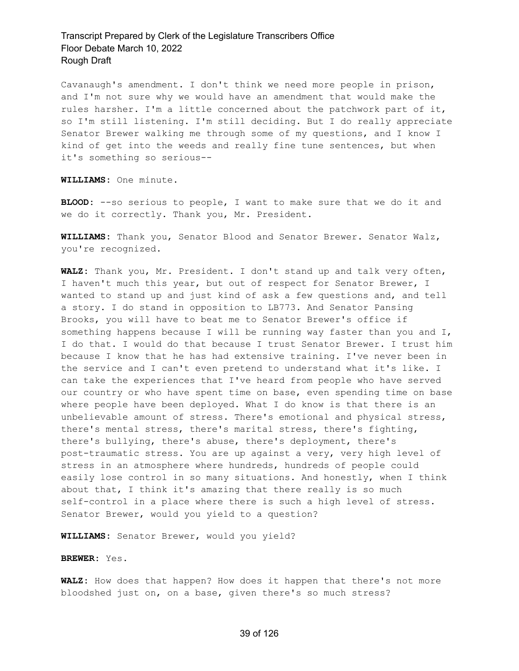Cavanaugh's amendment. I don't think we need more people in prison, and I'm not sure why we would have an amendment that would make the rules harsher. I'm a little concerned about the patchwork part of it, so I'm still listening. I'm still deciding. But I do really appreciate Senator Brewer walking me through some of my questions, and I know I kind of get into the weeds and really fine tune sentences, but when it's something so serious--

**WILLIAMS:** One minute.

**BLOOD:** --so serious to people, I want to make sure that we do it and we do it correctly. Thank you, Mr. President.

**WILLIAMS:** Thank you, Senator Blood and Senator Brewer. Senator Walz, you're recognized.

**WALZ:** Thank you, Mr. President. I don't stand up and talk very often, I haven't much this year, but out of respect for Senator Brewer, I wanted to stand up and just kind of ask a few questions and, and tell a story. I do stand in opposition to LB773. And Senator Pansing Brooks, you will have to beat me to Senator Brewer's office if something happens because I will be running way faster than you and I, I do that. I would do that because I trust Senator Brewer. I trust him because I know that he has had extensive training. I've never been in the service and I can't even pretend to understand what it's like. I can take the experiences that I've heard from people who have served our country or who have spent time on base, even spending time on base where people have been deployed. What I do know is that there is an unbelievable amount of stress. There's emotional and physical stress, there's mental stress, there's marital stress, there's fighting, there's bullying, there's abuse, there's deployment, there's post-traumatic stress. You are up against a very, very high level of stress in an atmosphere where hundreds, hundreds of people could easily lose control in so many situations. And honestly, when I think about that, I think it's amazing that there really is so much self-control in a place where there is such a high level of stress. Senator Brewer, would you yield to a question?

**WILLIAMS:** Senator Brewer, would you yield?

#### **BREWER:** Yes.

**WALZ:** How does that happen? How does it happen that there's not more bloodshed just on, on a base, given there's so much stress?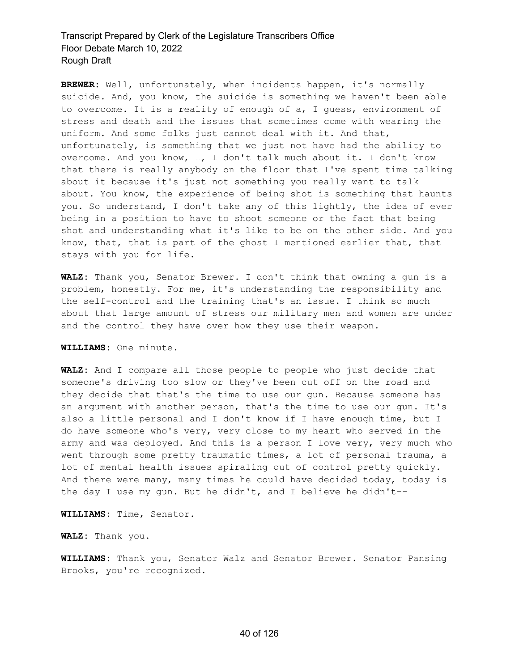**BREWER:** Well, unfortunately, when incidents happen, it's normally suicide. And, you know, the suicide is something we haven't been able to overcome. It is a reality of enough of a, I guess, environment of stress and death and the issues that sometimes come with wearing the uniform. And some folks just cannot deal with it. And that, unfortunately, is something that we just not have had the ability to overcome. And you know, I, I don't talk much about it. I don't know that there is really anybody on the floor that I've spent time talking about it because it's just not something you really want to talk about. You know, the experience of being shot is something that haunts you. So understand, I don't take any of this lightly, the idea of ever being in a position to have to shoot someone or the fact that being shot and understanding what it's like to be on the other side. And you know, that, that is part of the ghost I mentioned earlier that, that stays with you for life.

**WALZ:** Thank you, Senator Brewer. I don't think that owning a gun is a problem, honestly. For me, it's understanding the responsibility and the self-control and the training that's an issue. I think so much about that large amount of stress our military men and women are under and the control they have over how they use their weapon.

#### **WILLIAMS:** One minute.

**WALZ:** And I compare all those people to people who just decide that someone's driving too slow or they've been cut off on the road and they decide that that's the time to use our gun. Because someone has an argument with another person, that's the time to use our gun. It's also a little personal and I don't know if I have enough time, but I do have someone who's very, very close to my heart who served in the army and was deployed. And this is a person I love very, very much who went through some pretty traumatic times, a lot of personal trauma, a lot of mental health issues spiraling out of control pretty quickly. And there were many, many times he could have decided today, today is the day I use my gun. But he didn't, and I believe he didn't--

**WILLIAMS:** Time, Senator.

**WALZ:** Thank you.

**WILLIAMS:** Thank you, Senator Walz and Senator Brewer. Senator Pansing Brooks, you're recognized.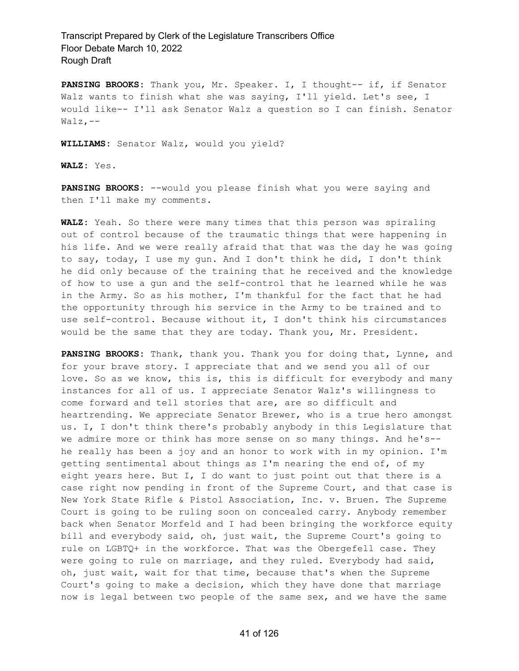**PANSING BROOKS:** Thank you, Mr. Speaker. I, I thought-- if, if Senator Walz wants to finish what she was saying, I'll yield. Let's see, I would like-- I'll ask Senator Walz a question so I can finish. Senator Walz,--

**WILLIAMS:** Senator Walz, would you yield?

**WALZ:** Yes.

**PANSING BROOKS:** --would you please finish what you were saying and then I'll make my comments.

**WALZ:** Yeah. So there were many times that this person was spiraling out of control because of the traumatic things that were happening in his life. And we were really afraid that that was the day he was going to say, today, I use my gun. And I don't think he did, I don't think he did only because of the training that he received and the knowledge of how to use a gun and the self-control that he learned while he was in the Army. So as his mother, I'm thankful for the fact that he had the opportunity through his service in the Army to be trained and to use self-control. Because without it, I don't think his circumstances would be the same that they are today. Thank you, Mr. President.

**PANSING BROOKS:** Thank, thank you. Thank you for doing that, Lynne, and for your brave story. I appreciate that and we send you all of our love. So as we know, this is, this is difficult for everybody and many instances for all of us. I appreciate Senator Walz's willingness to come forward and tell stories that are, are so difficult and heartrending. We appreciate Senator Brewer, who is a true hero amongst us. I, I don't think there's probably anybody in this Legislature that we admire more or think has more sense on so many things. And he's- he really has been a joy and an honor to work with in my opinion. I'm getting sentimental about things as I'm nearing the end of, of my eight years here. But I, I do want to just point out that there is a case right now pending in front of the Supreme Court, and that case is New York State Rifle & Pistol Association, Inc. v. Bruen. The Supreme Court is going to be ruling soon on concealed carry. Anybody remember back when Senator Morfeld and I had been bringing the workforce equity bill and everybody said, oh, just wait, the Supreme Court's going to rule on LGBTQ+ in the workforce. That was the Obergefell case. They were going to rule on marriage, and they ruled. Everybody had said, oh, just wait, wait for that time, because that's when the Supreme Court's going to make a decision, which they have done that marriage now is legal between two people of the same sex, and we have the same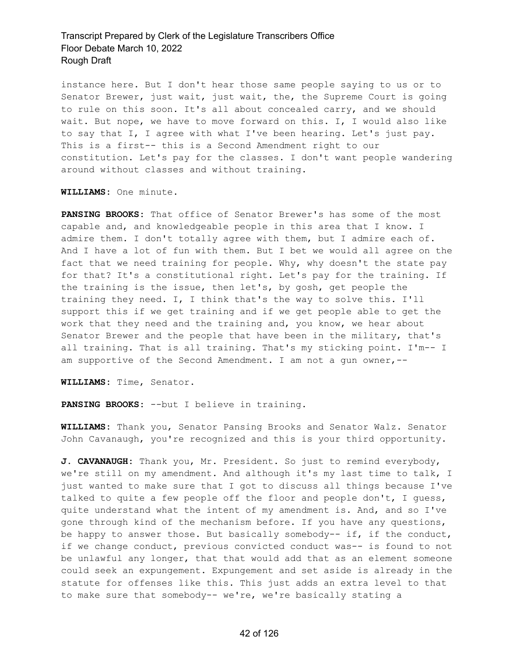instance here. But I don't hear those same people saying to us or to Senator Brewer, just wait, just wait, the, the Supreme Court is going to rule on this soon. It's all about concealed carry, and we should wait. But nope, we have to move forward on this. I, I would also like to say that I, I agree with what I've been hearing. Let's just pay. This is a first-- this is a Second Amendment right to our constitution. Let's pay for the classes. I don't want people wandering around without classes and without training.

**WILLIAMS:** One minute.

**PANSING BROOKS:** That office of Senator Brewer's has some of the most capable and, and knowledgeable people in this area that I know. I admire them. I don't totally agree with them, but I admire each of. And I have a lot of fun with them. But I bet we would all agree on the fact that we need training for people. Why, why doesn't the state pay for that? It's a constitutional right. Let's pay for the training. If the training is the issue, then let's, by gosh, get people the training they need. I, I think that's the way to solve this. I'll support this if we get training and if we get people able to get the work that they need and the training and, you know, we hear about Senator Brewer and the people that have been in the military, that's all training. That is all training. That's my sticking point. I'm-- I am supportive of the Second Amendment. I am not a gun owner,--

**WILLIAMS:** Time, Senator.

**PANSING BROOKS:** --but I believe in training.

**WILLIAMS:** Thank you, Senator Pansing Brooks and Senator Walz. Senator John Cavanaugh, you're recognized and this is your third opportunity.

**J. CAVANAUGH:** Thank you, Mr. President. So just to remind everybody, we're still on my amendment. And although it's my last time to talk, I just wanted to make sure that I got to discuss all things because I've talked to quite a few people off the floor and people don't, I guess, quite understand what the intent of my amendment is. And, and so I've gone through kind of the mechanism before. If you have any questions, be happy to answer those. But basically somebody-- if, if the conduct, if we change conduct, previous convicted conduct was-- is found to not be unlawful any longer, that that would add that as an element someone could seek an expungement. Expungement and set aside is already in the statute for offenses like this. This just adds an extra level to that to make sure that somebody-- we're, we're basically stating a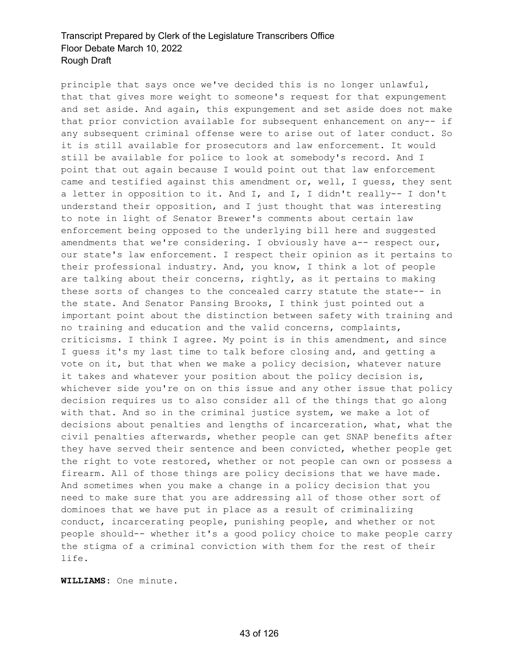principle that says once we've decided this is no longer unlawful, that that gives more weight to someone's request for that expungement and set aside. And again, this expungement and set aside does not make that prior conviction available for subsequent enhancement on any-- if any subsequent criminal offense were to arise out of later conduct. So it is still available for prosecutors and law enforcement. It would still be available for police to look at somebody's record. And I point that out again because I would point out that law enforcement came and testified against this amendment or, well, I guess, they sent a letter in opposition to it. And I, and I, I didn't really-- I don't understand their opposition, and I just thought that was interesting to note in light of Senator Brewer's comments about certain law enforcement being opposed to the underlying bill here and suggested amendments that we're considering. I obviously have a-- respect our, our state's law enforcement. I respect their opinion as it pertains to their professional industry. And, you know, I think a lot of people are talking about their concerns, rightly, as it pertains to making these sorts of changes to the concealed carry statute the state-- in the state. And Senator Pansing Brooks, I think just pointed out a important point about the distinction between safety with training and no training and education and the valid concerns, complaints, criticisms. I think I agree. My point is in this amendment, and since I guess it's my last time to talk before closing and, and getting a vote on it, but that when we make a policy decision, whatever nature it takes and whatever your position about the policy decision is, whichever side you're on on this issue and any other issue that policy decision requires us to also consider all of the things that go along with that. And so in the criminal justice system, we make a lot of decisions about penalties and lengths of incarceration, what, what the civil penalties afterwards, whether people can get SNAP benefits after they have served their sentence and been convicted, whether people get the right to vote restored, whether or not people can own or possess a firearm. All of those things are policy decisions that we have made. And sometimes when you make a change in a policy decision that you need to make sure that you are addressing all of those other sort of dominoes that we have put in place as a result of criminalizing conduct, incarcerating people, punishing people, and whether or not people should-- whether it's a good policy choice to make people carry the stigma of a criminal conviction with them for the rest of their life.

**WILLIAMS:** One minute.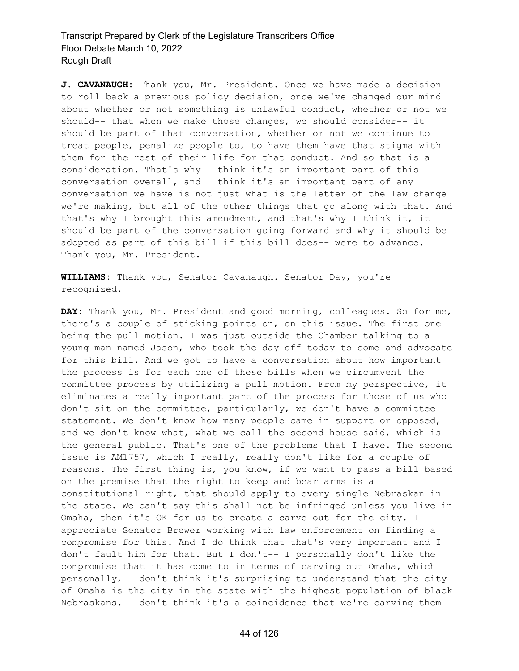**J. CAVANAUGH:** Thank you, Mr. President. Once we have made a decision to roll back a previous policy decision, once we've changed our mind about whether or not something is unlawful conduct, whether or not we should-- that when we make those changes, we should consider-- it should be part of that conversation, whether or not we continue to treat people, penalize people to, to have them have that stigma with them for the rest of their life for that conduct. And so that is a consideration. That's why I think it's an important part of this conversation overall, and I think it's an important part of any conversation we have is not just what is the letter of the law change we're making, but all of the other things that go along with that. And that's why I brought this amendment, and that's why I think it, it should be part of the conversation going forward and why it should be adopted as part of this bill if this bill does-- were to advance. Thank you, Mr. President.

**WILLIAMS:** Thank you, Senator Cavanaugh. Senator Day, you're recognized.

**DAY:** Thank you, Mr. President and good morning, colleagues. So for me, there's a couple of sticking points on, on this issue. The first one being the pull motion. I was just outside the Chamber talking to a young man named Jason, who took the day off today to come and advocate for this bill. And we got to have a conversation about how important the process is for each one of these bills when we circumvent the committee process by utilizing a pull motion. From my perspective, it eliminates a really important part of the process for those of us who don't sit on the committee, particularly, we don't have a committee statement. We don't know how many people came in support or opposed, and we don't know what, what we call the second house said, which is the general public. That's one of the problems that I have. The second issue is AM1757, which I really, really don't like for a couple of reasons. The first thing is, you know, if we want to pass a bill based on the premise that the right to keep and bear arms is a constitutional right, that should apply to every single Nebraskan in the state. We can't say this shall not be infringed unless you live in Omaha, then it's OK for us to create a carve out for the city. I appreciate Senator Brewer working with law enforcement on finding a compromise for this. And I do think that that's very important and I don't fault him for that. But I don't-- I personally don't like the compromise that it has come to in terms of carving out Omaha, which personally, I don't think it's surprising to understand that the city of Omaha is the city in the state with the highest population of black Nebraskans. I don't think it's a coincidence that we're carving them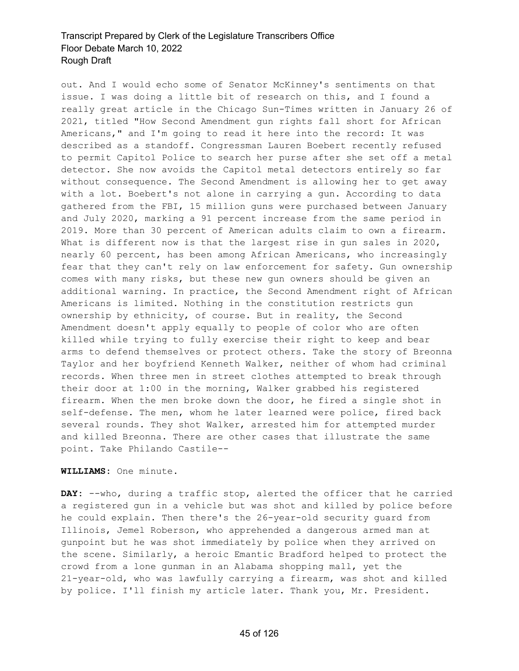out. And I would echo some of Senator McKinney's sentiments on that issue. I was doing a little bit of research on this, and I found a really great article in the Chicago Sun-Times written in January 26 of 2021, titled "How Second Amendment gun rights fall short for African Americans," and I'm going to read it here into the record: It was described as a standoff. Congressman Lauren Boebert recently refused to permit Capitol Police to search her purse after she set off a metal detector. She now avoids the Capitol metal detectors entirely so far without consequence. The Second Amendment is allowing her to get away with a lot. Boebert's not alone in carrying a gun. According to data gathered from the FBI, 15 million guns were purchased between January and July 2020, marking a 91 percent increase from the same period in 2019. More than 30 percent of American adults claim to own a firearm. What is different now is that the largest rise in gun sales in 2020, nearly 60 percent, has been among African Americans, who increasingly fear that they can't rely on law enforcement for safety. Gun ownership comes with many risks, but these new gun owners should be given an additional warning. In practice, the Second Amendment right of African Americans is limited. Nothing in the constitution restricts gun ownership by ethnicity, of course. But in reality, the Second Amendment doesn't apply equally to people of color who are often killed while trying to fully exercise their right to keep and bear arms to defend themselves or protect others. Take the story of Breonna Taylor and her boyfriend Kenneth Walker, neither of whom had criminal records. When three men in street clothes attempted to break through their door at 1:00 in the morning, Walker grabbed his registered firearm. When the men broke down the door, he fired a single shot in self-defense. The men, whom he later learned were police, fired back several rounds. They shot Walker, arrested him for attempted murder and killed Breonna. There are other cases that illustrate the same point. Take Philando Castile--

#### **WILLIAMS:** One minute.

**DAY:** --who, during a traffic stop, alerted the officer that he carried a registered gun in a vehicle but was shot and killed by police before he could explain. Then there's the 26-year-old security guard from Illinois, Jemel Roberson, who apprehended a dangerous armed man at gunpoint but he was shot immediately by police when they arrived on the scene. Similarly, a heroic Emantic Bradford helped to protect the crowd from a lone gunman in an Alabama shopping mall, yet the 21-year-old, who was lawfully carrying a firearm, was shot and killed by police. I'll finish my article later. Thank you, Mr. President.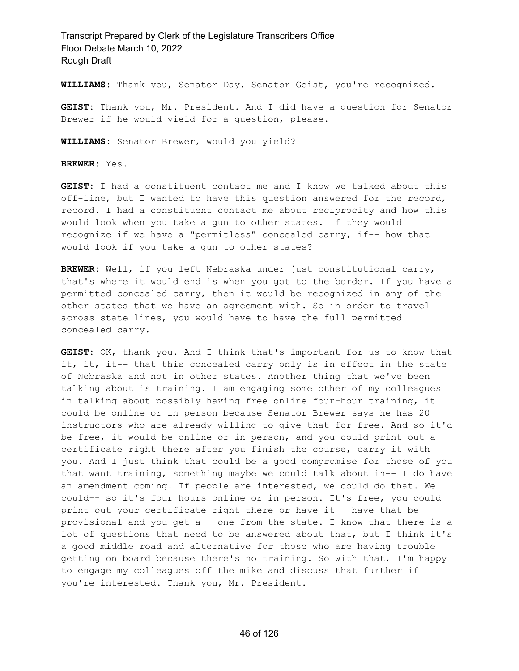**WILLIAMS:** Thank you, Senator Day. Senator Geist, you're recognized.

**GEIST:** Thank you, Mr. President. And I did have a question for Senator Brewer if he would yield for a question, please.

**WILLIAMS:** Senator Brewer, would you yield?

**BREWER:** Yes.

**GEIST:** I had a constituent contact me and I know we talked about this off-line, but I wanted to have this question answered for the record, record. I had a constituent contact me about reciprocity and how this would look when you take a gun to other states. If they would recognize if we have a "permitless" concealed carry, if-- how that would look if you take a gun to other states?

**BREWER:** Well, if you left Nebraska under just constitutional carry, that's where it would end is when you got to the border. If you have a permitted concealed carry, then it would be recognized in any of the other states that we have an agreement with. So in order to travel across state lines, you would have to have the full permitted concealed carry.

**GEIST:** OK, thank you. And I think that's important for us to know that it, it, it-- that this concealed carry only is in effect in the state of Nebraska and not in other states. Another thing that we've been talking about is training. I am engaging some other of my colleagues in talking about possibly having free online four-hour training, it could be online or in person because Senator Brewer says he has 20 instructors who are already willing to give that for free. And so it'd be free, it would be online or in person, and you could print out a certificate right there after you finish the course, carry it with you. And I just think that could be a good compromise for those of you that want training, something maybe we could talk about in-- I do have an amendment coming. If people are interested, we could do that. We could-- so it's four hours online or in person. It's free, you could print out your certificate right there or have it-- have that be provisional and you get a-- one from the state. I know that there is a lot of questions that need to be answered about that, but I think it's a good middle road and alternative for those who are having trouble getting on board because there's no training. So with that, I'm happy to engage my colleagues off the mike and discuss that further if you're interested. Thank you, Mr. President.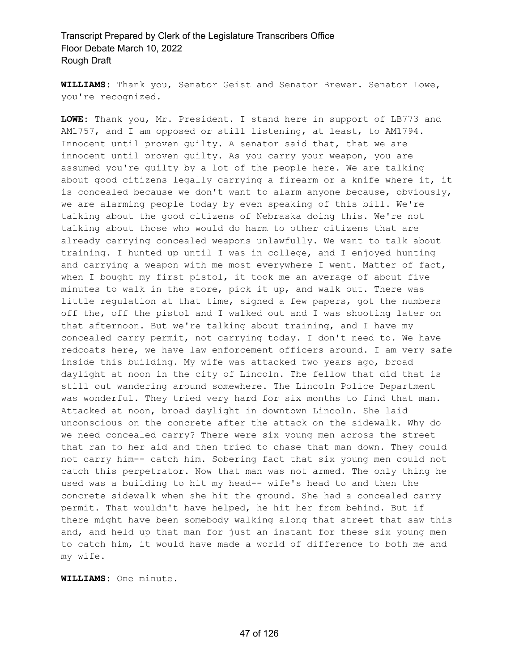**WILLIAMS:** Thank you, Senator Geist and Senator Brewer. Senator Lowe, you're recognized.

**LOWE:** Thank you, Mr. President. I stand here in support of LB773 and AM1757, and I am opposed or still listening, at least, to AM1794. Innocent until proven guilty. A senator said that, that we are innocent until proven guilty. As you carry your weapon, you are assumed you're guilty by a lot of the people here. We are talking about good citizens legally carrying a firearm or a knife where it, it is concealed because we don't want to alarm anyone because, obviously, we are alarming people today by even speaking of this bill. We're talking about the good citizens of Nebraska doing this. We're not talking about those who would do harm to other citizens that are already carrying concealed weapons unlawfully. We want to talk about training. I hunted up until I was in college, and I enjoyed hunting and carrying a weapon with me most everywhere I went. Matter of fact, when I bought my first pistol, it took me an average of about five minutes to walk in the store, pick it up, and walk out. There was little regulation at that time, signed a few papers, got the numbers off the, off the pistol and I walked out and I was shooting later on that afternoon. But we're talking about training, and I have my concealed carry permit, not carrying today. I don't need to. We have redcoats here, we have law enforcement officers around. I am very safe inside this building. My wife was attacked two years ago, broad daylight at noon in the city of Lincoln. The fellow that did that is still out wandering around somewhere. The Lincoln Police Department was wonderful. They tried very hard for six months to find that man. Attacked at noon, broad daylight in downtown Lincoln. She laid unconscious on the concrete after the attack on the sidewalk. Why do we need concealed carry? There were six young men across the street that ran to her aid and then tried to chase that man down. They could not carry him-- catch him. Sobering fact that six young men could not catch this perpetrator. Now that man was not armed. The only thing he used was a building to hit my head-- wife's head to and then the concrete sidewalk when she hit the ground. She had a concealed carry permit. That wouldn't have helped, he hit her from behind. But if there might have been somebody walking along that street that saw this and, and held up that man for just an instant for these six young men to catch him, it would have made a world of difference to both me and my wife.

**WILLIAMS:** One minute.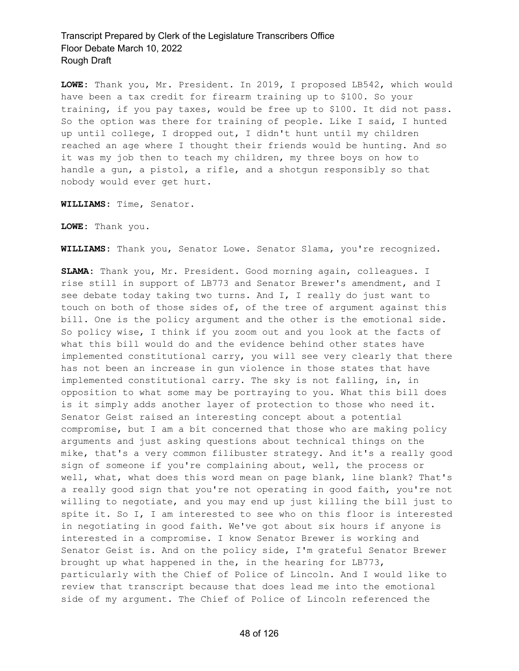**LOWE:** Thank you, Mr. President. In 2019, I proposed LB542, which would have been a tax credit for firearm training up to \$100. So your training, if you pay taxes, would be free up to \$100. It did not pass. So the option was there for training of people. Like I said, I hunted up until college, I dropped out, I didn't hunt until my children reached an age where I thought their friends would be hunting. And so it was my job then to teach my children, my three boys on how to handle a gun, a pistol, a rifle, and a shotgun responsibly so that nobody would ever get hurt.

**WILLIAMS:** Time, Senator.

**LOWE:** Thank you.

**WILLIAMS:** Thank you, Senator Lowe. Senator Slama, you're recognized.

**SLAMA:** Thank you, Mr. President. Good morning again, colleagues. I rise still in support of LB773 and Senator Brewer's amendment, and I see debate today taking two turns. And I, I really do just want to touch on both of those sides of, of the tree of argument against this bill. One is the policy argument and the other is the emotional side. So policy wise, I think if you zoom out and you look at the facts of what this bill would do and the evidence behind other states have implemented constitutional carry, you will see very clearly that there has not been an increase in gun violence in those states that have implemented constitutional carry. The sky is not falling, in, in opposition to what some may be portraying to you. What this bill does is it simply adds another layer of protection to those who need it. Senator Geist raised an interesting concept about a potential compromise, but I am a bit concerned that those who are making policy arguments and just asking questions about technical things on the mike, that's a very common filibuster strategy. And it's a really good sign of someone if you're complaining about, well, the process or well, what, what does this word mean on page blank, line blank? That's a really good sign that you're not operating in good faith, you're not willing to negotiate, and you may end up just killing the bill just to spite it. So I, I am interested to see who on this floor is interested in negotiating in good faith. We've got about six hours if anyone is interested in a compromise. I know Senator Brewer is working and Senator Geist is. And on the policy side, I'm grateful Senator Brewer brought up what happened in the, in the hearing for LB773, particularly with the Chief of Police of Lincoln. And I would like to review that transcript because that does lead me into the emotional side of my argument. The Chief of Police of Lincoln referenced the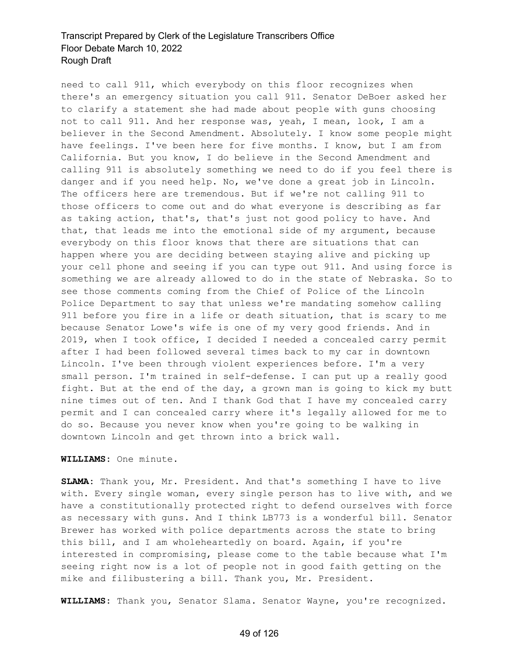need to call 911, which everybody on this floor recognizes when there's an emergency situation you call 911. Senator DeBoer asked her to clarify a statement she had made about people with guns choosing not to call 911. And her response was, yeah, I mean, look, I am a believer in the Second Amendment. Absolutely. I know some people might have feelings. I've been here for five months. I know, but I am from California. But you know, I do believe in the Second Amendment and calling 911 is absolutely something we need to do if you feel there is danger and if you need help. No, we've done a great job in Lincoln. The officers here are tremendous. But if we're not calling 911 to those officers to come out and do what everyone is describing as far as taking action, that's, that's just not good policy to have. And that, that leads me into the emotional side of my argument, because everybody on this floor knows that there are situations that can happen where you are deciding between staying alive and picking up your cell phone and seeing if you can type out 911. And using force is something we are already allowed to do in the state of Nebraska. So to see those comments coming from the Chief of Police of the Lincoln Police Department to say that unless we're mandating somehow calling 911 before you fire in a life or death situation, that is scary to me because Senator Lowe's wife is one of my very good friends. And in 2019, when I took office, I decided I needed a concealed carry permit after I had been followed several times back to my car in downtown Lincoln. I've been through violent experiences before. I'm a very small person. I'm trained in self-defense. I can put up a really good fight. But at the end of the day, a grown man is going to kick my butt nine times out of ten. And I thank God that I have my concealed carry permit and I can concealed carry where it's legally allowed for me to do so. Because you never know when you're going to be walking in downtown Lincoln and get thrown into a brick wall.

#### **WILLIAMS:** One minute.

**SLAMA:** Thank you, Mr. President. And that's something I have to live with. Every single woman, every single person has to live with, and we have a constitutionally protected right to defend ourselves with force as necessary with guns. And I think LB773 is a wonderful bill. Senator Brewer has worked with police departments across the state to bring this bill, and I am wholeheartedly on board. Again, if you're interested in compromising, please come to the table because what I'm seeing right now is a lot of people not in good faith getting on the mike and filibustering a bill. Thank you, Mr. President.

**WILLIAMS:** Thank you, Senator Slama. Senator Wayne, you're recognized.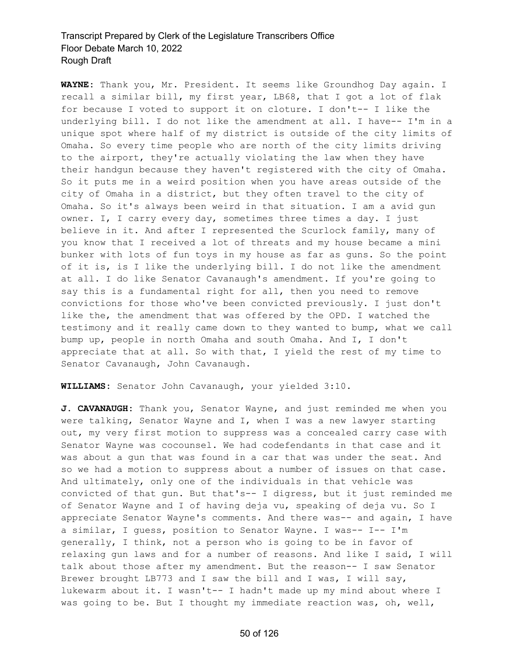**WAYNE:** Thank you, Mr. President. It seems like Groundhog Day again. I recall a similar bill, my first year, LB68, that I got a lot of flak for because I voted to support it on cloture. I don't-- I like the underlying bill. I do not like the amendment at all. I have-- I'm in a unique spot where half of my district is outside of the city limits of Omaha. So every time people who are north of the city limits driving to the airport, they're actually violating the law when they have their handgun because they haven't registered with the city of Omaha. So it puts me in a weird position when you have areas outside of the city of Omaha in a district, but they often travel to the city of Omaha. So it's always been weird in that situation. I am a avid gun owner. I, I carry every day, sometimes three times a day. I just believe in it. And after I represented the Scurlock family, many of you know that I received a lot of threats and my house became a mini bunker with lots of fun toys in my house as far as guns. So the point of it is, is I like the underlying bill. I do not like the amendment at all. I do like Senator Cavanaugh's amendment. If you're going to say this is a fundamental right for all, then you need to remove convictions for those who've been convicted previously. I just don't like the, the amendment that was offered by the OPD. I watched the testimony and it really came down to they wanted to bump, what we call bump up, people in north Omaha and south Omaha. And I, I don't appreciate that at all. So with that, I yield the rest of my time to Senator Cavanaugh, John Cavanaugh.

**WILLIAMS:** Senator John Cavanaugh, your yielded 3:10.

**J. CAVANAUGH:** Thank you, Senator Wayne, and just reminded me when you were talking, Senator Wayne and I, when I was a new lawyer starting out, my very first motion to suppress was a concealed carry case with Senator Wayne was cocounsel. We had codefendants in that case and it was about a gun that was found in a car that was under the seat. And so we had a motion to suppress about a number of issues on that case. And ultimately, only one of the individuals in that vehicle was convicted of that gun. But that's-- I digress, but it just reminded me of Senator Wayne and I of having deja vu, speaking of deja vu. So I appreciate Senator Wayne's comments. And there was-- and again, I have a similar, I guess, position to Senator Wayne. I was-- I-- I'm generally, I think, not a person who is going to be in favor of relaxing gun laws and for a number of reasons. And like I said, I will talk about those after my amendment. But the reason-- I saw Senator Brewer brought LB773 and I saw the bill and I was, I will say, lukewarm about it. I wasn't-- I hadn't made up my mind about where I was going to be. But I thought my immediate reaction was, oh, well,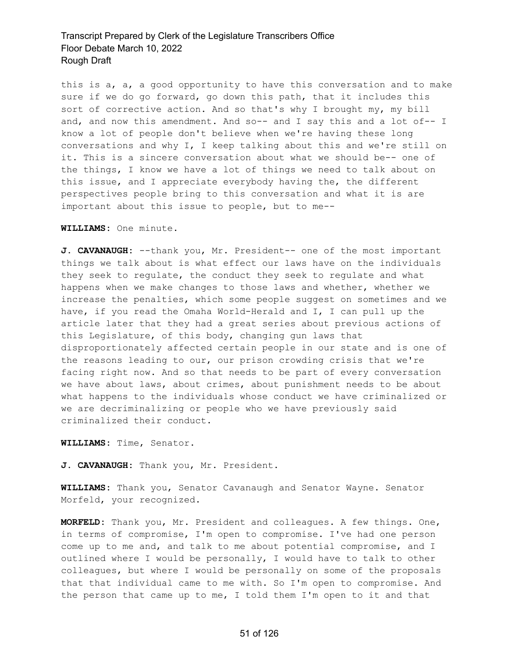this is a, a, a good opportunity to have this conversation and to make sure if we do go forward, go down this path, that it includes this sort of corrective action. And so that's why I brought my, my bill and, and now this amendment. And so-- and I say this and a lot of-- I know a lot of people don't believe when we're having these long conversations and why I, I keep talking about this and we're still on it. This is a sincere conversation about what we should be-- one of the things, I know we have a lot of things we need to talk about on this issue, and I appreciate everybody having the, the different perspectives people bring to this conversation and what it is are important about this issue to people, but to me--

#### **WILLIAMS:** One minute.

**J. CAVANAUGH:** --thank you, Mr. President-- one of the most important things we talk about is what effect our laws have on the individuals they seek to regulate, the conduct they seek to regulate and what happens when we make changes to those laws and whether, whether we increase the penalties, which some people suggest on sometimes and we have, if you read the Omaha World-Herald and I, I can pull up the article later that they had a great series about previous actions of this Legislature, of this body, changing gun laws that disproportionately affected certain people in our state and is one of the reasons leading to our, our prison crowding crisis that we're facing right now. And so that needs to be part of every conversation we have about laws, about crimes, about punishment needs to be about what happens to the individuals whose conduct we have criminalized or we are decriminalizing or people who we have previously said criminalized their conduct.

**WILLIAMS:** Time, Senator.

**J. CAVANAUGH:** Thank you, Mr. President.

**WILLIAMS:** Thank you, Senator Cavanaugh and Senator Wayne. Senator Morfeld, your recognized.

**MORFELD:** Thank you, Mr. President and colleagues. A few things. One, in terms of compromise, I'm open to compromise. I've had one person come up to me and, and talk to me about potential compromise, and I outlined where I would be personally, I would have to talk to other colleagues, but where I would be personally on some of the proposals that that individual came to me with. So I'm open to compromise. And the person that came up to me, I told them I'm open to it and that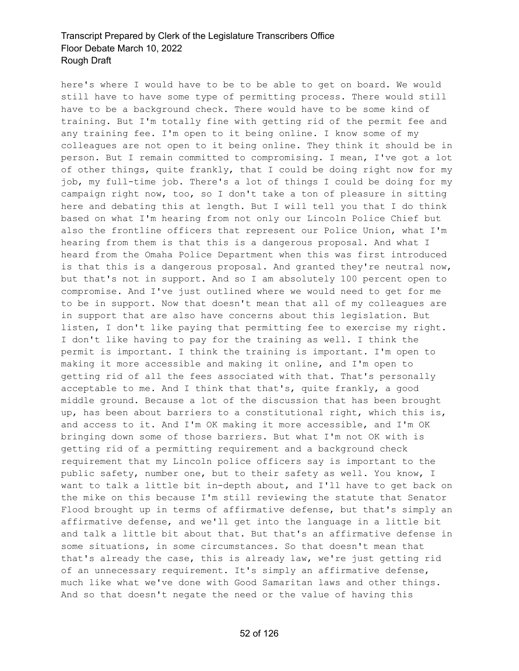here's where I would have to be to be able to get on board. We would still have to have some type of permitting process. There would still have to be a background check. There would have to be some kind of training. But I'm totally fine with getting rid of the permit fee and any training fee. I'm open to it being online. I know some of my colleagues are not open to it being online. They think it should be in person. But I remain committed to compromising. I mean, I've got a lot of other things, quite frankly, that I could be doing right now for my job, my full-time job. There's a lot of things I could be doing for my campaign right now, too, so I don't take a ton of pleasure in sitting here and debating this at length. But I will tell you that I do think based on what I'm hearing from not only our Lincoln Police Chief but also the frontline officers that represent our Police Union, what I'm hearing from them is that this is a dangerous proposal. And what I heard from the Omaha Police Department when this was first introduced is that this is a dangerous proposal. And granted they're neutral now, but that's not in support. And so I am absolutely 100 percent open to compromise. And I've just outlined where we would need to get for me to be in support. Now that doesn't mean that all of my colleagues are in support that are also have concerns about this legislation. But listen, I don't like paying that permitting fee to exercise my right. I don't like having to pay for the training as well. I think the permit is important. I think the training is important. I'm open to making it more accessible and making it online, and I'm open to getting rid of all the fees associated with that. That's personally acceptable to me. And I think that that's, quite frankly, a good middle ground. Because a lot of the discussion that has been brought up, has been about barriers to a constitutional right, which this is, and access to it. And I'm OK making it more accessible, and I'm OK bringing down some of those barriers. But what I'm not OK with is getting rid of a permitting requirement and a background check requirement that my Lincoln police officers say is important to the public safety, number one, but to their safety as well. You know, I want to talk a little bit in-depth about, and I'll have to get back on the mike on this because I'm still reviewing the statute that Senator Flood brought up in terms of affirmative defense, but that's simply an affirmative defense, and we'll get into the language in a little bit and talk a little bit about that. But that's an affirmative defense in some situations, in some circumstances. So that doesn't mean that that's already the case, this is already law, we're just getting rid of an unnecessary requirement. It's simply an affirmative defense, much like what we've done with Good Samaritan laws and other things. And so that doesn't negate the need or the value of having this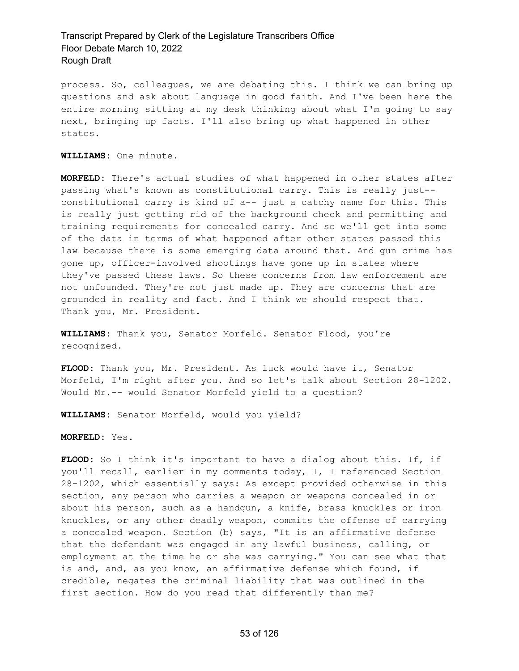process. So, colleagues, we are debating this. I think we can bring up questions and ask about language in good faith. And I've been here the entire morning sitting at my desk thinking about what I'm going to say next, bringing up facts. I'll also bring up what happened in other states.

**WILLIAMS:** One minute.

**MORFELD:** There's actual studies of what happened in other states after passing what's known as constitutional carry. This is really just- constitutional carry is kind of a-- just a catchy name for this. This is really just getting rid of the background check and permitting and training requirements for concealed carry. And so we'll get into some of the data in terms of what happened after other states passed this law because there is some emerging data around that. And gun crime has gone up, officer-involved shootings have gone up in states where they've passed these laws. So these concerns from law enforcement are not unfounded. They're not just made up. They are concerns that are grounded in reality and fact. And I think we should respect that. Thank you, Mr. President.

**WILLIAMS:** Thank you, Senator Morfeld. Senator Flood, you're recognized.

**FLOOD:** Thank you, Mr. President. As luck would have it, Senator Morfeld, I'm right after you. And so let's talk about Section 28-1202. Would Mr.-- would Senator Morfeld yield to a question?

**WILLIAMS:** Senator Morfeld, would you yield?

**MORFELD:** Yes.

**FLOOD:** So I think it's important to have a dialog about this. If, if you'll recall, earlier in my comments today, I, I referenced Section 28-1202, which essentially says: As except provided otherwise in this section, any person who carries a weapon or weapons concealed in or about his person, such as a handgun, a knife, brass knuckles or iron knuckles, or any other deadly weapon, commits the offense of carrying a concealed weapon. Section (b) says, "It is an affirmative defense that the defendant was engaged in any lawful business, calling, or employment at the time he or she was carrying." You can see what that is and, and, as you know, an affirmative defense which found, if credible, negates the criminal liability that was outlined in the first section. How do you read that differently than me?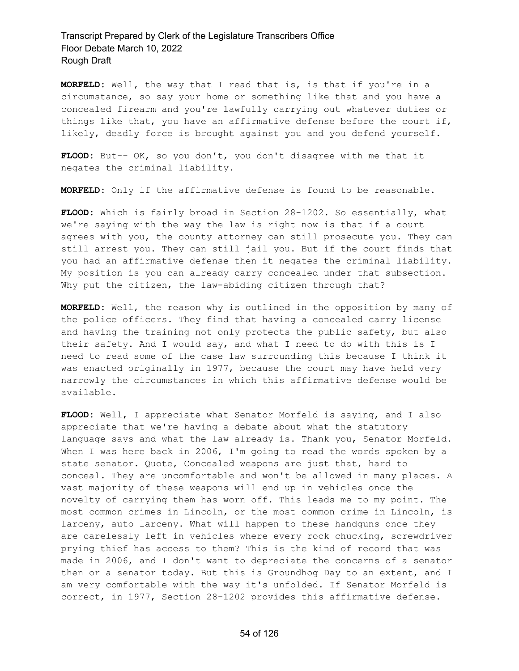**MORFELD:** Well, the way that I read that is, is that if you're in a circumstance, so say your home or something like that and you have a concealed firearm and you're lawfully carrying out whatever duties or things like that, you have an affirmative defense before the court if, likely, deadly force is brought against you and you defend yourself.

**FLOOD:** But-- OK, so you don't, you don't disagree with me that it negates the criminal liability.

**MORFELD:** Only if the affirmative defense is found to be reasonable.

**FLOOD:** Which is fairly broad in Section 28-1202. So essentially, what we're saying with the way the law is right now is that if a court agrees with you, the county attorney can still prosecute you. They can still arrest you. They can still jail you. But if the court finds that you had an affirmative defense then it negates the criminal liability. My position is you can already carry concealed under that subsection. Why put the citizen, the law-abiding citizen through that?

**MORFELD:** Well, the reason why is outlined in the opposition by many of the police officers. They find that having a concealed carry license and having the training not only protects the public safety, but also their safety. And I would say, and what I need to do with this is I need to read some of the case law surrounding this because I think it was enacted originally in 1977, because the court may have held very narrowly the circumstances in which this affirmative defense would be available.

**FLOOD:** Well, I appreciate what Senator Morfeld is saying, and I also appreciate that we're having a debate about what the statutory language says and what the law already is. Thank you, Senator Morfeld. When I was here back in 2006, I'm going to read the words spoken by a state senator. Quote, Concealed weapons are just that, hard to conceal. They are uncomfortable and won't be allowed in many places. A vast majority of these weapons will end up in vehicles once the novelty of carrying them has worn off. This leads me to my point. The most common crimes in Lincoln, or the most common crime in Lincoln, is larceny, auto larceny. What will happen to these handguns once they are carelessly left in vehicles where every rock chucking, screwdriver prying thief has access to them? This is the kind of record that was made in 2006, and I don't want to depreciate the concerns of a senator then or a senator today. But this is Groundhog Day to an extent, and I am very comfortable with the way it's unfolded. If Senator Morfeld is correct, in 1977, Section 28-1202 provides this affirmative defense.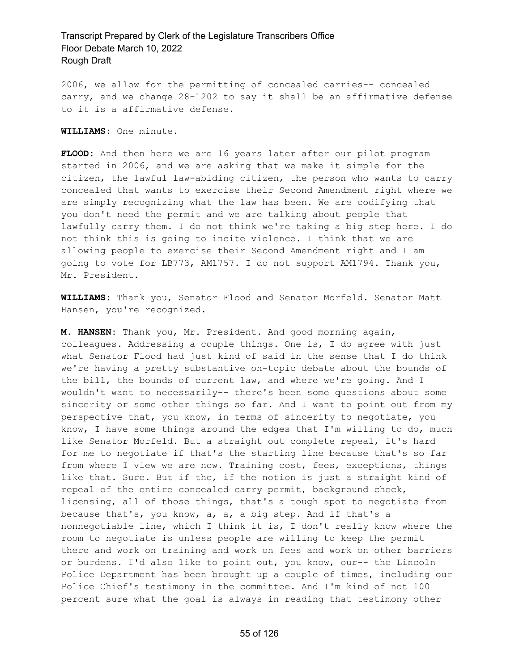2006, we allow for the permitting of concealed carries-- concealed carry, and we change 28-1202 to say it shall be an affirmative defense to it is a affirmative defense.

**WILLIAMS:** One minute.

**FLOOD:** And then here we are 16 years later after our pilot program started in 2006, and we are asking that we make it simple for the citizen, the lawful law-abiding citizen, the person who wants to carry concealed that wants to exercise their Second Amendment right where we are simply recognizing what the law has been. We are codifying that you don't need the permit and we are talking about people that lawfully carry them. I do not think we're taking a big step here. I do not think this is going to incite violence. I think that we are allowing people to exercise their Second Amendment right and I am going to vote for LB773, AM1757. I do not support AM1794. Thank you, Mr. President.

**WILLIAMS:** Thank you, Senator Flood and Senator Morfeld. Senator Matt Hansen, you're recognized.

**M. HANSEN:** Thank you, Mr. President. And good morning again, colleagues. Addressing a couple things. One is, I do agree with just what Senator Flood had just kind of said in the sense that I do think we're having a pretty substantive on-topic debate about the bounds of the bill, the bounds of current law, and where we're going. And I wouldn't want to necessarily-- there's been some questions about some sincerity or some other things so far. And I want to point out from my perspective that, you know, in terms of sincerity to negotiate, you know, I have some things around the edges that I'm willing to do, much like Senator Morfeld. But a straight out complete repeal, it's hard for me to negotiate if that's the starting line because that's so far from where I view we are now. Training cost, fees, exceptions, things like that. Sure. But if the, if the notion is just a straight kind of repeal of the entire concealed carry permit, background check, licensing, all of those things, that's a tough spot to negotiate from because that's, you know, a, a, a big step. And if that's a nonnegotiable line, which I think it is, I don't really know where the room to negotiate is unless people are willing to keep the permit there and work on training and work on fees and work on other barriers or burdens. I'd also like to point out, you know, our-- the Lincoln Police Department has been brought up a couple of times, including our Police Chief's testimony in the committee. And I'm kind of not 100 percent sure what the goal is always in reading that testimony other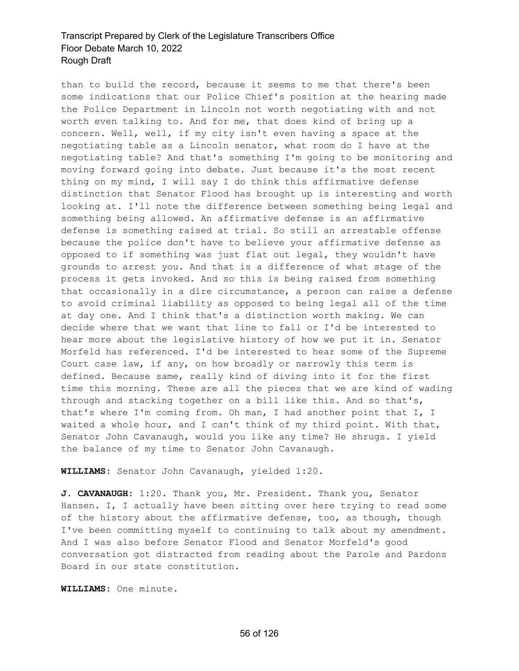than to build the record, because it seems to me that there's been some indications that our Police Chief's position at the hearing made the Police Department in Lincoln not worth negotiating with and not worth even talking to. And for me, that does kind of bring up a concern. Well, well, if my city isn't even having a space at the negotiating table as a Lincoln senator, what room do I have at the negotiating table? And that's something I'm going to be monitoring and moving forward going into debate. Just because it's the most recent thing on my mind, I will say I do think this affirmative defense distinction that Senator Flood has brought up is interesting and worth looking at. I'll note the difference between something being legal and something being allowed. An affirmative defense is an affirmative defense is something raised at trial. So still an arrestable offense because the police don't have to believe your affirmative defense as opposed to if something was just flat out legal, they wouldn't have grounds to arrest you. And that is a difference of what stage of the process it gets invoked. And so this is being raised from something that occasionally in a dire circumstance, a person can raise a defense to avoid criminal liability as opposed to being legal all of the time at day one. And I think that's a distinction worth making. We can decide where that we want that line to fall or I'd be interested to hear more about the legislative history of how we put it in. Senator Morfeld has referenced. I'd be interested to hear some of the Supreme Court case law, if any, on how broadly or narrowly this term is defined. Because same, really kind of diving into it for the first time this morning. These are all the pieces that we are kind of wading through and stacking together on a bill like this. And so that's, that's where I'm coming from. Oh man, I had another point that I, I waited a whole hour, and I can't think of my third point. With that, Senator John Cavanaugh, would you like any time? He shrugs. I yield the balance of my time to Senator John Cavanaugh.

**WILLIAMS:** Senator John Cavanaugh, yielded 1:20.

**J. CAVANAUGH:** 1:20. Thank you, Mr. President. Thank you, Senator Hansen. I, I actually have been sitting over here trying to read some of the history about the affirmative defense, too, as though, though I've been committing myself to continuing to talk about my amendment. And I was also before Senator Flood and Senator Morfeld's good conversation got distracted from reading about the Parole and Pardons Board in our state constitution.

**WILLIAMS:** One minute.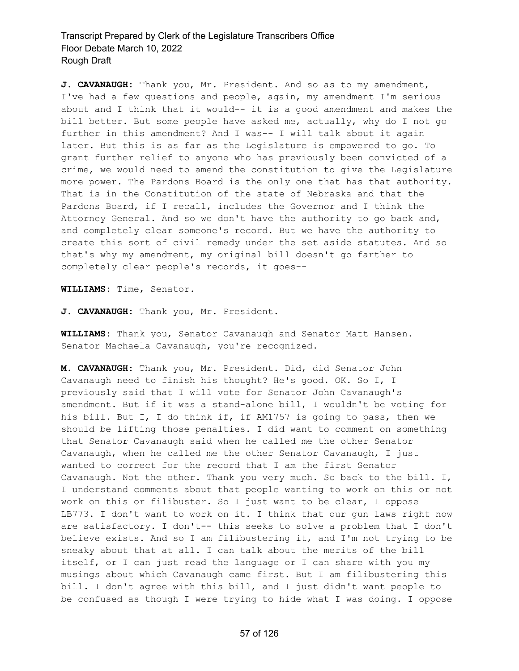**J. CAVANAUGH:** Thank you, Mr. President. And so as to my amendment, I've had a few questions and people, again, my amendment I'm serious about and I think that it would-- it is a good amendment and makes the bill better. But some people have asked me, actually, why do I not go further in this amendment? And I was-- I will talk about it again later. But this is as far as the Legislature is empowered to go. To grant further relief to anyone who has previously been convicted of a crime, we would need to amend the constitution to give the Legislature more power. The Pardons Board is the only one that has that authority. That is in the Constitution of the state of Nebraska and that the Pardons Board, if I recall, includes the Governor and I think the Attorney General. And so we don't have the authority to go back and, and completely clear someone's record. But we have the authority to create this sort of civil remedy under the set aside statutes. And so that's why my amendment, my original bill doesn't go farther to completely clear people's records, it goes--

**WILLIAMS:** Time, Senator.

**J. CAVANAUGH:** Thank you, Mr. President.

**WILLIAMS:** Thank you, Senator Cavanaugh and Senator Matt Hansen. Senator Machaela Cavanaugh, you're recognized.

**M. CAVANAUGH:** Thank you, Mr. President. Did, did Senator John Cavanaugh need to finish his thought? He's good. OK. So I, I previously said that I will vote for Senator John Cavanaugh's amendment. But if it was a stand-alone bill, I wouldn't be voting for his bill. But I, I do think if, if AM1757 is going to pass, then we should be lifting those penalties. I did want to comment on something that Senator Cavanaugh said when he called me the other Senator Cavanaugh, when he called me the other Senator Cavanaugh, I just wanted to correct for the record that I am the first Senator Cavanaugh. Not the other. Thank you very much. So back to the bill. I, I understand comments about that people wanting to work on this or not work on this or filibuster. So I just want to be clear, I oppose LB773. I don't want to work on it. I think that our gun laws right now are satisfactory. I don't-- this seeks to solve a problem that I don't believe exists. And so I am filibustering it, and I'm not trying to be sneaky about that at all. I can talk about the merits of the bill itself, or I can just read the language or I can share with you my musings about which Cavanaugh came first. But I am filibustering this bill. I don't agree with this bill, and I just didn't want people to be confused as though I were trying to hide what I was doing. I oppose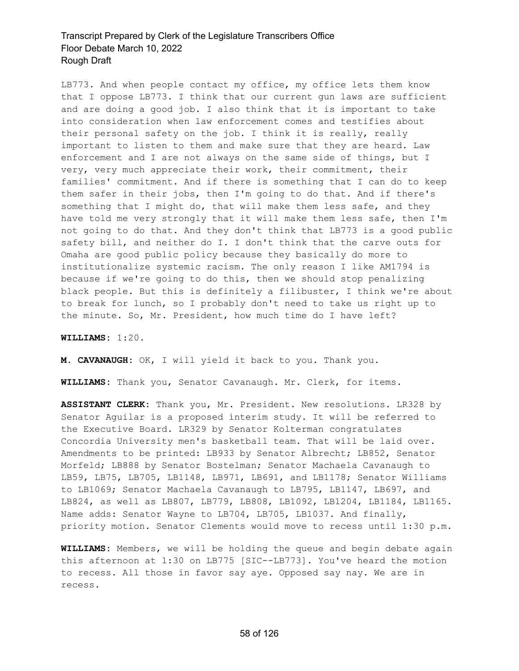LB773. And when people contact my office, my office lets them know that I oppose LB773. I think that our current gun laws are sufficient and are doing a good job. I also think that it is important to take into consideration when law enforcement comes and testifies about their personal safety on the job. I think it is really, really important to listen to them and make sure that they are heard. Law enforcement and I are not always on the same side of things, but I very, very much appreciate their work, their commitment, their families' commitment. And if there is something that I can do to keep them safer in their jobs, then I'm going to do that. And if there's something that I might do, that will make them less safe, and they have told me very strongly that it will make them less safe, then I'm not going to do that. And they don't think that LB773 is a good public safety bill, and neither do I. I don't think that the carve outs for Omaha are good public policy because they basically do more to institutionalize systemic racism. The only reason I like AM1794 is because if we're going to do this, then we should stop penalizing black people. But this is definitely a filibuster, I think we're about to break for lunch, so I probably don't need to take us right up to the minute. So, Mr. President, how much time do I have left?

#### **WILLIAMS:** 1:20.

**M. CAVANAUGH:** OK, I will yield it back to you. Thank you.

**WILLIAMS:** Thank you, Senator Cavanaugh. Mr. Clerk, for items.

**ASSISTANT CLERK:** Thank you, Mr. President. New resolutions. LR328 by Senator Aguilar is a proposed interim study. It will be referred to the Executive Board. LR329 by Senator Kolterman congratulates Concordia University men's basketball team. That will be laid over. Amendments to be printed: LB933 by Senator Albrecht; LB852, Senator Morfeld; LB888 by Senator Bostelman; Senator Machaela Cavanaugh to LB59, LB75, LB705, LB1148, LB971, LB691, and LB1178; Senator Williams to LB1069; Senator Machaela Cavanaugh to LB795, LB1147, LB697, and LB824, as well as LB807, LB779, LB808, LB1092, LB1204, LB1184, LB1165. Name adds: Senator Wayne to LB704, LB705, LB1037. And finally, priority motion. Senator Clements would move to recess until 1:30 p.m.

**WILLIAMS:** Members, we will be holding the queue and begin debate again this afternoon at 1:30 on LB775 [SIC--LB773]. You've heard the motion to recess. All those in favor say aye. Opposed say nay. We are in recess.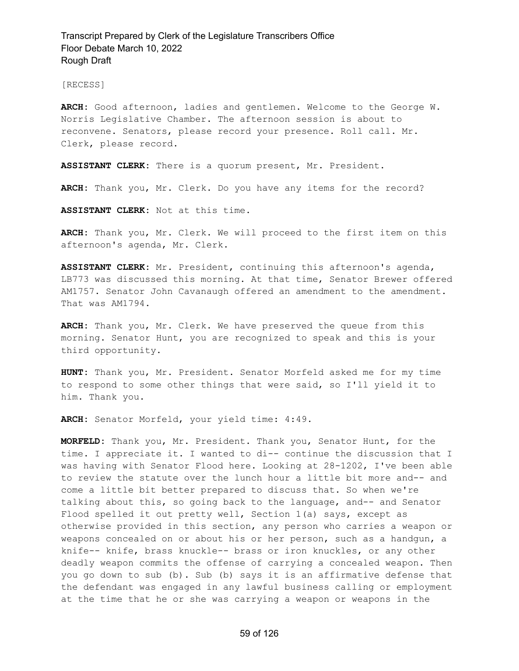[RECESS]

**ARCH:** Good afternoon, ladies and gentlemen. Welcome to the George W. Norris Legislative Chamber. The afternoon session is about to reconvene. Senators, please record your presence. Roll call. Mr. Clerk, please record.

**ASSISTANT CLERK:** There is a quorum present, Mr. President.

**ARCH:** Thank you, Mr. Clerk. Do you have any items for the record?

**ASSISTANT CLERK:** Not at this time.

**ARCH:** Thank you, Mr. Clerk. We will proceed to the first item on this afternoon's agenda, Mr. Clerk.

**ASSISTANT CLERK:** Mr. President, continuing this afternoon's agenda, LB773 was discussed this morning. At that time, Senator Brewer offered AM1757. Senator John Cavanaugh offered an amendment to the amendment. That was AM1794.

**ARCH:** Thank you, Mr. Clerk. We have preserved the queue from this morning. Senator Hunt, you are recognized to speak and this is your third opportunity.

**HUNT:** Thank you, Mr. President. Senator Morfeld asked me for my time to respond to some other things that were said, so I'll yield it to him. Thank you.

**ARCH:** Senator Morfeld, your yield time: 4:49.

**MORFELD:** Thank you, Mr. President. Thank you, Senator Hunt, for the time. I appreciate it. I wanted to di-- continue the discussion that I was having with Senator Flood here. Looking at 28-1202, I've been able to review the statute over the lunch hour a little bit more and-- and come a little bit better prepared to discuss that. So when we're talking about this, so going back to the language, and-- and Senator Flood spelled it out pretty well, Section 1(a) says, except as otherwise provided in this section, any person who carries a weapon or weapons concealed on or about his or her person, such as a handgun, a knife-- knife, brass knuckle-- brass or iron knuckles, or any other deadly weapon commits the offense of carrying a concealed weapon. Then you go down to sub (b). Sub (b) says it is an affirmative defense that the defendant was engaged in any lawful business calling or employment at the time that he or she was carrying a weapon or weapons in the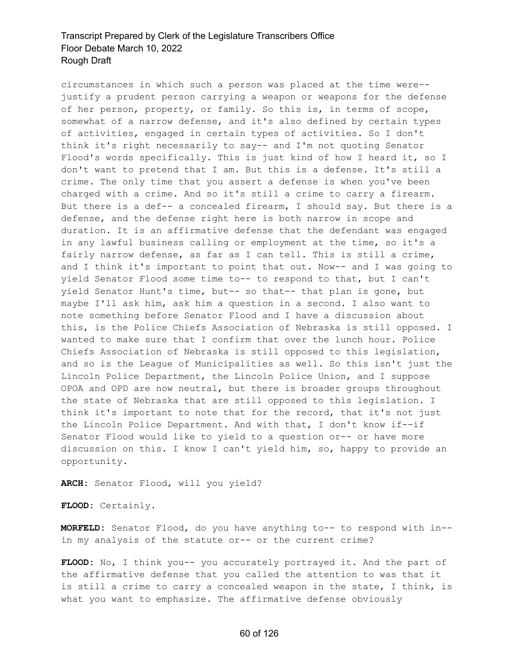circumstances in which such a person was placed at the time were- justify a prudent person carrying a weapon or weapons for the defense of her person, property, or family. So this is, in terms of scope, somewhat of a narrow defense, and it's also defined by certain types of activities, engaged in certain types of activities. So I don't think it's right necessarily to say-- and I'm not quoting Senator Flood's words specifically. This is just kind of how I heard it, so I don't want to pretend that I am. But this is a defense. It's still a crime. The only time that you assert a defense is when you've been charged with a crime. And so it's still a crime to carry a firearm. But there is a def-- a concealed firearm, I should say. But there is a defense, and the defense right here is both narrow in scope and duration. It is an affirmative defense that the defendant was engaged in any lawful business calling or employment at the time, so it's a fairly narrow defense, as far as I can tell. This is still a crime, and I think it's important to point that out. Now-- and I was going to yield Senator Flood some time to-- to respond to that, but I can't yield Senator Hunt's time, but-- so that-- that plan is gone, but maybe I'll ask him, ask him a question in a second. I also want to note something before Senator Flood and I have a discussion about this, is the Police Chiefs Association of Nebraska is still opposed. I wanted to make sure that I confirm that over the lunch hour. Police Chiefs Association of Nebraska is still opposed to this legislation, and so is the League of Municipalities as well. So this isn't just the Lincoln Police Department, the Lincoln Police Union, and I suppose OPOA and OPD are now neutral, but there is broader groups throughout the state of Nebraska that are still opposed to this legislation. I think it's important to note that for the record, that it's not just the Lincoln Police Department. And with that, I don't know if--if Senator Flood would like to yield to a question or-- or have more discussion on this. I know I can't yield him, so, happy to provide an opportunity.

**ARCH:** Senator Flood, will you yield?

**FLOOD:** Certainly.

**MORFELD:** Senator Flood, do you have anything to-- to respond with in- in my analysis of the statute or-- or the current crime?

**FLOOD:** No, I think you-- you accurately portrayed it. And the part of the affirmative defense that you called the attention to was that it is still a crime to carry a concealed weapon in the state, I think, is what you want to emphasize. The affirmative defense obviously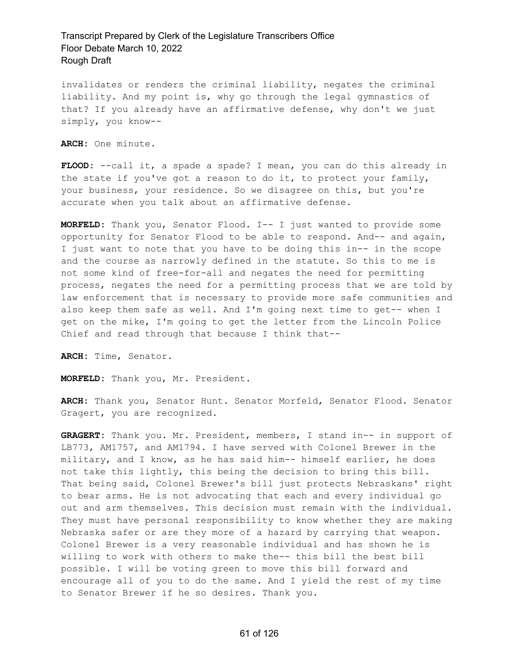invalidates or renders the criminal liability, negates the criminal liability. And my point is, why go through the legal gymnastics of that? If you already have an affirmative defense, why don't we just simply, you know--

**ARCH:** One minute.

**FLOOD:** --call it, a spade a spade? I mean, you can do this already in the state if you've got a reason to do it, to protect your family, your business, your residence. So we disagree on this, but you're accurate when you talk about an affirmative defense.

**MORFELD:** Thank you, Senator Flood. I-- I just wanted to provide some opportunity for Senator Flood to be able to respond. And-- and again, I just want to note that you have to be doing this in-- in the scope and the course as narrowly defined in the statute. So this to me is not some kind of free-for-all and negates the need for permitting process, negates the need for a permitting process that we are told by law enforcement that is necessary to provide more safe communities and also keep them safe as well. And I'm going next time to get-- when I get on the mike, I'm going to get the letter from the Lincoln Police Chief and read through that because I think that--

**ARCH:** Time, Senator.

**MORFELD:** Thank you, Mr. President.

**ARCH:** Thank you, Senator Hunt. Senator Morfeld, Senator Flood. Senator Gragert, you are recognized.

**GRAGERT:** Thank you. Mr. President, members, I stand in-- in support of LB773, AM1757, and AM1794. I have served with Colonel Brewer in the military, and I know, as he has said him-- himself earlier, he does not take this lightly, this being the decision to bring this bill. That being said, Colonel Brewer's bill just protects Nebraskans' right to bear arms. He is not advocating that each and every individual go out and arm themselves. This decision must remain with the individual. They must have personal responsibility to know whether they are making Nebraska safer or are they more of a hazard by carrying that weapon. Colonel Brewer is a very reasonable individual and has shown he is willing to work with others to make the-- this bill the best bill possible. I will be voting green to move this bill forward and encourage all of you to do the same. And I yield the rest of my time to Senator Brewer if he so desires. Thank you.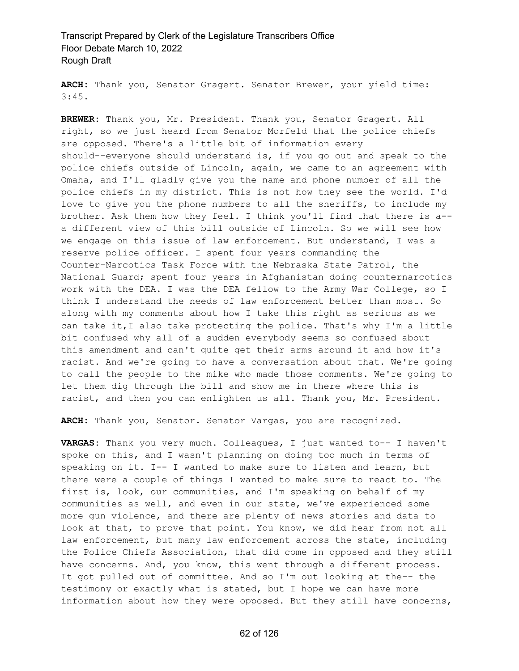**ARCH:** Thank you, Senator Gragert. Senator Brewer, your yield time: 3:45.

**BREWER:** Thank you, Mr. President. Thank you, Senator Gragert. All right, so we just heard from Senator Morfeld that the police chiefs are opposed. There's a little bit of information every should--everyone should understand is, if you go out and speak to the police chiefs outside of Lincoln, again, we came to an agreement with Omaha, and I'll gladly give you the name and phone number of all the police chiefs in my district. This is not how they see the world. I'd love to give you the phone numbers to all the sheriffs, to include my brother. Ask them how they feel. I think you'll find that there is a- a different view of this bill outside of Lincoln. So we will see how we engage on this issue of law enforcement. But understand, I was a reserve police officer. I spent four years commanding the Counter-Narcotics Task Force with the Nebraska State Patrol, the National Guard; spent four years in Afghanistan doing counternarcotics work with the DEA. I was the DEA fellow to the Army War College, so I think I understand the needs of law enforcement better than most. So along with my comments about how I take this right as serious as we can take it,I also take protecting the police. That's why I'm a little bit confused why all of a sudden everybody seems so confused about this amendment and can't quite get their arms around it and how it's racist. And we're going to have a conversation about that. We're going to call the people to the mike who made those comments. We're going to let them dig through the bill and show me in there where this is racist, and then you can enlighten us all. Thank you, Mr. President.

**ARCH:** Thank you, Senator. Senator Vargas, you are recognized.

**VARGAS:** Thank you very much. Colleagues, I just wanted to-- I haven't spoke on this, and I wasn't planning on doing too much in terms of speaking on it. I-- I wanted to make sure to listen and learn, but there were a couple of things I wanted to make sure to react to. The first is, look, our communities, and I'm speaking on behalf of my communities as well, and even in our state, we've experienced some more gun violence, and there are plenty of news stories and data to look at that, to prove that point. You know, we did hear from not all law enforcement, but many law enforcement across the state, including the Police Chiefs Association, that did come in opposed and they still have concerns. And, you know, this went through a different process. It got pulled out of committee. And so I'm out looking at the-- the testimony or exactly what is stated, but I hope we can have more information about how they were opposed. But they still have concerns,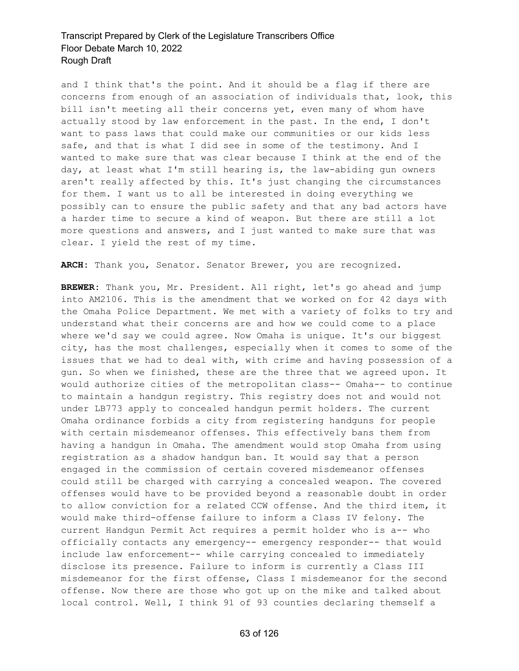and I think that's the point. And it should be a flag if there are concerns from enough of an association of individuals that, look, this bill isn't meeting all their concerns yet, even many of whom have actually stood by law enforcement in the past. In the end, I don't want to pass laws that could make our communities or our kids less safe, and that is what I did see in some of the testimony. And I wanted to make sure that was clear because I think at the end of the day, at least what I'm still hearing is, the law-abiding gun owners aren't really affected by this. It's just changing the circumstances for them. I want us to all be interested in doing everything we possibly can to ensure the public safety and that any bad actors have a harder time to secure a kind of weapon. But there are still a lot more questions and answers, and I just wanted to make sure that was clear. I yield the rest of my time.

**ARCH:** Thank you, Senator. Senator Brewer, you are recognized.

**BREWER:** Thank you, Mr. President. All right, let's go ahead and jump into AM2106. This is the amendment that we worked on for 42 days with the Omaha Police Department. We met with a variety of folks to try and understand what their concerns are and how we could come to a place where we'd say we could agree. Now Omaha is unique. It's our biggest city, has the most challenges, especially when it comes to some of the issues that we had to deal with, with crime and having possession of a gun. So when we finished, these are the three that we agreed upon. It would authorize cities of the metropolitan class-- Omaha-- to continue to maintain a handgun registry. This registry does not and would not under LB773 apply to concealed handgun permit holders. The current Omaha ordinance forbids a city from registering handguns for people with certain misdemeanor offenses. This effectively bans them from having a handgun in Omaha. The amendment would stop Omaha from using registration as a shadow handgun ban. It would say that a person engaged in the commission of certain covered misdemeanor offenses could still be charged with carrying a concealed weapon. The covered offenses would have to be provided beyond a reasonable doubt in order to allow conviction for a related CCW offense. And the third item, it would make third-offense failure to inform a Class IV felony. The current Handgun Permit Act requires a permit holder who is a-- who officially contacts any emergency-- emergency responder-- that would include law enforcement-- while carrying concealed to immediately disclose its presence. Failure to inform is currently a Class III misdemeanor for the first offense, Class I misdemeanor for the second offense. Now there are those who got up on the mike and talked about local control. Well, I think 91 of 93 counties declaring themself a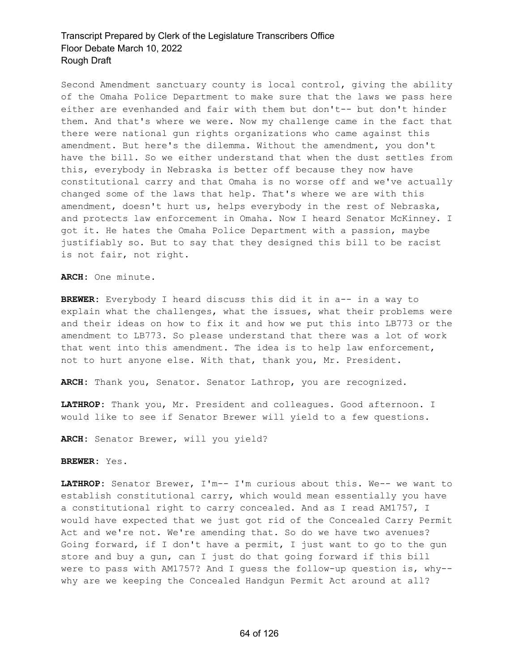Second Amendment sanctuary county is local control, giving the ability of the Omaha Police Department to make sure that the laws we pass here either are evenhanded and fair with them but don't-- but don't hinder them. And that's where we were. Now my challenge came in the fact that there were national gun rights organizations who came against this amendment. But here's the dilemma. Without the amendment, you don't have the bill. So we either understand that when the dust settles from this, everybody in Nebraska is better off because they now have constitutional carry and that Omaha is no worse off and we've actually changed some of the laws that help. That's where we are with this amendment, doesn't hurt us, helps everybody in the rest of Nebraska, and protects law enforcement in Omaha. Now I heard Senator McKinney. I got it. He hates the Omaha Police Department with a passion, maybe justifiably so. But to say that they designed this bill to be racist is not fair, not right.

**ARCH:** One minute.

**BREWER:** Everybody I heard discuss this did it in a-- in a way to explain what the challenges, what the issues, what their problems were and their ideas on how to fix it and how we put this into LB773 or the amendment to LB773. So please understand that there was a lot of work that went into this amendment. The idea is to help law enforcement, not to hurt anyone else. With that, thank you, Mr. President.

**ARCH:** Thank you, Senator. Senator Lathrop, you are recognized.

**LATHROP:** Thank you, Mr. President and colleagues. Good afternoon. I would like to see if Senator Brewer will yield to a few questions.

**ARCH:** Senator Brewer, will you yield?

**BREWER:** Yes.

**LATHROP:** Senator Brewer, I'm-- I'm curious about this. We-- we want to establish constitutional carry, which would mean essentially you have a constitutional right to carry concealed. And as I read AM1757, I would have expected that we just got rid of the Concealed Carry Permit Act and we're not. We're amending that. So do we have two avenues? Going forward, if I don't have a permit, I just want to go to the gun store and buy a gun, can I just do that going forward if this bill were to pass with AM1757? And I guess the follow-up question is, why- why are we keeping the Concealed Handgun Permit Act around at all?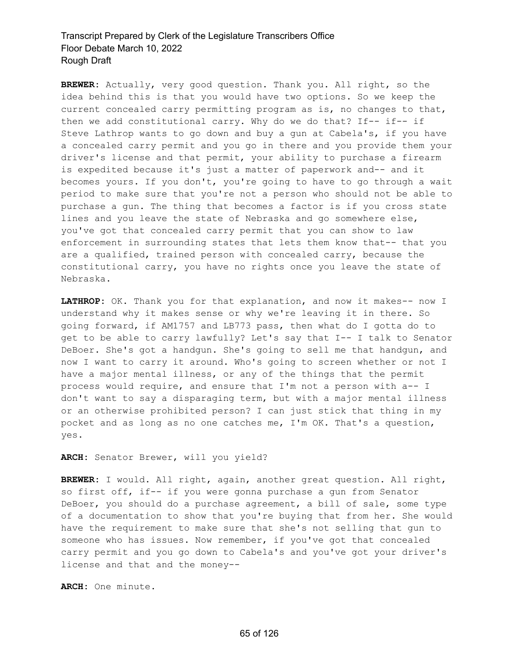**BREWER:** Actually, very good question. Thank you. All right, so the idea behind this is that you would have two options. So we keep the current concealed carry permitting program as is, no changes to that, then we add constitutional carry. Why do we do that? If-- if-- if Steve Lathrop wants to go down and buy a gun at Cabela's, if you have a concealed carry permit and you go in there and you provide them your driver's license and that permit, your ability to purchase a firearm is expedited because it's just a matter of paperwork and-- and it becomes yours. If you don't, you're going to have to go through a wait period to make sure that you're not a person who should not be able to purchase a gun. The thing that becomes a factor is if you cross state lines and you leave the state of Nebraska and go somewhere else, you've got that concealed carry permit that you can show to law enforcement in surrounding states that lets them know that-- that you are a qualified, trained person with concealed carry, because the constitutional carry, you have no rights once you leave the state of Nebraska.

**LATHROP:** OK. Thank you for that explanation, and now it makes-- now I understand why it makes sense or why we're leaving it in there. So going forward, if AM1757 and LB773 pass, then what do I gotta do to get to be able to carry lawfully? Let's say that I-- I talk to Senator DeBoer. She's got a handgun. She's going to sell me that handgun, and now I want to carry it around. Who's going to screen whether or not I have a major mental illness, or any of the things that the permit process would require, and ensure that I'm not a person with a-- I don't want to say a disparaging term, but with a major mental illness or an otherwise prohibited person? I can just stick that thing in my pocket and as long as no one catches me, I'm OK. That's a question, yes.

**ARCH:** Senator Brewer, will you yield?

**BREWER:** I would. All right, again, another great question. All right, so first off, if-- if you were gonna purchase a gun from Senator DeBoer, you should do a purchase agreement, a bill of sale, some type of a documentation to show that you're buying that from her. She would have the requirement to make sure that she's not selling that gun to someone who has issues. Now remember, if you've got that concealed carry permit and you go down to Cabela's and you've got your driver's license and that and the money--

**ARCH:** One minute.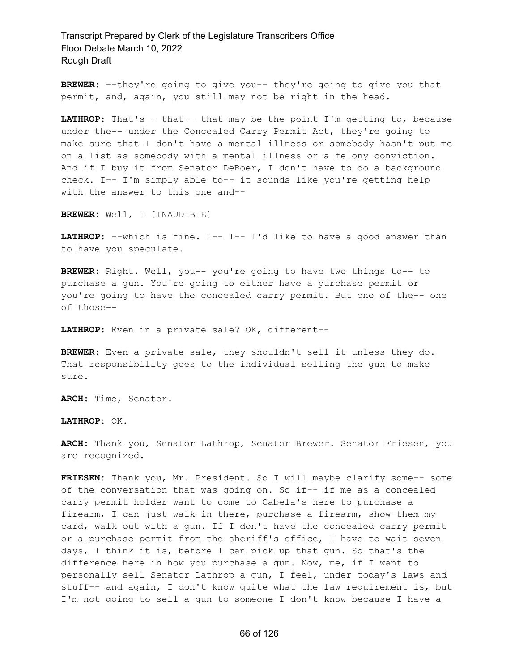**BREWER:** --they're going to give you-- they're going to give you that permit, and, again, you still may not be right in the head.

**LATHROP:** That's-- that-- that may be the point I'm getting to, because under the-- under the Concealed Carry Permit Act, they're going to make sure that I don't have a mental illness or somebody hasn't put me on a list as somebody with a mental illness or a felony conviction. And if I buy it from Senator DeBoer, I don't have to do a background check. I-- I'm simply able to-- it sounds like you're getting help with the answer to this one and--

**BREWER:** Well, I [INAUDIBLE]

**LATHROP:** --which is fine. I-- I-- I'd like to have a good answer than to have you speculate.

**BREWER:** Right. Well, you-- you're going to have two things to-- to purchase a gun. You're going to either have a purchase permit or you're going to have the concealed carry permit. But one of the-- one of those--

**LATHROP:** Even in a private sale? OK, different--

**BREWER:** Even a private sale, they shouldn't sell it unless they do. That responsibility goes to the individual selling the gun to make sure.

**ARCH:** Time, Senator.

**LATHROP:** OK.

**ARCH:** Thank you, Senator Lathrop, Senator Brewer. Senator Friesen, you are recognized.

**FRIESEN:** Thank you, Mr. President. So I will maybe clarify some-- some of the conversation that was going on. So if-- if me as a concealed carry permit holder want to come to Cabela's here to purchase a firearm, I can just walk in there, purchase a firearm, show them my card, walk out with a gun. If I don't have the concealed carry permit or a purchase permit from the sheriff's office, I have to wait seven days, I think it is, before I can pick up that gun. So that's the difference here in how you purchase a gun. Now, me, if I want to personally sell Senator Lathrop a gun, I feel, under today's laws and stuff-- and again, I don't know quite what the law requirement is, but I'm not going to sell a gun to someone I don't know because I have a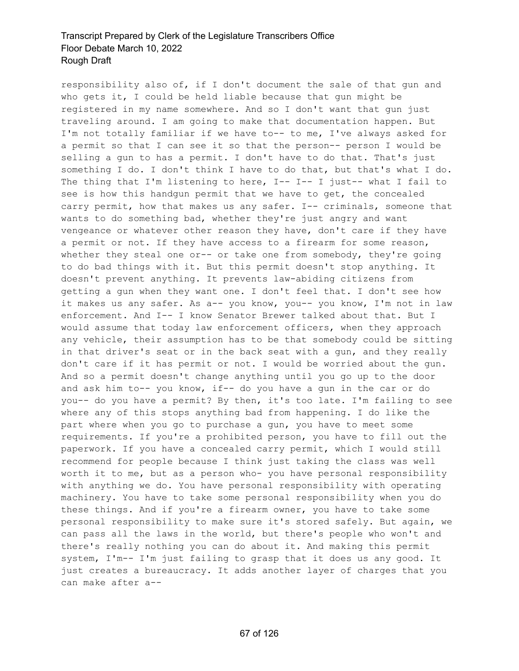responsibility also of, if I don't document the sale of that gun and who gets it, I could be held liable because that gun might be registered in my name somewhere. And so I don't want that gun just traveling around. I am going to make that documentation happen. But I'm not totally familiar if we have to-- to me, I've always asked for a permit so that I can see it so that the person-- person I would be selling a gun to has a permit. I don't have to do that. That's just something I do. I don't think I have to do that, but that's what I do. The thing that I'm listening to here, I-- I-- I just-- what I fail to see is how this handgun permit that we have to get, the concealed carry permit, how that makes us any safer. I-- criminals, someone that wants to do something bad, whether they're just angry and want vengeance or whatever other reason they have, don't care if they have a permit or not. If they have access to a firearm for some reason, whether they steal one or-- or take one from somebody, they're going to do bad things with it. But this permit doesn't stop anything. It doesn't prevent anything. It prevents law-abiding citizens from getting a gun when they want one. I don't feel that. I don't see how it makes us any safer. As a-- you know, you-- you know, I'm not in law enforcement. And I-- I know Senator Brewer talked about that. But I would assume that today law enforcement officers, when they approach any vehicle, their assumption has to be that somebody could be sitting in that driver's seat or in the back seat with a gun, and they really don't care if it has permit or not. I would be worried about the gun. And so a permit doesn't change anything until you go up to the door and ask him to-- you know, if-- do you have a gun in the car or do you-- do you have a permit? By then, it's too late. I'm failing to see where any of this stops anything bad from happening. I do like the part where when you go to purchase a gun, you have to meet some requirements. If you're a prohibited person, you have to fill out the paperwork. If you have a concealed carry permit, which I would still recommend for people because I think just taking the class was well worth it to me, but as a person who- you have personal responsibility with anything we do. You have personal responsibility with operating machinery. You have to take some personal responsibility when you do these things. And if you're a firearm owner, you have to take some personal responsibility to make sure it's stored safely. But again, we can pass all the laws in the world, but there's people who won't and there's really nothing you can do about it. And making this permit system, I'm-- I'm just failing to grasp that it does us any good. It just creates a bureaucracy. It adds another layer of charges that you can make after a--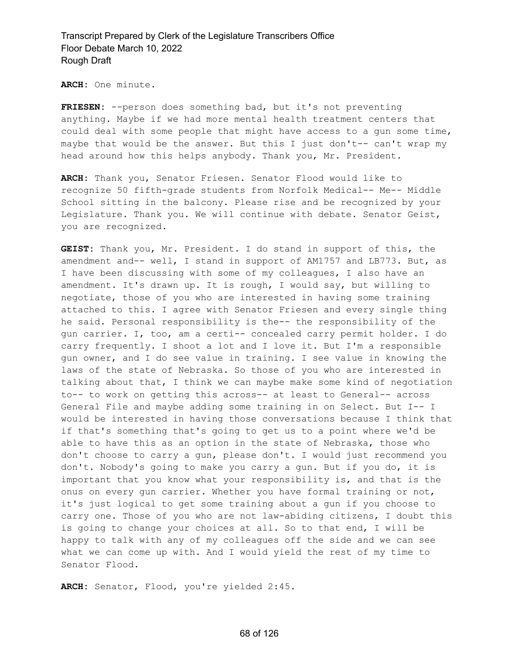**ARCH:** One minute.

**FRIESEN:** --person does something bad, but it's not preventing anything. Maybe if we had more mental health treatment centers that could deal with some people that might have access to a gun some time, maybe that would be the answer. But this I just don't-- can't wrap my head around how this helps anybody. Thank you, Mr. President.

**ARCH:** Thank you, Senator Friesen. Senator Flood would like to recognize 50 fifth-grade students from Norfolk Medical-- Me-- Middle School sitting in the balcony. Please rise and be recognized by your Legislature. Thank you. We will continue with debate. Senator Geist, you are recognized.

**GEIST:** Thank you, Mr. President. I do stand in support of this, the amendment and-- well, I stand in support of AM1757 and LB773. But, as I have been discussing with some of my colleagues, I also have an amendment. It's drawn up. It is rough, I would say, but willing to negotiate, those of you who are interested in having some training attached to this. I agree with Senator Friesen and every single thing he said. Personal responsibility is the-- the responsibility of the gun carrier. I, too, am a certi-- concealed carry permit holder. I do carry frequently. I shoot a lot and I love it. But I'm a responsible gun owner, and I do see value in training. I see value in knowing the laws of the state of Nebraska. So those of you who are interested in talking about that, I think we can maybe make some kind of negotiation to-- to work on getting this across-- at least to General-- across General File and maybe adding some training in on Select. But I-- I would be interested in having those conversations because I think that if that's something that's going to get us to a point where we'd be able to have this as an option in the state of Nebraska, those who don't choose to carry a gun, please don't. I would just recommend you don't. Nobody's going to make you carry a gun. But if you do, it is important that you know what your responsibility is, and that is the onus on every gun carrier. Whether you have formal training or not, it's just logical to get some training about a gun if you choose to carry one. Those of you who are not law-abiding citizens, I doubt this is going to change your choices at all. So to that end, I will be happy to talk with any of my colleagues off the side and we can see what we can come up with. And I would yield the rest of my time to Senator Flood.

**ARCH:** Senator, Flood, you're yielded 2:45.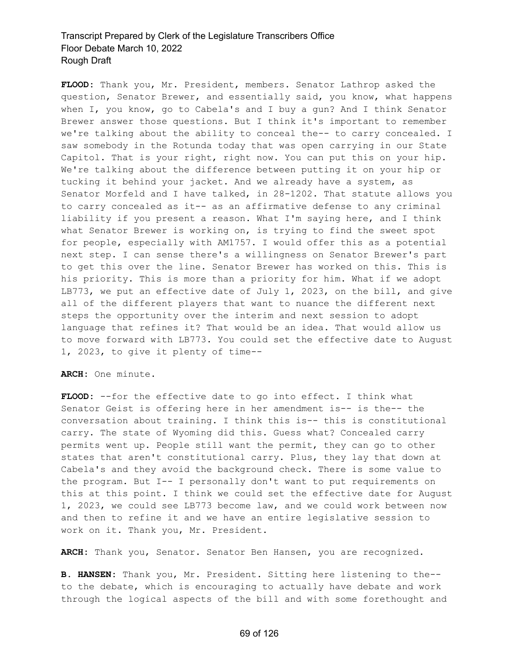**FLOOD:** Thank you, Mr. President, members. Senator Lathrop asked the question, Senator Brewer, and essentially said, you know, what happens when I, you know, go to Cabela's and I buy a gun? And I think Senator Brewer answer those questions. But I think it's important to remember we're talking about the ability to conceal the-- to carry concealed. I saw somebody in the Rotunda today that was open carrying in our State Capitol. That is your right, right now. You can put this on your hip. We're talking about the difference between putting it on your hip or tucking it behind your jacket. And we already have a system, as Senator Morfeld and I have talked, in 28-1202. That statute allows you to carry concealed as it-- as an affirmative defense to any criminal liability if you present a reason. What I'm saying here, and I think what Senator Brewer is working on, is trying to find the sweet spot for people, especially with AM1757. I would offer this as a potential next step. I can sense there's a willingness on Senator Brewer's part to get this over the line. Senator Brewer has worked on this. This is his priority. This is more than a priority for him. What if we adopt LB773, we put an effective date of July 1, 2023, on the bill, and give all of the different players that want to nuance the different next steps the opportunity over the interim and next session to adopt language that refines it? That would be an idea. That would allow us to move forward with LB773. You could set the effective date to August 1, 2023, to give it plenty of time--

**ARCH:** One minute.

**FLOOD:** --for the effective date to go into effect. I think what Senator Geist is offering here in her amendment is-- is the-- the conversation about training. I think this is-- this is constitutional carry. The state of Wyoming did this. Guess what? Concealed carry permits went up. People still want the permit, they can go to other states that aren't constitutional carry. Plus, they lay that down at Cabela's and they avoid the background check. There is some value to the program. But I-- I personally don't want to put requirements on this at this point. I think we could set the effective date for August 1, 2023, we could see LB773 become law, and we could work between now and then to refine it and we have an entire legislative session to work on it. Thank you, Mr. President.

**ARCH:** Thank you, Senator. Senator Ben Hansen, you are recognized.

**B. HANSEN:** Thank you, Mr. President. Sitting here listening to the- to the debate, which is encouraging to actually have debate and work through the logical aspects of the bill and with some forethought and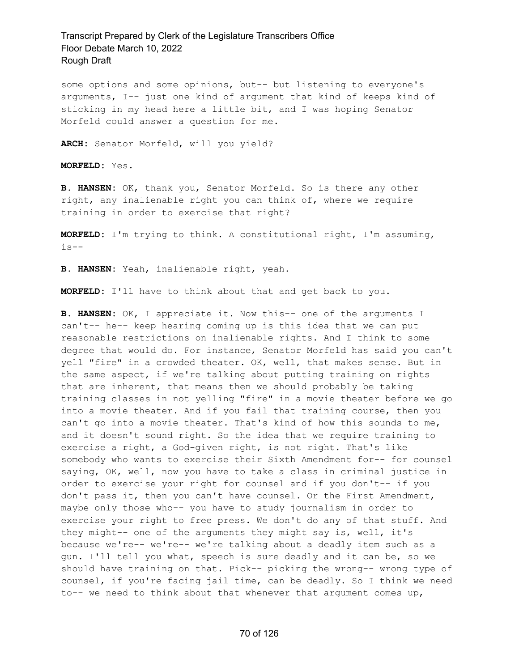some options and some opinions, but-- but listening to everyone's arguments, I-- just one kind of argument that kind of keeps kind of sticking in my head here a little bit, and I was hoping Senator Morfeld could answer a question for me.

**ARCH:** Senator Morfeld, will you yield?

**MORFELD:** Yes.

**B. HANSEN:** OK, thank you, Senator Morfeld. So is there any other right, any inalienable right you can think of, where we require training in order to exercise that right?

**MORFELD:** I'm trying to think. A constitutional right, I'm assuming, is--

**B. HANSEN:** Yeah, inalienable right, yeah.

**MORFELD:** I'll have to think about that and get back to you.

**B. HANSEN:** OK, I appreciate it. Now this-- one of the arguments I can't-- he-- keep hearing coming up is this idea that we can put reasonable restrictions on inalienable rights. And I think to some degree that would do. For instance, Senator Morfeld has said you can't yell "fire" in a crowded theater. OK, well, that makes sense. But in the same aspect, if we're talking about putting training on rights that are inherent, that means then we should probably be taking training classes in not yelling "fire" in a movie theater before we go into a movie theater. And if you fail that training course, then you can't go into a movie theater. That's kind of how this sounds to me, and it doesn't sound right. So the idea that we require training to exercise a right, a God-given right, is not right. That's like somebody who wants to exercise their Sixth Amendment for-- for counsel saying, OK, well, now you have to take a class in criminal justice in order to exercise your right for counsel and if you don't-- if you don't pass it, then you can't have counsel. Or the First Amendment, maybe only those who-- you have to study journalism in order to exercise your right to free press. We don't do any of that stuff. And they might-- one of the arguments they might say is, well, it's because we're-- we're-- we're talking about a deadly item such as a gun. I'll tell you what, speech is sure deadly and it can be, so we should have training on that. Pick-- picking the wrong-- wrong type of counsel, if you're facing jail time, can be deadly. So I think we need to-- we need to think about that whenever that argument comes up,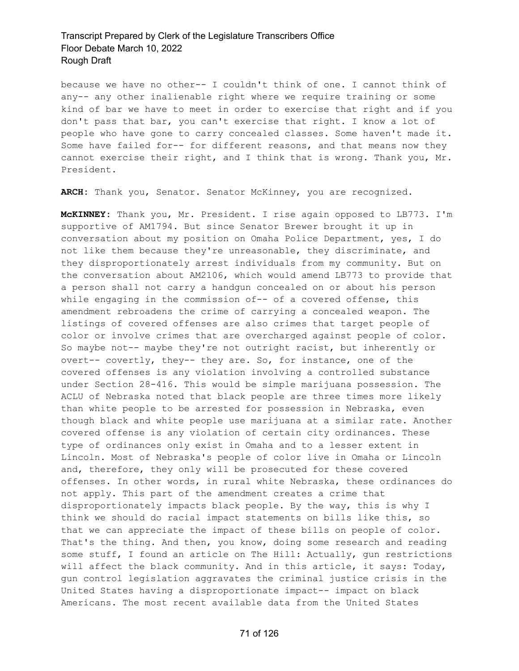because we have no other-- I couldn't think of one. I cannot think of any-- any other inalienable right where we require training or some kind of bar we have to meet in order to exercise that right and if you don't pass that bar, you can't exercise that right. I know a lot of people who have gone to carry concealed classes. Some haven't made it. Some have failed for-- for different reasons, and that means now they cannot exercise their right, and I think that is wrong. Thank you, Mr. President.

**ARCH:** Thank you, Senator. Senator McKinney, you are recognized.

**McKINNEY:** Thank you, Mr. President. I rise again opposed to LB773. I'm supportive of AM1794. But since Senator Brewer brought it up in conversation about my position on Omaha Police Department, yes, I do not like them because they're unreasonable, they discriminate, and they disproportionately arrest individuals from my community. But on the conversation about AM2106, which would amend LB773 to provide that a person shall not carry a handgun concealed on or about his person while engaging in the commission of-- of a covered offense, this amendment rebroadens the crime of carrying a concealed weapon. The listings of covered offenses are also crimes that target people of color or involve crimes that are overcharged against people of color. So maybe not-- maybe they're not outright racist, but inherently or overt-- covertly, they-- they are. So, for instance, one of the covered offenses is any violation involving a controlled substance under Section 28-416. This would be simple marijuana possession. The ACLU of Nebraska noted that black people are three times more likely than white people to be arrested for possession in Nebraska, even though black and white people use marijuana at a similar rate. Another covered offense is any violation of certain city ordinances. These type of ordinances only exist in Omaha and to a lesser extent in Lincoln. Most of Nebraska's people of color live in Omaha or Lincoln and, therefore, they only will be prosecuted for these covered offenses. In other words, in rural white Nebraska, these ordinances do not apply. This part of the amendment creates a crime that disproportionately impacts black people. By the way, this is why I think we should do racial impact statements on bills like this, so that we can appreciate the impact of these bills on people of color. That's the thing. And then, you know, doing some research and reading some stuff, I found an article on The Hill: Actually, gun restrictions will affect the black community. And in this article, it says: Today, gun control legislation aggravates the criminal justice crisis in the United States having a disproportionate impact-- impact on black Americans. The most recent available data from the United States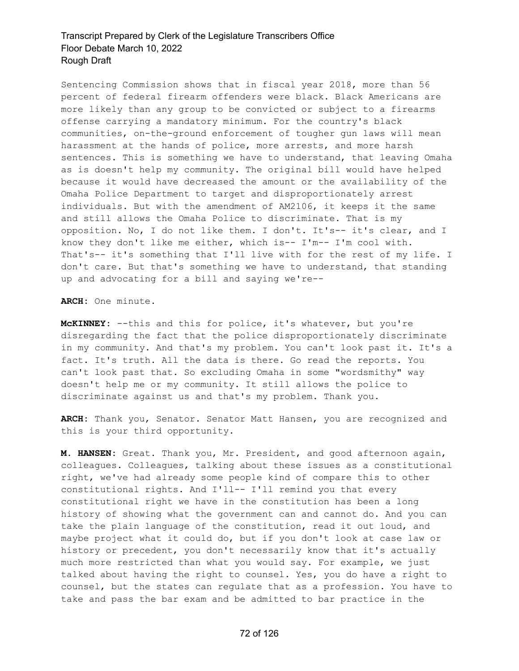Sentencing Commission shows that in fiscal year 2018, more than 56 percent of federal firearm offenders were black. Black Americans are more likely than any group to be convicted or subject to a firearms offense carrying a mandatory minimum. For the country's black communities, on-the-ground enforcement of tougher gun laws will mean harassment at the hands of police, more arrests, and more harsh sentences. This is something we have to understand, that leaving Omaha as is doesn't help my community. The original bill would have helped because it would have decreased the amount or the availability of the Omaha Police Department to target and disproportionately arrest individuals. But with the amendment of AM2106, it keeps it the same and still allows the Omaha Police to discriminate. That is my opposition. No, I do not like them. I don't. It's-- it's clear, and I know they don't like me either, which is-- I'm-- I'm cool with. That's-- it's something that I'll live with for the rest of my life. I don't care. But that's something we have to understand, that standing up and advocating for a bill and saying we're--

**ARCH:** One minute.

**McKINNEY:** --this and this for police, it's whatever, but you're disregarding the fact that the police disproportionately discriminate in my community. And that's my problem. You can't look past it. It's a fact. It's truth. All the data is there. Go read the reports. You can't look past that. So excluding Omaha in some "wordsmithy" way doesn't help me or my community. It still allows the police to discriminate against us and that's my problem. Thank you.

**ARCH:** Thank you, Senator. Senator Matt Hansen, you are recognized and this is your third opportunity.

**M. HANSEN:** Great. Thank you, Mr. President, and good afternoon again, colleagues. Colleagues, talking about these issues as a constitutional right, we've had already some people kind of compare this to other constitutional rights. And I'll-- I'll remind you that every constitutional right we have in the constitution has been a long history of showing what the government can and cannot do. And you can take the plain language of the constitution, read it out loud, and maybe project what it could do, but if you don't look at case law or history or precedent, you don't necessarily know that it's actually much more restricted than what you would say. For example, we just talked about having the right to counsel. Yes, you do have a right to counsel, but the states can regulate that as a profession. You have to take and pass the bar exam and be admitted to bar practice in the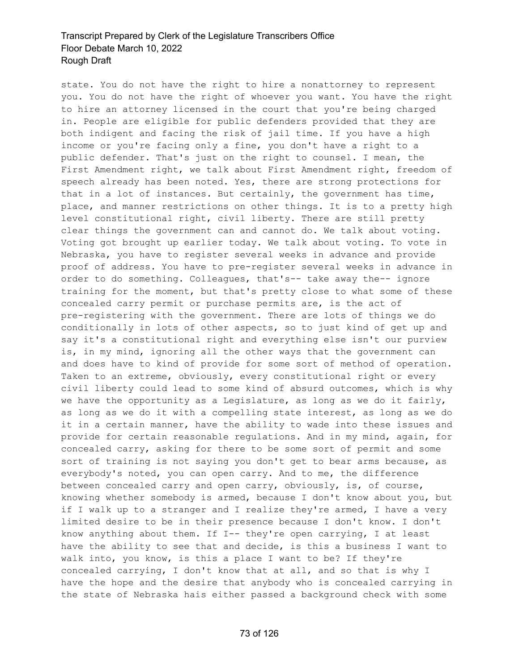state. You do not have the right to hire a nonattorney to represent you. You do not have the right of whoever you want. You have the right to hire an attorney licensed in the court that you're being charged in. People are eligible for public defenders provided that they are both indigent and facing the risk of jail time. If you have a high income or you're facing only a fine, you don't have a right to a public defender. That's just on the right to counsel. I mean, the First Amendment right, we talk about First Amendment right, freedom of speech already has been noted. Yes, there are strong protections for that in a lot of instances. But certainly, the government has time, place, and manner restrictions on other things. It is to a pretty high level constitutional right, civil liberty. There are still pretty clear things the government can and cannot do. We talk about voting. Voting got brought up earlier today. We talk about voting. To vote in Nebraska, you have to register several weeks in advance and provide proof of address. You have to pre-register several weeks in advance in order to do something. Colleagues, that's-- take away the-- ignore training for the moment, but that's pretty close to what some of these concealed carry permit or purchase permits are, is the act of pre-registering with the government. There are lots of things we do conditionally in lots of other aspects, so to just kind of get up and say it's a constitutional right and everything else isn't our purview is, in my mind, ignoring all the other ways that the government can and does have to kind of provide for some sort of method of operation. Taken to an extreme, obviously, every constitutional right or every civil liberty could lead to some kind of absurd outcomes, which is why we have the opportunity as a Legislature, as long as we do it fairly, as long as we do it with a compelling state interest, as long as we do it in a certain manner, have the ability to wade into these issues and provide for certain reasonable regulations. And in my mind, again, for concealed carry, asking for there to be some sort of permit and some sort of training is not saying you don't get to bear arms because, as everybody's noted, you can open carry. And to me, the difference between concealed carry and open carry, obviously, is, of course, knowing whether somebody is armed, because I don't know about you, but if I walk up to a stranger and I realize they're armed, I have a very limited desire to be in their presence because I don't know. I don't know anything about them. If I-- they're open carrying, I at least have the ability to see that and decide, is this a business I want to walk into, you know, is this a place I want to be? If they're concealed carrying, I don't know that at all, and so that is why I have the hope and the desire that anybody who is concealed carrying in the state of Nebraska hais either passed a background check with some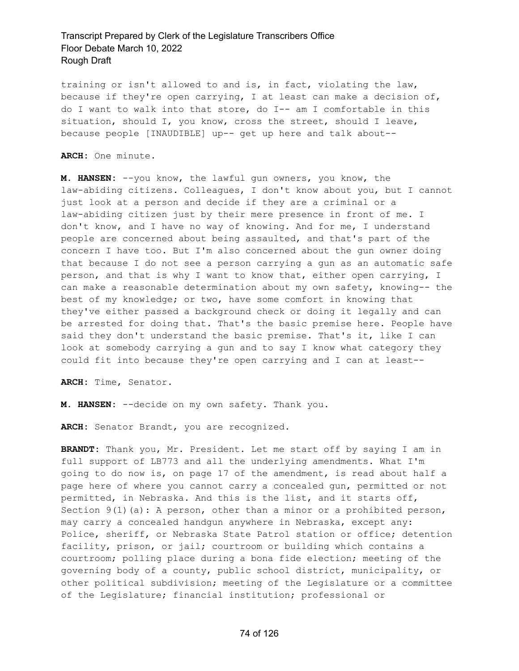training or isn't allowed to and is, in fact, violating the law, because if they're open carrying, I at least can make a decision of, do I want to walk into that store, do I-- am I comfortable in this situation, should I, you know, cross the street, should I leave, because people [INAUDIBLE] up-- get up here and talk about--

**ARCH:** One minute.

**M. HANSEN:** --you know, the lawful gun owners, you know, the law-abiding citizens. Colleagues, I don't know about you, but I cannot just look at a person and decide if they are a criminal or a law-abiding citizen just by their mere presence in front of me. I don't know, and I have no way of knowing. And for me, I understand people are concerned about being assaulted, and that's part of the concern I have too. But I'm also concerned about the gun owner doing that because I do not see a person carrying a gun as an automatic safe person, and that is why I want to know that, either open carrying, I can make a reasonable determination about my own safety, knowing-- the best of my knowledge; or two, have some comfort in knowing that they've either passed a background check or doing it legally and can be arrested for doing that. That's the basic premise here. People have said they don't understand the basic premise. That's it, like I can look at somebody carrying a gun and to say I know what category they could fit into because they're open carrying and I can at least--

**ARCH:** Time, Senator.

**M. HANSEN:** --decide on my own safety. Thank you.

**ARCH:** Senator Brandt, you are recognized.

**BRANDT:** Thank you, Mr. President. Let me start off by saying I am in full support of LB773 and all the underlying amendments. What I'm going to do now is, on page 17 of the amendment, is read about half a page here of where you cannot carry a concealed gun, permitted or not permitted, in Nebraska. And this is the list, and it starts off, Section  $9(1)(a)$ : A person, other than a minor or a prohibited person, may carry a concealed handgun anywhere in Nebraska, except any: Police, sheriff, or Nebraska State Patrol station or office; detention facility, prison, or jail; courtroom or building which contains a courtroom; polling place during a bona fide election; meeting of the governing body of a county, public school district, municipality, or other political subdivision; meeting of the Legislature or a committee of the Legislature; financial institution; professional or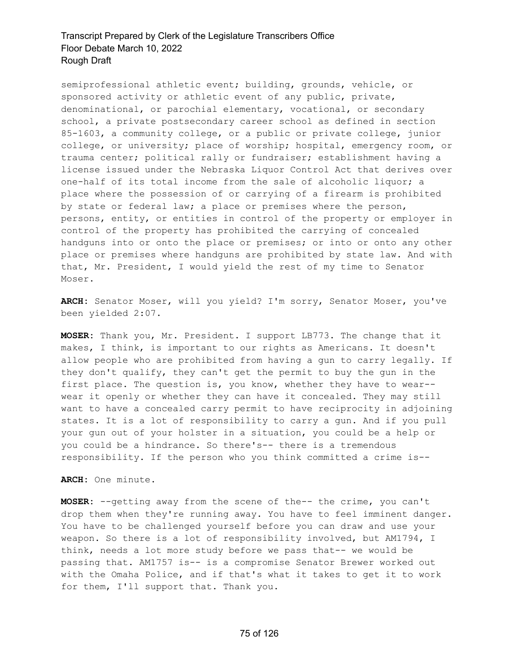semiprofessional athletic event; building, grounds, vehicle, or sponsored activity or athletic event of any public, private, denominational, or parochial elementary, vocational, or secondary school, a private postsecondary career school as defined in section 85-1603, a community college, or a public or private college, junior college, or university; place of worship; hospital, emergency room, or trauma center; political rally or fundraiser; establishment having a license issued under the Nebraska Liquor Control Act that derives over one-half of its total income from the sale of alcoholic liquor; a place where the possession of or carrying of a firearm is prohibited by state or federal law; a place or premises where the person, persons, entity, or entities in control of the property or employer in control of the property has prohibited the carrying of concealed handguns into or onto the place or premises; or into or onto any other place or premises where handguns are prohibited by state law. And with that, Mr. President, I would yield the rest of my time to Senator Moser.

**ARCH:** Senator Moser, will you yield? I'm sorry, Senator Moser, you've been yielded 2:07.

**MOSER:** Thank you, Mr. President. I support LB773. The change that it makes, I think, is important to our rights as Americans. It doesn't allow people who are prohibited from having a gun to carry legally. If they don't qualify, they can't get the permit to buy the gun in the first place. The question is, you know, whether they have to wear- wear it openly or whether they can have it concealed. They may still want to have a concealed carry permit to have reciprocity in adjoining states. It is a lot of responsibility to carry a gun. And if you pull your gun out of your holster in a situation, you could be a help or you could be a hindrance. So there's-- there is a tremendous responsibility. If the person who you think committed a crime is--

**ARCH:** One minute.

**MOSER:** --getting away from the scene of the-- the crime, you can't drop them when they're running away. You have to feel imminent danger. You have to be challenged yourself before you can draw and use your weapon. So there is a lot of responsibility involved, but AM1794, I think, needs a lot more study before we pass that-- we would be passing that. AM1757 is-- is a compromise Senator Brewer worked out with the Omaha Police, and if that's what it takes to get it to work for them, I'll support that. Thank you.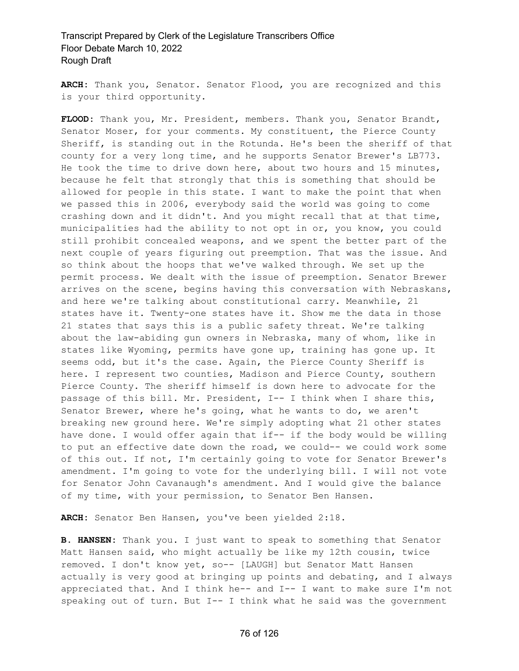**ARCH:** Thank you, Senator. Senator Flood, you are recognized and this is your third opportunity.

**FLOOD:** Thank you, Mr. President, members. Thank you, Senator Brandt, Senator Moser, for your comments. My constituent, the Pierce County Sheriff, is standing out in the Rotunda. He's been the sheriff of that county for a very long time, and he supports Senator Brewer's LB773. He took the time to drive down here, about two hours and 15 minutes, because he felt that strongly that this is something that should be allowed for people in this state. I want to make the point that when we passed this in 2006, everybody said the world was going to come crashing down and it didn't. And you might recall that at that time, municipalities had the ability to not opt in or, you know, you could still prohibit concealed weapons, and we spent the better part of the next couple of years figuring out preemption. That was the issue. And so think about the hoops that we've walked through. We set up the permit process. We dealt with the issue of preemption. Senator Brewer arrives on the scene, begins having this conversation with Nebraskans, and here we're talking about constitutional carry. Meanwhile, 21 states have it. Twenty-one states have it. Show me the data in those 21 states that says this is a public safety threat. We're talking about the law-abiding gun owners in Nebraska, many of whom, like in states like Wyoming, permits have gone up, training has gone up. It seems odd, but it's the case. Again, the Pierce County Sheriff is here. I represent two counties, Madison and Pierce County, southern Pierce County. The sheriff himself is down here to advocate for the passage of this bill. Mr. President, I-- I think when I share this, Senator Brewer, where he's going, what he wants to do, we aren't breaking new ground here. We're simply adopting what 21 other states have done. I would offer again that if-- if the body would be willing to put an effective date down the road, we could-- we could work some of this out. If not, I'm certainly going to vote for Senator Brewer's amendment. I'm going to vote for the underlying bill. I will not vote for Senator John Cavanaugh's amendment. And I would give the balance of my time, with your permission, to Senator Ben Hansen.

**ARCH:** Senator Ben Hansen, you've been yielded 2:18.

**B. HANSEN:** Thank you. I just want to speak to something that Senator Matt Hansen said, who might actually be like my 12th cousin, twice removed. I don't know yet, so-- [LAUGH] but Senator Matt Hansen actually is very good at bringing up points and debating, and I always appreciated that. And I think he-- and I-- I want to make sure I'm not speaking out of turn. But I-- I think what he said was the government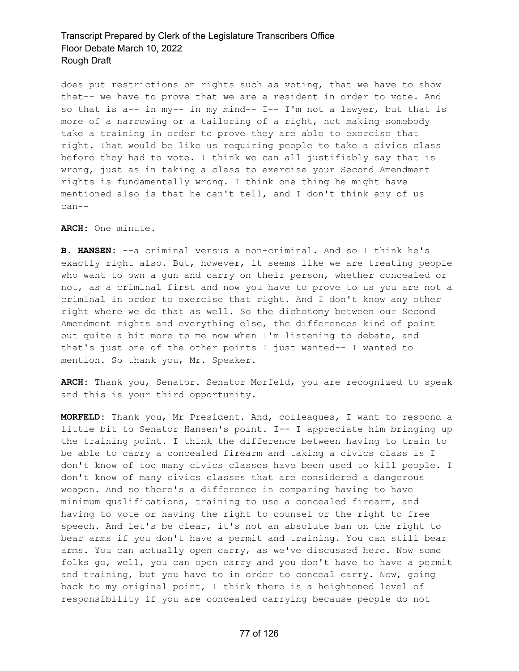does put restrictions on rights such as voting, that we have to show that-- we have to prove that we are a resident in order to vote. And so that is  $a--$  in my-- in my mind--  $I--$  I'm not a lawyer, but that is more of a narrowing or a tailoring of a right, not making somebody take a training in order to prove they are able to exercise that right. That would be like us requiring people to take a civics class before they had to vote. I think we can all justifiably say that is wrong, just as in taking a class to exercise your Second Amendment rights is fundamentally wrong. I think one thing he might have mentioned also is that he can't tell, and I don't think any of us can--

**ARCH:** One minute.

**B. HANSEN:** --a criminal versus a non-criminal. And so I think he's exactly right also. But, however, it seems like we are treating people who want to own a gun and carry on their person, whether concealed or not, as a criminal first and now you have to prove to us you are not a criminal in order to exercise that right. And I don't know any other right where we do that as well. So the dichotomy between our Second Amendment rights and everything else, the differences kind of point out quite a bit more to me now when I'm listening to debate, and that's just one of the other points I just wanted-- I wanted to mention. So thank you, Mr. Speaker.

**ARCH:** Thank you, Senator. Senator Morfeld, you are recognized to speak and this is your third opportunity.

**MORFELD:** Thank you, Mr President. And, colleagues, I want to respond a little bit to Senator Hansen's point. I-- I appreciate him bringing up the training point. I think the difference between having to train to be able to carry a concealed firearm and taking a civics class is I don't know of too many civics classes have been used to kill people. I don't know of many civics classes that are considered a dangerous weapon. And so there's a difference in comparing having to have minimum qualifications, training to use a concealed firearm, and having to vote or having the right to counsel or the right to free speech. And let's be clear, it's not an absolute ban on the right to bear arms if you don't have a permit and training. You can still bear arms. You can actually open carry, as we've discussed here. Now some folks go, well, you can open carry and you don't have to have a permit and training, but you have to in order to conceal carry. Now, going back to my original point, I think there is a heightened level of responsibility if you are concealed carrying because people do not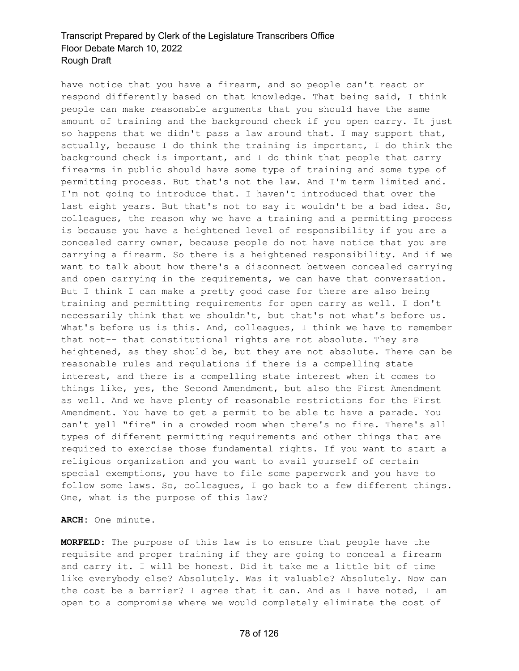have notice that you have a firearm, and so people can't react or respond differently based on that knowledge. That being said, I think people can make reasonable arguments that you should have the same amount of training and the background check if you open carry. It just so happens that we didn't pass a law around that. I may support that, actually, because I do think the training is important, I do think the background check is important, and I do think that people that carry firearms in public should have some type of training and some type of permitting process. But that's not the law. And I'm term limited and. I'm not going to introduce that. I haven't introduced that over the last eight years. But that's not to say it wouldn't be a bad idea. So, colleagues, the reason why we have a training and a permitting process is because you have a heightened level of responsibility if you are a concealed carry owner, because people do not have notice that you are carrying a firearm. So there is a heightened responsibility. And if we want to talk about how there's a disconnect between concealed carrying and open carrying in the requirements, we can have that conversation. But I think I can make a pretty good case for there are also being training and permitting requirements for open carry as well. I don't necessarily think that we shouldn't, but that's not what's before us. What's before us is this. And, colleagues, I think we have to remember that not-- that constitutional rights are not absolute. They are heightened, as they should be, but they are not absolute. There can be reasonable rules and regulations if there is a compelling state interest, and there is a compelling state interest when it comes to things like, yes, the Second Amendment, but also the First Amendment as well. And we have plenty of reasonable restrictions for the First Amendment. You have to get a permit to be able to have a parade. You can't yell "fire" in a crowded room when there's no fire. There's all types of different permitting requirements and other things that are required to exercise those fundamental rights. If you want to start a religious organization and you want to avail yourself of certain special exemptions, you have to file some paperwork and you have to follow some laws. So, colleagues, I go back to a few different things. One, what is the purpose of this law?

**ARCH:** One minute.

**MORFELD:** The purpose of this law is to ensure that people have the requisite and proper training if they are going to conceal a firearm and carry it. I will be honest. Did it take me a little bit of time like everybody else? Absolutely. Was it valuable? Absolutely. Now can the cost be a barrier? I agree that it can. And as I have noted, I am open to a compromise where we would completely eliminate the cost of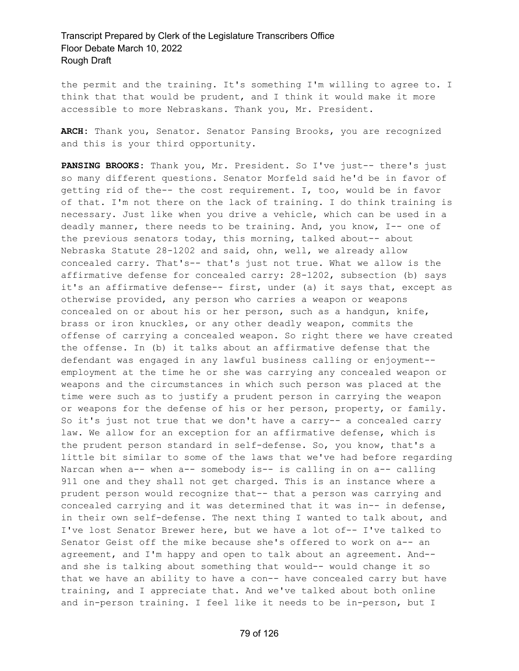the permit and the training. It's something I'm willing to agree to. I think that that would be prudent, and I think it would make it more accessible to more Nebraskans. Thank you, Mr. President.

**ARCH:** Thank you, Senator. Senator Pansing Brooks, you are recognized and this is your third opportunity.

**PANSING BROOKS:** Thank you, Mr. President. So I've just-- there's just so many different questions. Senator Morfeld said he'd be in favor of getting rid of the-- the cost requirement. I, too, would be in favor of that. I'm not there on the lack of training. I do think training is necessary. Just like when you drive a vehicle, which can be used in a deadly manner, there needs to be training. And, you know, I-- one of the previous senators today, this morning, talked about-- about Nebraska Statute 28-1202 and said, ohn, well, we already allow concealed carry. That's-- that's just not true. What we allow is the affirmative defense for concealed carry: 28-1202, subsection (b) says it's an affirmative defense-- first, under (a) it says that, except as otherwise provided, any person who carries a weapon or weapons concealed on or about his or her person, such as a handgun, knife, brass or iron knuckles, or any other deadly weapon, commits the offense of carrying a concealed weapon. So right there we have created the offense. In (b) it talks about an affirmative defense that the defendant was engaged in any lawful business calling or enjoyment- employment at the time he or she was carrying any concealed weapon or weapons and the circumstances in which such person was placed at the time were such as to justify a prudent person in carrying the weapon or weapons for the defense of his or her person, property, or family. So it's just not true that we don't have a carry-- a concealed carry law. We allow for an exception for an affirmative defense, which is the prudent person standard in self-defense. So, you know, that's a little bit similar to some of the laws that we've had before regarding Narcan when a-- when a-- somebody is-- is calling in on a-- calling 911 one and they shall not get charged. This is an instance where a prudent person would recognize that-- that a person was carrying and concealed carrying and it was determined that it was in-- in defense, in their own self-defense. The next thing I wanted to talk about, and I've lost Senator Brewer here, but we have a lot of-- I've talked to Senator Geist off the mike because she's offered to work on a-- an agreement, and I'm happy and open to talk about an agreement. And- and she is talking about something that would-- would change it so that we have an ability to have a con-- have concealed carry but have training, and I appreciate that. And we've talked about both online and in-person training. I feel like it needs to be in-person, but I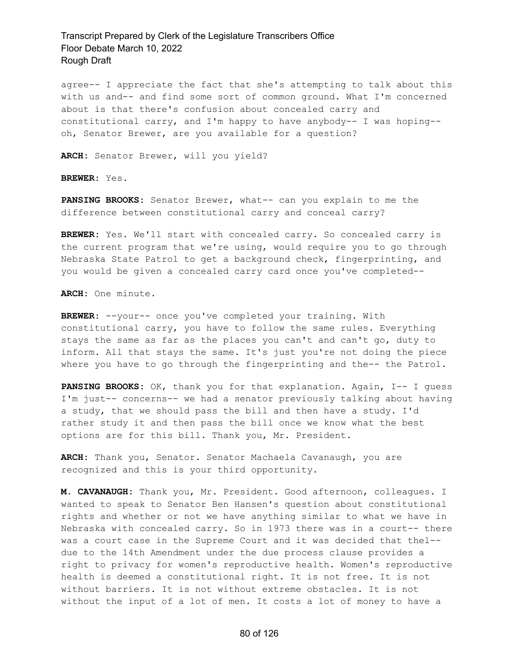agree-- I appreciate the fact that she's attempting to talk about this with us and-- and find some sort of common ground. What I'm concerned about is that there's confusion about concealed carry and constitutional carry, and I'm happy to have anybody-- I was hoping- oh, Senator Brewer, are you available for a question?

**ARCH:** Senator Brewer, will you yield?

**BREWER:** Yes.

**PANSING BROOKS:** Senator Brewer, what-- can you explain to me the difference between constitutional carry and conceal carry?

**BREWER:** Yes. We'll start with concealed carry. So concealed carry is the current program that we're using, would require you to go through Nebraska State Patrol to get a background check, fingerprinting, and you would be given a concealed carry card once you've completed--

**ARCH:** One minute.

**BREWER:** --your-- once you've completed your training. With constitutional carry, you have to follow the same rules. Everything stays the same as far as the places you can't and can't go, duty to inform. All that stays the same. It's just you're not doing the piece where you have to go through the fingerprinting and the-- the Patrol.

**PANSING BROOKS:** OK, thank you for that explanation. Again, I-- I guess I'm just-- concerns-- we had a senator previously talking about having a study, that we should pass the bill and then have a study. I'd rather study it and then pass the bill once we know what the best options are for this bill. Thank you, Mr. President.

**ARCH:** Thank you, Senator. Senator Machaela Cavanaugh, you are recognized and this is your third opportunity.

**M. CAVANAUGH:** Thank you, Mr. President. Good afternoon, colleagues. I wanted to speak to Senator Ben Hansen's question about constitutional rights and whether or not we have anything similar to what we have in Nebraska with concealed carry. So in 1973 there was in a court-- there was a court case in the Supreme Court and it was decided that thel- due to the 14th Amendment under the due process clause provides a right to privacy for women's reproductive health. Women's reproductive health is deemed a constitutional right. It is not free. It is not without barriers. It is not without extreme obstacles. It is not without the input of a lot of men. It costs a lot of money to have a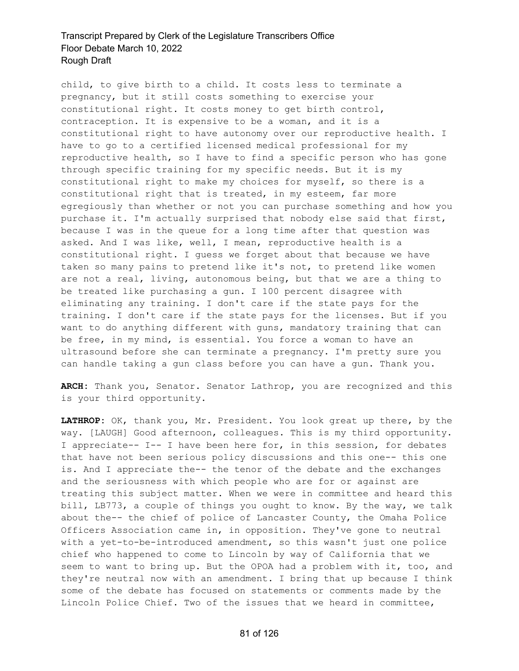child, to give birth to a child. It costs less to terminate a pregnancy, but it still costs something to exercise your constitutional right. It costs money to get birth control, contraception. It is expensive to be a woman, and it is a constitutional right to have autonomy over our reproductive health. I have to go to a certified licensed medical professional for my reproductive health, so I have to find a specific person who has gone through specific training for my specific needs. But it is my constitutional right to make my choices for myself, so there is a constitutional right that is treated, in my esteem, far more egregiously than whether or not you can purchase something and how you purchase it. I'm actually surprised that nobody else said that first, because I was in the queue for a long time after that question was asked. And I was like, well, I mean, reproductive health is a constitutional right. I guess we forget about that because we have taken so many pains to pretend like it's not, to pretend like women are not a real, living, autonomous being, but that we are a thing to be treated like purchasing a gun. I 100 percent disagree with eliminating any training. I don't care if the state pays for the training. I don't care if the state pays for the licenses. But if you want to do anything different with guns, mandatory training that can be free, in my mind, is essential. You force a woman to have an ultrasound before she can terminate a pregnancy. I'm pretty sure you can handle taking a gun class before you can have a gun. Thank you.

**ARCH:** Thank you, Senator. Senator Lathrop, you are recognized and this is your third opportunity.

**LATHROP:** OK, thank you, Mr. President. You look great up there, by the way. [LAUGH] Good afternoon, colleagues. This is my third opportunity. I appreciate-- I-- I have been here for, in this session, for debates that have not been serious policy discussions and this one-- this one is. And I appreciate the-- the tenor of the debate and the exchanges and the seriousness with which people who are for or against are treating this subject matter. When we were in committee and heard this bill, LB773, a couple of things you ought to know. By the way, we talk about the-- the chief of police of Lancaster County, the Omaha Police Officers Association came in, in opposition. They've gone to neutral with a yet-to-be-introduced amendment, so this wasn't just one police chief who happened to come to Lincoln by way of California that we seem to want to bring up. But the OPOA had a problem with it, too, and they're neutral now with an amendment. I bring that up because I think some of the debate has focused on statements or comments made by the Lincoln Police Chief. Two of the issues that we heard in committee,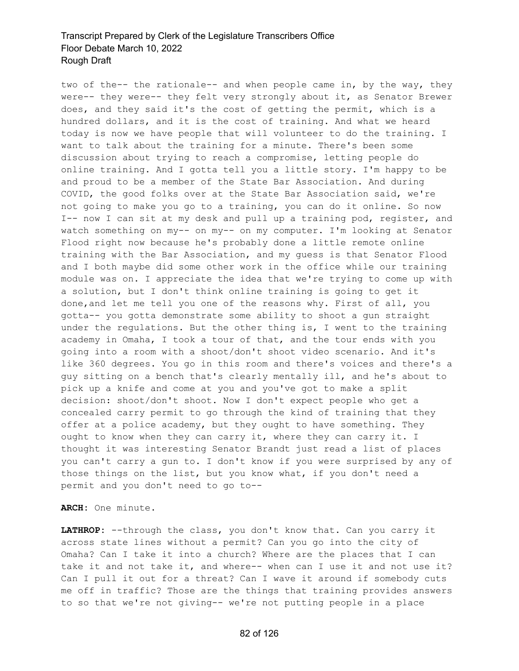two of the-- the rationale-- and when people came in, by the way, they were-- they were-- they felt very strongly about it, as Senator Brewer does, and they said it's the cost of getting the permit, which is a hundred dollars, and it is the cost of training. And what we heard today is now we have people that will volunteer to do the training. I want to talk about the training for a minute. There's been some discussion about trying to reach a compromise, letting people do online training. And I gotta tell you a little story. I'm happy to be and proud to be a member of the State Bar Association. And during COVID, the good folks over at the State Bar Association said, we're not going to make you go to a training, you can do it online. So now I-- now I can sit at my desk and pull up a training pod, register, and watch something on my-- on my-- on my computer. I'm looking at Senator Flood right now because he's probably done a little remote online training with the Bar Association, and my guess is that Senator Flood and I both maybe did some other work in the office while our training module was on. I appreciate the idea that we're trying to come up with a solution, but I don't think online training is going to get it done,and let me tell you one of the reasons why. First of all, you gotta-- you gotta demonstrate some ability to shoot a gun straight under the regulations. But the other thing is, I went to the training academy in Omaha, I took a tour of that, and the tour ends with you going into a room with a shoot/don't shoot video scenario. And it's like 360 degrees. You go in this room and there's voices and there's a guy sitting on a bench that's clearly mentally ill, and he's about to pick up a knife and come at you and you've got to make a split decision: shoot/don't shoot. Now I don't expect people who get a concealed carry permit to go through the kind of training that they offer at a police academy, but they ought to have something. They ought to know when they can carry it, where they can carry it. I thought it was interesting Senator Brandt just read a list of places you can't carry a gun to. I don't know if you were surprised by any of those things on the list, but you know what, if you don't need a permit and you don't need to go to--

**ARCH:** One minute.

**LATHROP:** --through the class, you don't know that. Can you carry it across state lines without a permit? Can you go into the city of Omaha? Can I take it into a church? Where are the places that I can take it and not take it, and where-- when can I use it and not use it? Can I pull it out for a threat? Can I wave it around if somebody cuts me off in traffic? Those are the things that training provides answers to so that we're not giving-- we're not putting people in a place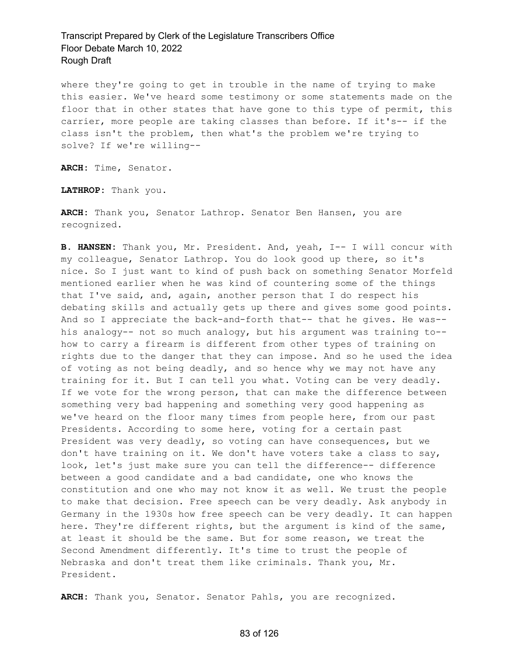where they're going to get in trouble in the name of trying to make this easier. We've heard some testimony or some statements made on the floor that in other states that have gone to this type of permit, this carrier, more people are taking classes than before. If it's-- if the class isn't the problem, then what's the problem we're trying to solve? If we're willing--

**ARCH:** Time, Senator.

**LATHROP:** Thank you.

**ARCH:** Thank you, Senator Lathrop. Senator Ben Hansen, you are recognized.

**B. HANSEN:** Thank you, Mr. President. And, yeah, I-- I will concur with my colleague, Senator Lathrop. You do look good up there, so it's nice. So I just want to kind of push back on something Senator Morfeld mentioned earlier when he was kind of countering some of the things that I've said, and, again, another person that I do respect his debating skills and actually gets up there and gives some good points. And so I appreciate the back-and-forth that-- that he gives. He was- his analogy-- not so much analogy, but his argument was training to- how to carry a firearm is different from other types of training on rights due to the danger that they can impose. And so he used the idea of voting as not being deadly, and so hence why we may not have any training for it. But I can tell you what. Voting can be very deadly. If we vote for the wrong person, that can make the difference between something very bad happening and something very good happening as we've heard on the floor many times from people here, from our past Presidents. According to some here, voting for a certain past President was very deadly, so voting can have consequences, but we don't have training on it. We don't have voters take a class to say, look, let's just make sure you can tell the difference-- difference between a good candidate and a bad candidate, one who knows the constitution and one who may not know it as well. We trust the people to make that decision. Free speech can be very deadly. Ask anybody in Germany in the 1930s how free speech can be very deadly. It can happen here. They're different rights, but the argument is kind of the same, at least it should be the same. But for some reason, we treat the Second Amendment differently. It's time to trust the people of Nebraska and don't treat them like criminals. Thank you, Mr. President.

**ARCH:** Thank you, Senator. Senator Pahls, you are recognized.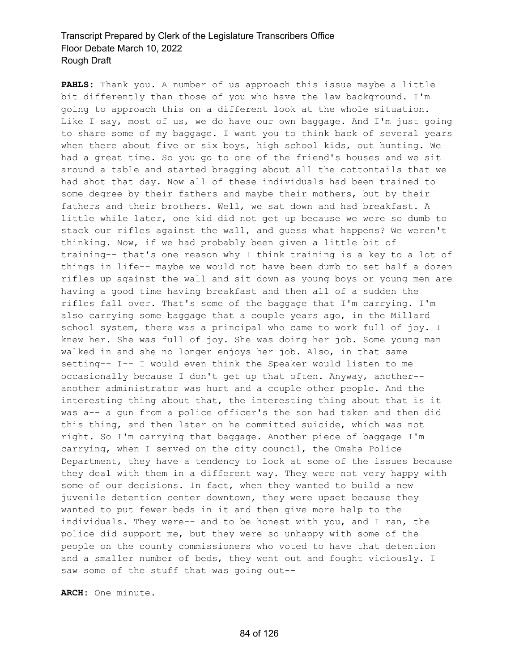**PAHLS:** Thank you. A number of us approach this issue maybe a little bit differently than those of you who have the law background. I'm going to approach this on a different look at the whole situation. Like I say, most of us, we do have our own baggage. And I'm just going to share some of my baggage. I want you to think back of several years when there about five or six boys, high school kids, out hunting. We had a great time. So you go to one of the friend's houses and we sit around a table and started bragging about all the cottontails that we had shot that day. Now all of these individuals had been trained to some degree by their fathers and maybe their mothers, but by their fathers and their brothers. Well, we sat down and had breakfast. A little while later, one kid did not get up because we were so dumb to stack our rifles against the wall, and guess what happens? We weren't thinking. Now, if we had probably been given a little bit of training-- that's one reason why I think training is a key to a lot of things in life-- maybe we would not have been dumb to set half a dozen rifles up against the wall and sit down as young boys or young men are having a good time having breakfast and then all of a sudden the rifles fall over. That's some of the baggage that I'm carrying. I'm also carrying some baggage that a couple years ago, in the Millard school system, there was a principal who came to work full of joy. I knew her. She was full of joy. She was doing her job. Some young man walked in and she no longer enjoys her job. Also, in that same setting-- I-- I would even think the Speaker would listen to me occasionally because I don't get up that often. Anyway, another- another administrator was hurt and a couple other people. And the interesting thing about that, the interesting thing about that is it was a-- a gun from a police officer's the son had taken and then did this thing, and then later on he committed suicide, which was not right. So I'm carrying that baggage. Another piece of baggage I'm carrying, when I served on the city council, the Omaha Police Department, they have a tendency to look at some of the issues because they deal with them in a different way. They were not very happy with some of our decisions. In fact, when they wanted to build a new juvenile detention center downtown, they were upset because they wanted to put fewer beds in it and then give more help to the individuals. They were-- and to be honest with you, and I ran, the police did support me, but they were so unhappy with some of the people on the county commissioners who voted to have that detention and a smaller number of beds, they went out and fought viciously. I saw some of the stuff that was going out--

**ARCH:** One minute.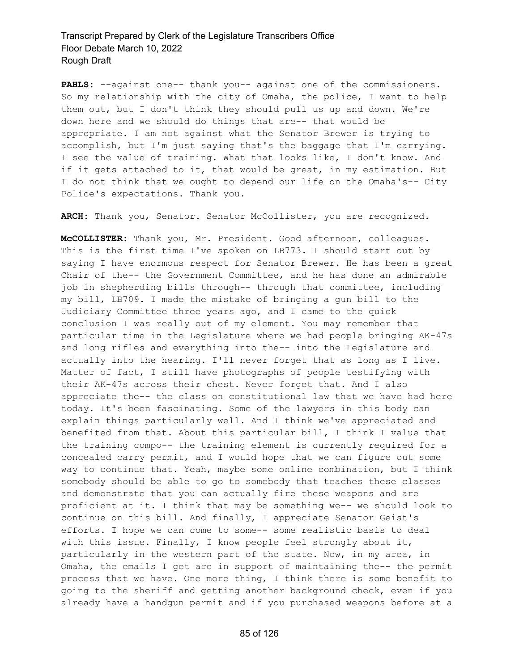PAHLS: --against one-- thank you-- against one of the commissioners. So my relationship with the city of Omaha, the police, I want to help them out, but I don't think they should pull us up and down. We're down here and we should do things that are-- that would be appropriate. I am not against what the Senator Brewer is trying to accomplish, but I'm just saying that's the baggage that I'm carrying. I see the value of training. What that looks like, I don't know. And if it gets attached to it, that would be great, in my estimation. But I do not think that we ought to depend our life on the Omaha's-- City Police's expectations. Thank you.

**ARCH:** Thank you, Senator. Senator McCollister, you are recognized.

**McCOLLISTER:** Thank you, Mr. President. Good afternoon, colleagues. This is the first time I've spoken on LB773. I should start out by saying I have enormous respect for Senator Brewer. He has been a great Chair of the-- the Government Committee, and he has done an admirable job in shepherding bills through-- through that committee, including my bill, LB709. I made the mistake of bringing a gun bill to the Judiciary Committee three years ago, and I came to the quick conclusion I was really out of my element. You may remember that particular time in the Legislature where we had people bringing AK-47s and long rifles and everything into the-- into the Legislature and actually into the hearing. I'll never forget that as long as I live. Matter of fact, I still have photographs of people testifying with their AK-47s across their chest. Never forget that. And I also appreciate the-- the class on constitutional law that we have had here today. It's been fascinating. Some of the lawyers in this body can explain things particularly well. And I think we've appreciated and benefited from that. About this particular bill, I think I value that the training compo-- the training element is currently required for a concealed carry permit, and I would hope that we can figure out some way to continue that. Yeah, maybe some online combination, but I think somebody should be able to go to somebody that teaches these classes and demonstrate that you can actually fire these weapons and are proficient at it. I think that may be something we-- we should look to continue on this bill. And finally, I appreciate Senator Geist's efforts. I hope we can come to some-- some realistic basis to deal with this issue. Finally, I know people feel strongly about it, particularly in the western part of the state. Now, in my area, in Omaha, the emails I get are in support of maintaining the-- the permit process that we have. One more thing, I think there is some benefit to going to the sheriff and getting another background check, even if you already have a handgun permit and if you purchased weapons before at a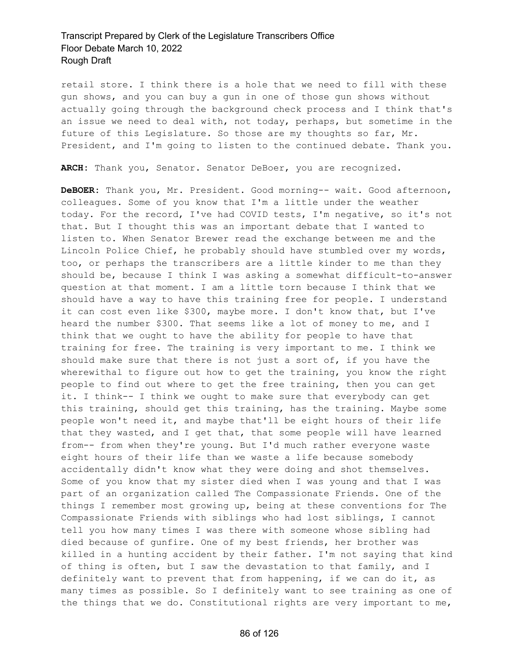retail store. I think there is a hole that we need to fill with these gun shows, and you can buy a gun in one of those gun shows without actually going through the background check process and I think that's an issue we need to deal with, not today, perhaps, but sometime in the future of this Legislature. So those are my thoughts so far, Mr. President, and I'm going to listen to the continued debate. Thank you.

**ARCH:** Thank you, Senator. Senator DeBoer, you are recognized.

**DeBOER:** Thank you, Mr. President. Good morning-- wait. Good afternoon, colleagues. Some of you know that I'm a little under the weather today. For the record, I've had COVID tests, I'm negative, so it's not that. But I thought this was an important debate that I wanted to listen to. When Senator Brewer read the exchange between me and the Lincoln Police Chief, he probably should have stumbled over my words, too, or perhaps the transcribers are a little kinder to me than they should be, because I think I was asking a somewhat difficult-to-answer question at that moment. I am a little torn because I think that we should have a way to have this training free for people. I understand it can cost even like \$300, maybe more. I don't know that, but I've heard the number \$300. That seems like a lot of money to me, and I think that we ought to have the ability for people to have that training for free. The training is very important to me. I think we should make sure that there is not just a sort of, if you have the wherewithal to figure out how to get the training, you know the right people to find out where to get the free training, then you can get it. I think-- I think we ought to make sure that everybody can get this training, should get this training, has the training. Maybe some people won't need it, and maybe that'll be eight hours of their life that they wasted, and I get that, that some people will have learned from-- from when they're young. But I'd much rather everyone waste eight hours of their life than we waste a life because somebody accidentally didn't know what they were doing and shot themselves. Some of you know that my sister died when I was young and that I was part of an organization called The Compassionate Friends. One of the things I remember most growing up, being at these conventions for The Compassionate Friends with siblings who had lost siblings, I cannot tell you how many times I was there with someone whose sibling had died because of gunfire. One of my best friends, her brother was killed in a hunting accident by their father. I'm not saying that kind of thing is often, but I saw the devastation to that family, and I definitely want to prevent that from happening, if we can do it, as many times as possible. So I definitely want to see training as one of the things that we do. Constitutional rights are very important to me,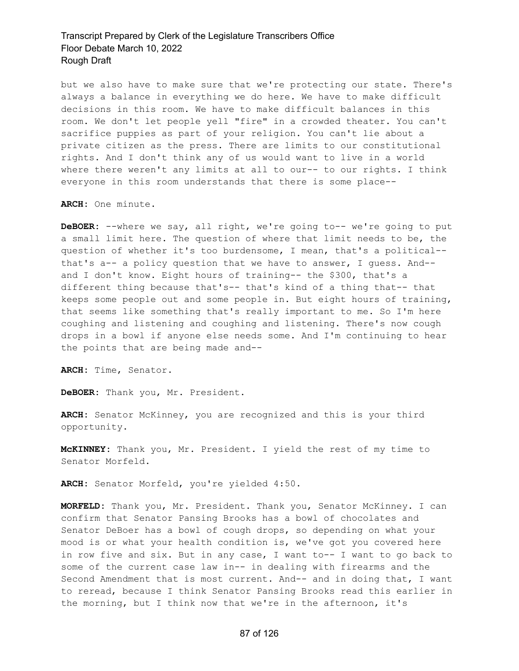but we also have to make sure that we're protecting our state. There's always a balance in everything we do here. We have to make difficult decisions in this room. We have to make difficult balances in this room. We don't let people yell "fire" in a crowded theater. You can't sacrifice puppies as part of your religion. You can't lie about a private citizen as the press. There are limits to our constitutional rights. And I don't think any of us would want to live in a world where there weren't any limits at all to our-- to our rights. I think everyone in this room understands that there is some place--

**ARCH:** One minute.

**DeBOER:** --where we say, all right, we're going to-- we're going to put a small limit here. The question of where that limit needs to be, the question of whether it's too burdensome, I mean, that's a political- that's a-- a policy question that we have to answer, I guess. And- and I don't know. Eight hours of training-- the \$300, that's a different thing because that's-- that's kind of a thing that-- that keeps some people out and some people in. But eight hours of training, that seems like something that's really important to me. So I'm here coughing and listening and coughing and listening. There's now cough drops in a bowl if anyone else needs some. And I'm continuing to hear the points that are being made and--

**ARCH:** Time, Senator.

**DeBOER:** Thank you, Mr. President.

**ARCH:** Senator McKinney, you are recognized and this is your third opportunity.

**McKINNEY:** Thank you, Mr. President. I yield the rest of my time to Senator Morfeld.

**ARCH:** Senator Morfeld, you're yielded 4:50.

**MORFELD:** Thank you, Mr. President. Thank you, Senator McKinney. I can confirm that Senator Pansing Brooks has a bowl of chocolates and Senator DeBoer has a bowl of cough drops, so depending on what your mood is or what your health condition is, we've got you covered here in row five and six. But in any case, I want to-- I want to go back to some of the current case law in-- in dealing with firearms and the Second Amendment that is most current. And-- and in doing that, I want to reread, because I think Senator Pansing Brooks read this earlier in the morning, but I think now that we're in the afternoon, it's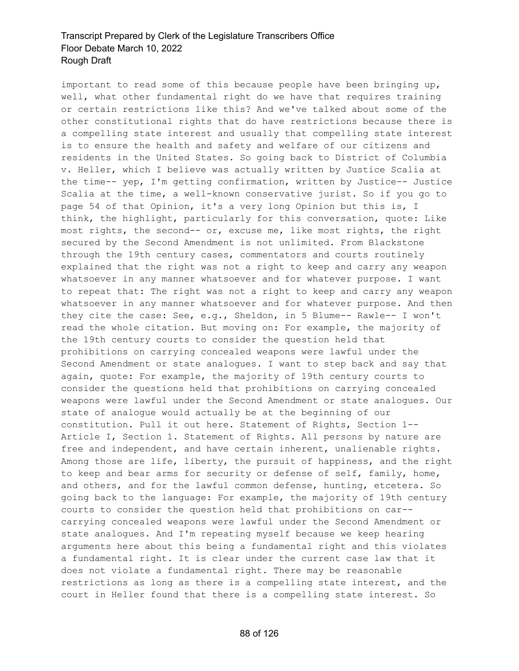important to read some of this because people have been bringing up, well, what other fundamental right do we have that requires training or certain restrictions like this? And we've talked about some of the other constitutional rights that do have restrictions because there is a compelling state interest and usually that compelling state interest is to ensure the health and safety and welfare of our citizens and residents in the United States. So going back to District of Columbia v. Heller, which I believe was actually written by Justice Scalia at the time-- yep, I'm getting confirmation, written by Justice-- Justice Scalia at the time, a well-known conservative jurist. So if you go to page 54 of that Opinion, it's a very long Opinion but this is, I think, the highlight, particularly for this conversation, quote: Like most rights, the second-- or, excuse me, like most rights, the right secured by the Second Amendment is not unlimited. From Blackstone through the 19th century cases, commentators and courts routinely explained that the right was not a right to keep and carry any weapon whatsoever in any manner whatsoever and for whatever purpose. I want to repeat that: The right was not a right to keep and carry any weapon whatsoever in any manner whatsoever and for whatever purpose. And then they cite the case: See, e.g., Sheldon, in 5 Blume-- Rawle-- I won't read the whole citation. But moving on: For example, the majority of the 19th century courts to consider the question held that prohibitions on carrying concealed weapons were lawful under the Second Amendment or state analogues. I want to step back and say that again, quote: For example, the majority of 19th century courts to consider the questions held that prohibitions on carrying concealed weapons were lawful under the Second Amendment or state analogues. Our state of analogue would actually be at the beginning of our constitution. Pull it out here. Statement of Rights, Section 1-- Article I, Section 1. Statement of Rights. All persons by nature are free and independent, and have certain inherent, unalienable rights. Among those are life, liberty, the pursuit of happiness, and the right to keep and bear arms for security or defense of self, family, home, and others, and for the lawful common defense, hunting, etcetera. So going back to the language: For example, the majority of 19th century courts to consider the question held that prohibitions on car- carrying concealed weapons were lawful under the Second Amendment or state analogues. And I'm repeating myself because we keep hearing arguments here about this being a fundamental right and this violates a fundamental right. It is clear under the current case law that it does not violate a fundamental right. There may be reasonable restrictions as long as there is a compelling state interest, and the court in Heller found that there is a compelling state interest. So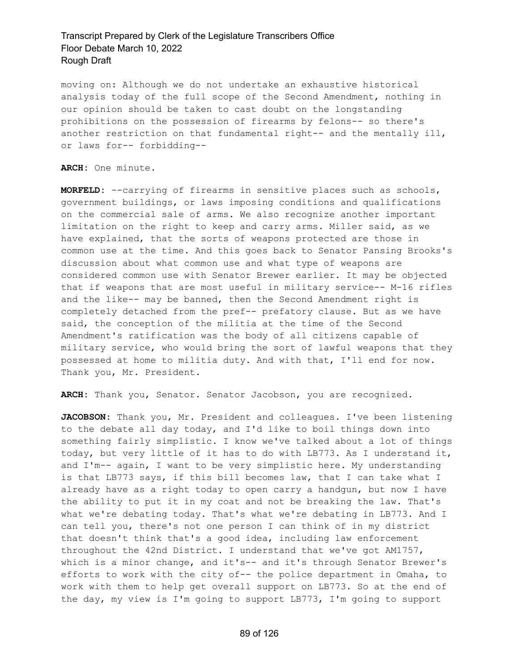moving on: Although we do not undertake an exhaustive historical analysis today of the full scope of the Second Amendment, nothing in our opinion should be taken to cast doubt on the longstanding prohibitions on the possession of firearms by felons-- so there's another restriction on that fundamental right-- and the mentally ill, or laws for-- forbidding--

**ARCH:** One minute.

**MORFELD:** --carrying of firearms in sensitive places such as schools, government buildings, or laws imposing conditions and qualifications on the commercial sale of arms. We also recognize another important limitation on the right to keep and carry arms. Miller said, as we have explained, that the sorts of weapons protected are those in common use at the time. And this goes back to Senator Pansing Brooks's discussion about what common use and what type of weapons are considered common use with Senator Brewer earlier. It may be objected that if weapons that are most useful in military service-- M-16 rifles and the like-- may be banned, then the Second Amendment right is completely detached from the pref-- prefatory clause. But as we have said, the conception of the militia at the time of the Second Amendment's ratification was the body of all citizens capable of military service, who would bring the sort of lawful weapons that they possessed at home to militia duty. And with that, I'll end for now. Thank you, Mr. President.

**ARCH:** Thank you, Senator. Senator Jacobson, you are recognized.

**JACOBSON:** Thank you, Mr. President and colleagues. I've been listening to the debate all day today, and I'd like to boil things down into something fairly simplistic. I know we've talked about a lot of things today, but very little of it has to do with LB773. As I understand it, and I'm-- again, I want to be very simplistic here. My understanding is that LB773 says, if this bill becomes law, that I can take what I already have as a right today to open carry a handgun, but now I have the ability to put it in my coat and not be breaking the law. That's what we're debating today. That's what we're debating in LB773. And I can tell you, there's not one person I can think of in my district that doesn't think that's a good idea, including law enforcement throughout the 42nd District. I understand that we've got AM1757, which is a minor change, and it's-- and it's through Senator Brewer's efforts to work with the city of-- the police department in Omaha, to work with them to help get overall support on LB773. So at the end of the day, my view is I'm going to support LB773, I'm going to support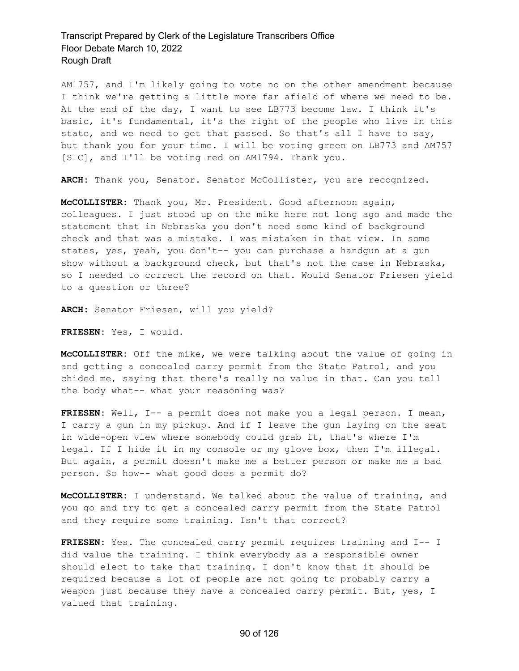AM1757, and I'm likely going to vote no on the other amendment because I think we're getting a little more far afield of where we need to be. At the end of the day, I want to see LB773 become law. I think it's basic, it's fundamental, it's the right of the people who live in this state, and we need to get that passed. So that's all I have to say, but thank you for your time. I will be voting green on LB773 and AM757 [SIC], and I'll be voting red on AM1794. Thank you.

**ARCH:** Thank you, Senator. Senator McCollister, you are recognized.

**McCOLLISTER:** Thank you, Mr. President. Good afternoon again, colleagues. I just stood up on the mike here not long ago and made the statement that in Nebraska you don't need some kind of background check and that was a mistake. I was mistaken in that view. In some states, yes, yeah, you don't -- you can purchase a handgun at a gun show without a background check, but that's not the case in Nebraska, so I needed to correct the record on that. Would Senator Friesen yield to a question or three?

**ARCH:** Senator Friesen, will you yield?

**FRIESEN:** Yes, I would.

**McCOLLISTER:** Off the mike, we were talking about the value of going in and getting a concealed carry permit from the State Patrol, and you chided me, saying that there's really no value in that. Can you tell the body what-- what your reasoning was?

**FRIESEN:** Well, I-- a permit does not make you a legal person. I mean, I carry a gun in my pickup. And if I leave the gun laying on the seat in wide-open view where somebody could grab it, that's where I'm legal. If I hide it in my console or my glove box, then I'm illegal. But again, a permit doesn't make me a better person or make me a bad person. So how-- what good does a permit do?

**McCOLLISTER:** I understand. We talked about the value of training, and you go and try to get a concealed carry permit from the State Patrol and they require some training. Isn't that correct?

**FRIESEN:** Yes. The concealed carry permit requires training and I-- I did value the training. I think everybody as a responsible owner should elect to take that training. I don't know that it should be required because a lot of people are not going to probably carry a weapon just because they have a concealed carry permit. But, yes, I valued that training.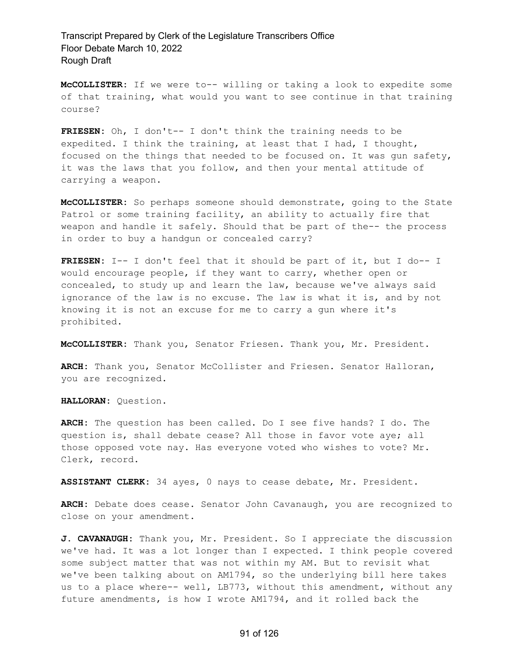**McCOLLISTER:** If we were to-- willing or taking a look to expedite some of that training, what would you want to see continue in that training course?

**FRIESEN:** Oh, I don't-- I don't think the training needs to be expedited. I think the training, at least that I had, I thought, focused on the things that needed to be focused on. It was gun safety, it was the laws that you follow, and then your mental attitude of carrying a weapon.

**McCOLLISTER:** So perhaps someone should demonstrate, going to the State Patrol or some training facility, an ability to actually fire that weapon and handle it safely. Should that be part of the-- the process in order to buy a handgun or concealed carry?

**FRIESEN:** I-- I don't feel that it should be part of it, but I do-- I would encourage people, if they want to carry, whether open or concealed, to study up and learn the law, because we've always said ignorance of the law is no excuse. The law is what it is, and by not knowing it is not an excuse for me to carry a gun where it's prohibited.

**McCOLLISTER:** Thank you, Senator Friesen. Thank you, Mr. President.

**ARCH:** Thank you, Senator McCollister and Friesen. Senator Halloran, you are recognized.

**HALLORAN:** Question.

**ARCH:** The question has been called. Do I see five hands? I do. The question is, shall debate cease? All those in favor vote aye; all those opposed vote nay. Has everyone voted who wishes to vote? Mr. Clerk, record.

**ASSISTANT CLERK:** 34 ayes, 0 nays to cease debate, Mr. President.

**ARCH:** Debate does cease. Senator John Cavanaugh, you are recognized to close on your amendment.

**J. CAVANAUGH:** Thank you, Mr. President. So I appreciate the discussion we've had. It was a lot longer than I expected. I think people covered some subject matter that was not within my AM. But to revisit what we've been talking about on AM1794, so the underlying bill here takes us to a place where-- well, LB773, without this amendment, without any future amendments, is how I wrote AM1794, and it rolled back the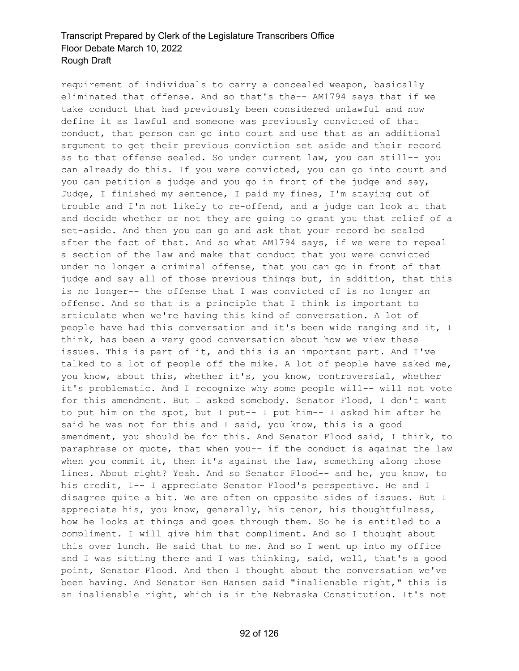requirement of individuals to carry a concealed weapon, basically eliminated that offense. And so that's the-- AM1794 says that if we take conduct that had previously been considered unlawful and now define it as lawful and someone was previously convicted of that conduct, that person can go into court and use that as an additional argument to get their previous conviction set aside and their record as to that offense sealed. So under current law, you can still-- you can already do this. If you were convicted, you can go into court and you can petition a judge and you go in front of the judge and say, Judge, I finished my sentence, I paid my fines, I'm staying out of trouble and I'm not likely to re-offend, and a judge can look at that and decide whether or not they are going to grant you that relief of a set-aside. And then you can go and ask that your record be sealed after the fact of that. And so what AM1794 says, if we were to repeal a section of the law and make that conduct that you were convicted under no longer a criminal offense, that you can go in front of that judge and say all of those previous things but, in addition, that this is no longer-- the offense that I was convicted of is no longer an offense. And so that is a principle that I think is important to articulate when we're having this kind of conversation. A lot of people have had this conversation and it's been wide ranging and it, I think, has been a very good conversation about how we view these issues. This is part of it, and this is an important part. And I've talked to a lot of people off the mike. A lot of people have asked me, you know, about this, whether it's, you know, controversial, whether it's problematic. And I recognize why some people will-- will not vote for this amendment. But I asked somebody. Senator Flood, I don't want to put him on the spot, but I put-- I put him-- I asked him after he said he was not for this and I said, you know, this is a good amendment, you should be for this. And Senator Flood said, I think, to paraphrase or quote, that when you-- if the conduct is against the law when you commit it, then it's against the law, something along those lines. About right? Yeah. And so Senator Flood-- and he, you know, to his credit, I-- I appreciate Senator Flood's perspective. He and I disagree quite a bit. We are often on opposite sides of issues. But I appreciate his, you know, generally, his tenor, his thoughtfulness, how he looks at things and goes through them. So he is entitled to a compliment. I will give him that compliment. And so I thought about this over lunch. He said that to me. And so I went up into my office and I was sitting there and I was thinking, said, well, that's a good point, Senator Flood. And then I thought about the conversation we've been having. And Senator Ben Hansen said "inalienable right," this is an inalienable right, which is in the Nebraska Constitution. It's not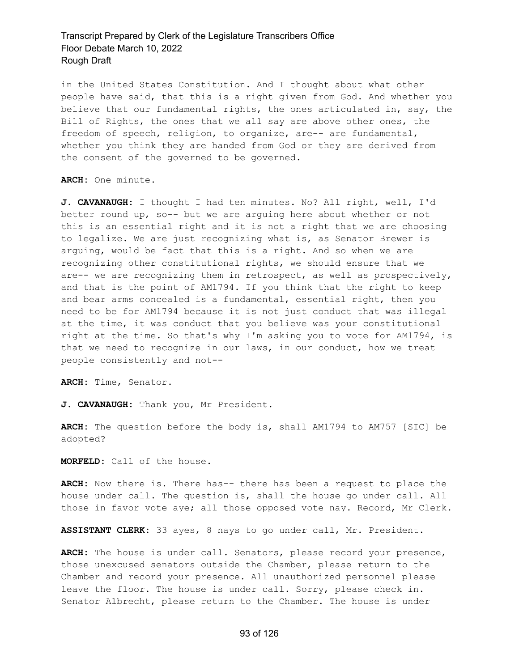in the United States Constitution. And I thought about what other people have said, that this is a right given from God. And whether you believe that our fundamental rights, the ones articulated in, say, the Bill of Rights, the ones that we all say are above other ones, the freedom of speech, religion, to organize, are-- are fundamental, whether you think they are handed from God or they are derived from the consent of the governed to be governed.

**ARCH:** One minute.

**J. CAVANAUGH:** I thought I had ten minutes. No? All right, well, I'd better round up, so-- but we are arguing here about whether or not this is an essential right and it is not a right that we are choosing to legalize. We are just recognizing what is, as Senator Brewer is arguing, would be fact that this is a right. And so when we are recognizing other constitutional rights, we should ensure that we are-- we are recognizing them in retrospect, as well as prospectively, and that is the point of AM1794. If you think that the right to keep and bear arms concealed is a fundamental, essential right, then you need to be for AM1794 because it is not just conduct that was illegal at the time, it was conduct that you believe was your constitutional right at the time. So that's why I'm asking you to vote for AM1794, is that we need to recognize in our laws, in our conduct, how we treat people consistently and not--

**ARCH:** Time, Senator.

**J. CAVANAUGH:** Thank you, Mr President.

**ARCH:** The question before the body is, shall AM1794 to AM757 [SIC] be adopted?

**MORFELD:** Call of the house.

**ARCH:** Now there is. There has-- there has been a request to place the house under call. The question is, shall the house go under call. All those in favor vote aye; all those opposed vote nay. Record, Mr Clerk.

**ASSISTANT CLERK:** 33 ayes, 8 nays to go under call, Mr. President.

**ARCH:** The house is under call. Senators, please record your presence, those unexcused senators outside the Chamber, please return to the Chamber and record your presence. All unauthorized personnel please leave the floor. The house is under call. Sorry, please check in. Senator Albrecht, please return to the Chamber. The house is under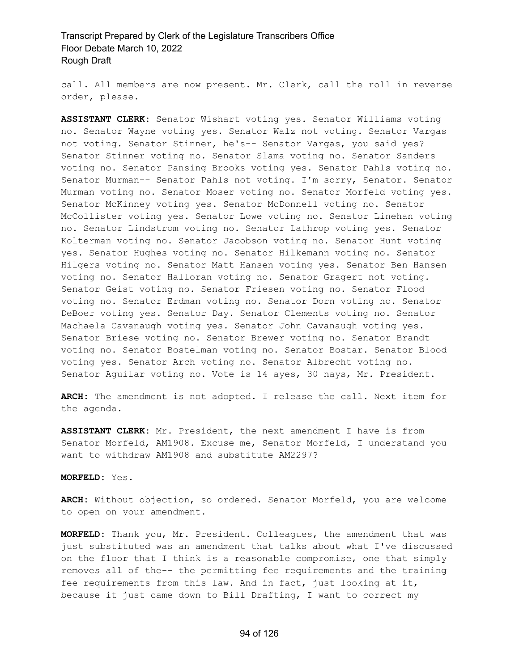call. All members are now present. Mr. Clerk, call the roll in reverse order, please.

**ASSISTANT CLERK:** Senator Wishart voting yes. Senator Williams voting no. Senator Wayne voting yes. Senator Walz not voting. Senator Vargas not voting. Senator Stinner, he's-- Senator Vargas, you said yes? Senator Stinner voting no. Senator Slama voting no. Senator Sanders voting no. Senator Pansing Brooks voting yes. Senator Pahls voting no. Senator Murman-- Senator Pahls not voting. I'm sorry, Senator. Senator Murman voting no. Senator Moser voting no. Senator Morfeld voting yes. Senator McKinney voting yes. Senator McDonnell voting no. Senator McCollister voting yes. Senator Lowe voting no. Senator Linehan voting no. Senator Lindstrom voting no. Senator Lathrop voting yes. Senator Kolterman voting no. Senator Jacobson voting no. Senator Hunt voting yes. Senator Hughes voting no. Senator Hilkemann voting no. Senator Hilgers voting no. Senator Matt Hansen voting yes. Senator Ben Hansen voting no. Senator Halloran voting no. Senator Gragert not voting. Senator Geist voting no. Senator Friesen voting no. Senator Flood voting no. Senator Erdman voting no. Senator Dorn voting no. Senator DeBoer voting yes. Senator Day. Senator Clements voting no. Senator Machaela Cavanaugh voting yes. Senator John Cavanaugh voting yes. Senator Briese voting no. Senator Brewer voting no. Senator Brandt voting no. Senator Bostelman voting no. Senator Bostar. Senator Blood voting yes. Senator Arch voting no. Senator Albrecht voting no. Senator Aguilar voting no. Vote is 14 ayes, 30 nays, Mr. President.

**ARCH:** The amendment is not adopted. I release the call. Next item for the agenda.

**ASSISTANT CLERK:** Mr. President, the next amendment I have is from Senator Morfeld, AM1908. Excuse me, Senator Morfeld, I understand you want to withdraw AM1908 and substitute AM2297?

#### **MORFELD:** Yes.

**ARCH:** Without objection, so ordered. Senator Morfeld, you are welcome to open on your amendment.

**MORFELD:** Thank you, Mr. President. Colleagues, the amendment that was just substituted was an amendment that talks about what I've discussed on the floor that I think is a reasonable compromise, one that simply removes all of the-- the permitting fee requirements and the training fee requirements from this law. And in fact, just looking at it, because it just came down to Bill Drafting, I want to correct my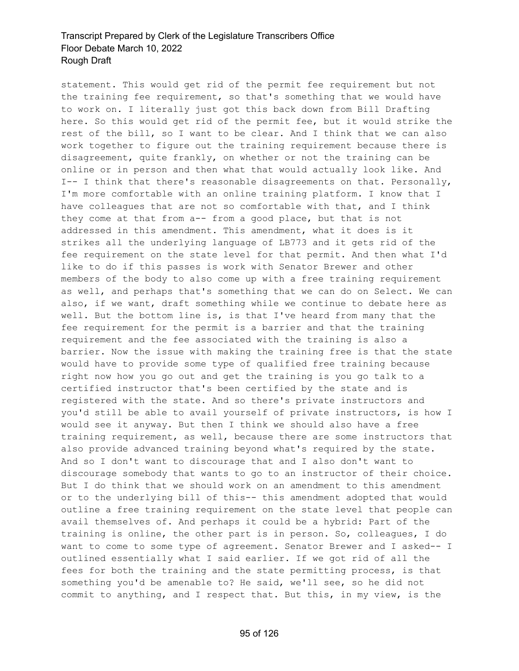statement. This would get rid of the permit fee requirement but not the training fee requirement, so that's something that we would have to work on. I literally just got this back down from Bill Drafting here. So this would get rid of the permit fee, but it would strike the rest of the bill, so I want to be clear. And I think that we can also work together to figure out the training requirement because there is disagreement, quite frankly, on whether or not the training can be online or in person and then what that would actually look like. And I-- I think that there's reasonable disagreements on that. Personally, I'm more comfortable with an online training platform. I know that I have colleagues that are not so comfortable with that, and I think they come at that from a-- from a good place, but that is not addressed in this amendment. This amendment, what it does is it strikes all the underlying language of LB773 and it gets rid of the fee requirement on the state level for that permit. And then what I'd like to do if this passes is work with Senator Brewer and other members of the body to also come up with a free training requirement as well, and perhaps that's something that we can do on Select. We can also, if we want, draft something while we continue to debate here as well. But the bottom line is, is that I've heard from many that the fee requirement for the permit is a barrier and that the training requirement and the fee associated with the training is also a barrier. Now the issue with making the training free is that the state would have to provide some type of qualified free training because right now how you go out and get the training is you go talk to a certified instructor that's been certified by the state and is registered with the state. And so there's private instructors and you'd still be able to avail yourself of private instructors, is how I would see it anyway. But then I think we should also have a free training requirement, as well, because there are some instructors that also provide advanced training beyond what's required by the state. And so I don't want to discourage that and I also don't want to discourage somebody that wants to go to an instructor of their choice. But I do think that we should work on an amendment to this amendment or to the underlying bill of this-- this amendment adopted that would outline a free training requirement on the state level that people can avail themselves of. And perhaps it could be a hybrid: Part of the training is online, the other part is in person. So, colleagues, I do want to come to some type of agreement. Senator Brewer and I asked-- I outlined essentially what I said earlier. If we got rid of all the fees for both the training and the state permitting process, is that something you'd be amenable to? He said, we'll see, so he did not commit to anything, and I respect that. But this, in my view, is the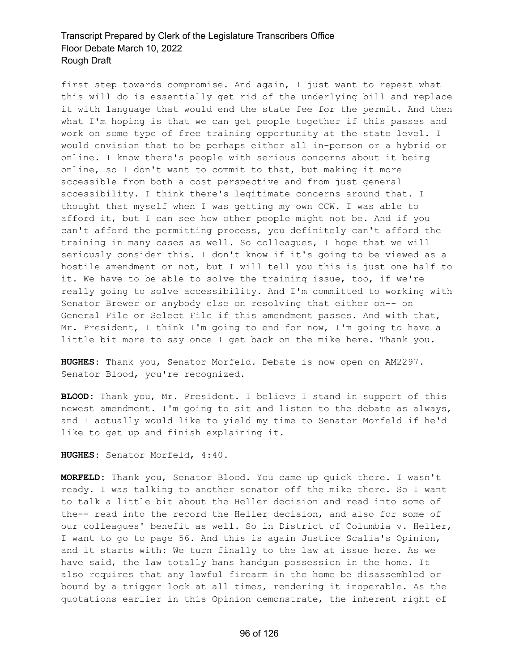first step towards compromise. And again, I just want to repeat what this will do is essentially get rid of the underlying bill and replace it with language that would end the state fee for the permit. And then what I'm hoping is that we can get people together if this passes and work on some type of free training opportunity at the state level. I would envision that to be perhaps either all in-person or a hybrid or online. I know there's people with serious concerns about it being online, so I don't want to commit to that, but making it more accessible from both a cost perspective and from just general accessibility. I think there's legitimate concerns around that. I thought that myself when I was getting my own CCW. I was able to afford it, but I can see how other people might not be. And if you can't afford the permitting process, you definitely can't afford the training in many cases as well. So colleagues, I hope that we will seriously consider this. I don't know if it's going to be viewed as a hostile amendment or not, but I will tell you this is just one half to it. We have to be able to solve the training issue, too, if we're really going to solve accessibility. And I'm committed to working with Senator Brewer or anybody else on resolving that either on-- on General File or Select File if this amendment passes. And with that, Mr. President, I think I'm going to end for now, I'm going to have a little bit more to say once I get back on the mike here. Thank you.

**HUGHES:** Thank you, Senator Morfeld. Debate is now open on AM2297. Senator Blood, you're recognized.

**BLOOD:** Thank you, Mr. President. I believe I stand in support of this newest amendment. I'm going to sit and listen to the debate as always, and I actually would like to yield my time to Senator Morfeld if he'd like to get up and finish explaining it.

**HUGHES:** Senator Morfeld, 4:40.

**MORFELD:** Thank you, Senator Blood. You came up quick there. I wasn't ready. I was talking to another senator off the mike there. So I want to talk a little bit about the Heller decision and read into some of the-- read into the record the Heller decision, and also for some of our colleagues' benefit as well. So in District of Columbia v. Heller, I want to go to page 56. And this is again Justice Scalia's Opinion, and it starts with: We turn finally to the law at issue here. As we have said, the law totally bans handgun possession in the home. It also requires that any lawful firearm in the home be disassembled or bound by a trigger lock at all times, rendering it inoperable. As the quotations earlier in this Opinion demonstrate, the inherent right of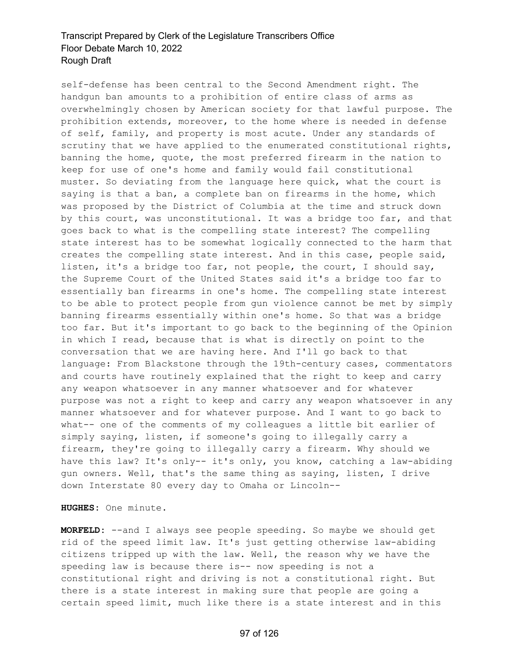self-defense has been central to the Second Amendment right. The handgun ban amounts to a prohibition of entire class of arms as overwhelmingly chosen by American society for that lawful purpose. The prohibition extends, moreover, to the home where is needed in defense of self, family, and property is most acute. Under any standards of scrutiny that we have applied to the enumerated constitutional rights, banning the home, quote, the most preferred firearm in the nation to keep for use of one's home and family would fail constitutional muster. So deviating from the language here quick, what the court is saying is that a ban, a complete ban on firearms in the home, which was proposed by the District of Columbia at the time and struck down by this court, was unconstitutional. It was a bridge too far, and that goes back to what is the compelling state interest? The compelling state interest has to be somewhat logically connected to the harm that creates the compelling state interest. And in this case, people said, listen, it's a bridge too far, not people, the court, I should say, the Supreme Court of the United States said it's a bridge too far to essentially ban firearms in one's home. The compelling state interest to be able to protect people from gun violence cannot be met by simply banning firearms essentially within one's home. So that was a bridge too far. But it's important to go back to the beginning of the Opinion in which I read, because that is what is directly on point to the conversation that we are having here. And I'll go back to that language: From Blackstone through the 19th-century cases, commentators and courts have routinely explained that the right to keep and carry any weapon whatsoever in any manner whatsoever and for whatever purpose was not a right to keep and carry any weapon whatsoever in any manner whatsoever and for whatever purpose. And I want to go back to what-- one of the comments of my colleagues a little bit earlier of simply saying, listen, if someone's going to illegally carry a firearm, they're going to illegally carry a firearm. Why should we have this law? It's only-- it's only, you know, catching a law-abiding gun owners. Well, that's the same thing as saying, listen, I drive down Interstate 80 every day to Omaha or Lincoln--

**HUGHES:** One minute.

**MORFELD:** --and I always see people speeding. So maybe we should get rid of the speed limit law. It's just getting otherwise law-abiding citizens tripped up with the law. Well, the reason why we have the speeding law is because there is-- now speeding is not a constitutional right and driving is not a constitutional right. But there is a state interest in making sure that people are going a certain speed limit, much like there is a state interest and in this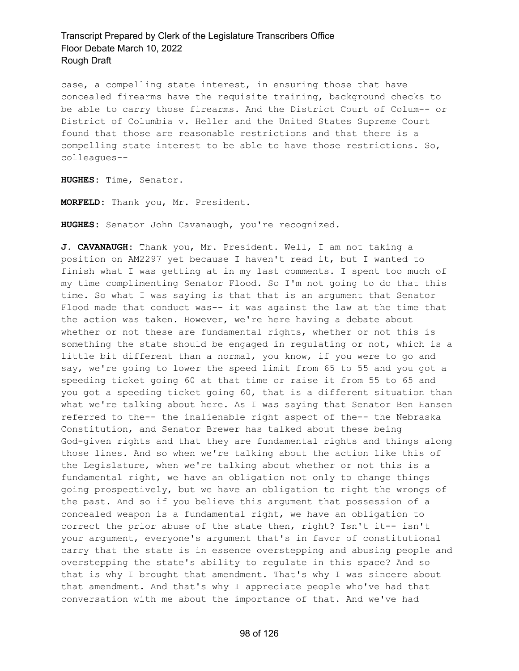case, a compelling state interest, in ensuring those that have concealed firearms have the requisite training, background checks to be able to carry those firearms. And the District Court of Colum-- or District of Columbia v. Heller and the United States Supreme Court found that those are reasonable restrictions and that there is a compelling state interest to be able to have those restrictions. So, colleagues--

**HUGHES:** Time, Senator.

**MORFELD:** Thank you, Mr. President.

**HUGHES:** Senator John Cavanaugh, you're recognized.

**J. CAVANAUGH:** Thank you, Mr. President. Well, I am not taking a position on AM2297 yet because I haven't read it, but I wanted to finish what I was getting at in my last comments. I spent too much of my time complimenting Senator Flood. So I'm not going to do that this time. So what I was saying is that that is an argument that Senator Flood made that conduct was-- it was against the law at the time that the action was taken. However, we're here having a debate about whether or not these are fundamental rights, whether or not this is something the state should be engaged in regulating or not, which is a little bit different than a normal, you know, if you were to go and say, we're going to lower the speed limit from 65 to 55 and you got a speeding ticket going 60 at that time or raise it from 55 to 65 and you got a speeding ticket going 60, that is a different situation than what we're talking about here. As I was saying that Senator Ben Hansen referred to the-- the inalienable right aspect of the-- the Nebraska Constitution, and Senator Brewer has talked about these being God-given rights and that they are fundamental rights and things along those lines. And so when we're talking about the action like this of the Legislature, when we're talking about whether or not this is a fundamental right, we have an obligation not only to change things going prospectively, but we have an obligation to right the wrongs of the past. And so if you believe this argument that possession of a concealed weapon is a fundamental right, we have an obligation to correct the prior abuse of the state then, right? Isn't it-- isn't your argument, everyone's argument that's in favor of constitutional carry that the state is in essence overstepping and abusing people and overstepping the state's ability to regulate in this space? And so that is why I brought that amendment. That's why I was sincere about that amendment. And that's why I appreciate people who've had that conversation with me about the importance of that. And we've had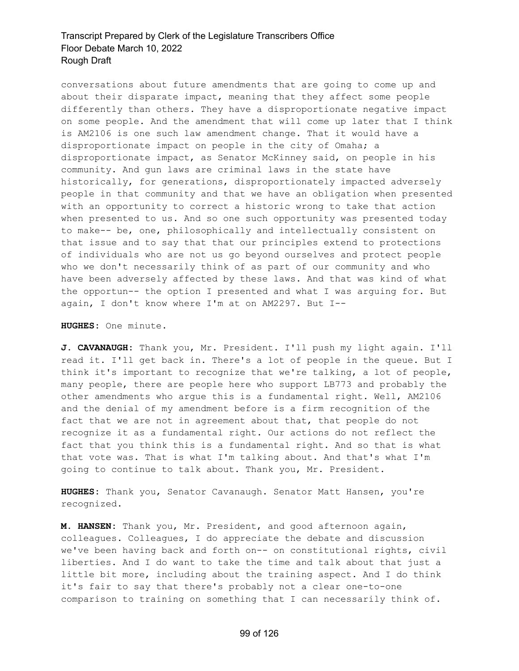conversations about future amendments that are going to come up and about their disparate impact, meaning that they affect some people differently than others. They have a disproportionate negative impact on some people. And the amendment that will come up later that I think is AM2106 is one such law amendment change. That it would have a disproportionate impact on people in the city of Omaha; a disproportionate impact, as Senator McKinney said, on people in his community. And gun laws are criminal laws in the state have historically, for generations, disproportionately impacted adversely people in that community and that we have an obligation when presented with an opportunity to correct a historic wrong to take that action when presented to us. And so one such opportunity was presented today to make-- be, one, philosophically and intellectually consistent on that issue and to say that that our principles extend to protections of individuals who are not us go beyond ourselves and protect people who we don't necessarily think of as part of our community and who have been adversely affected by these laws. And that was kind of what the opportun-- the option I presented and what I was arguing for. But again, I don't know where I'm at on AM2297. But I--

#### **HUGHES:** One minute.

**J. CAVANAUGH:** Thank you, Mr. President. I'll push my light again. I'll read it. I'll get back in. There's a lot of people in the queue. But I think it's important to recognize that we're talking, a lot of people, many people, there are people here who support LB773 and probably the other amendments who argue this is a fundamental right. Well, AM2106 and the denial of my amendment before is a firm recognition of the fact that we are not in agreement about that, that people do not recognize it as a fundamental right. Our actions do not reflect the fact that you think this is a fundamental right. And so that is what that vote was. That is what I'm talking about. And that's what I'm going to continue to talk about. Thank you, Mr. President.

**HUGHES:** Thank you, Senator Cavanaugh. Senator Matt Hansen, you're recognized.

**M. HANSEN:** Thank you, Mr. President, and good afternoon again, colleagues. Colleagues, I do appreciate the debate and discussion we've been having back and forth on-- on constitutional rights, civil liberties. And I do want to take the time and talk about that just a little bit more, including about the training aspect. And I do think it's fair to say that there's probably not a clear one-to-one comparison to training on something that I can necessarily think of.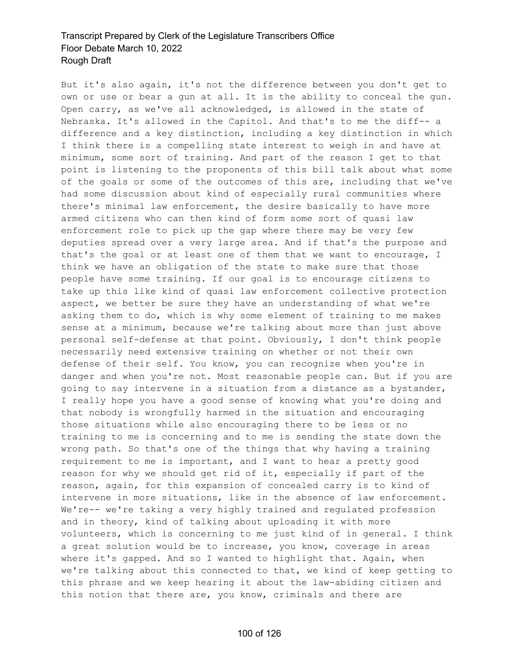But it's also again, it's not the difference between you don't get to own or use or bear a gun at all. It is the ability to conceal the gun. Open carry, as we've all acknowledged, is allowed in the state of Nebraska. It's allowed in the Capitol. And that's to me the diff-- a difference and a key distinction, including a key distinction in which I think there is a compelling state interest to weigh in and have at minimum, some sort of training. And part of the reason I get to that point is listening to the proponents of this bill talk about what some of the goals or some of the outcomes of this are, including that we've had some discussion about kind of especially rural communities where there's minimal law enforcement, the desire basically to have more armed citizens who can then kind of form some sort of quasi law enforcement role to pick up the gap where there may be very few deputies spread over a very large area. And if that's the purpose and that's the goal or at least one of them that we want to encourage, I think we have an obligation of the state to make sure that those people have some training. If our goal is to encourage citizens to take up this like kind of quasi law enforcement collective protection aspect, we better be sure they have an understanding of what we're asking them to do, which is why some element of training to me makes sense at a minimum, because we're talking about more than just above personal self-defense at that point. Obviously, I don't think people necessarily need extensive training on whether or not their own defense of their self. You know, you can recognize when you're in danger and when you're not. Most reasonable people can. But if you are going to say intervene in a situation from a distance as a bystander, I really hope you have a good sense of knowing what you're doing and that nobody is wrongfully harmed in the situation and encouraging those situations while also encouraging there to be less or no training to me is concerning and to me is sending the state down the wrong path. So that's one of the things that why having a training requirement to me is important, and I want to hear a pretty good reason for why we should get rid of it, especially if part of the reason, again, for this expansion of concealed carry is to kind of intervene in more situations, like in the absence of law enforcement. We're-- we're taking a very highly trained and regulated profession and in theory, kind of talking about uploading it with more volunteers, which is concerning to me just kind of in general. I think a great solution would be to increase, you know, coverage in areas where it's gapped. And so I wanted to highlight that. Again, when we're talking about this connected to that, we kind of keep getting to this phrase and we keep hearing it about the law-abiding citizen and this notion that there are, you know, criminals and there are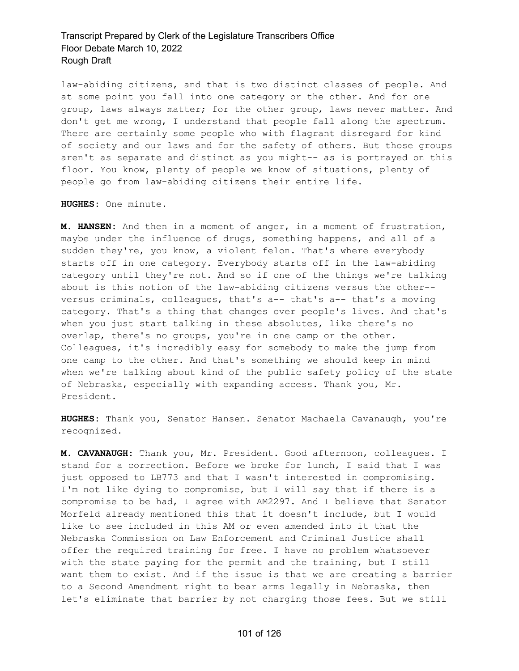law-abiding citizens, and that is two distinct classes of people. And at some point you fall into one category or the other. And for one group, laws always matter; for the other group, laws never matter. And don't get me wrong, I understand that people fall along the spectrum. There are certainly some people who with flagrant disregard for kind of society and our laws and for the safety of others. But those groups aren't as separate and distinct as you might-- as is portrayed on this floor. You know, plenty of people we know of situations, plenty of people go from law-abiding citizens their entire life.

**HUGHES:** One minute.

**M. HANSEN:** And then in a moment of anger, in a moment of frustration, maybe under the influence of drugs, something happens, and all of a sudden they're, you know, a violent felon. That's where everybody starts off in one category. Everybody starts off in the law-abiding category until they're not. And so if one of the things we're talking about is this notion of the law-abiding citizens versus the other- versus criminals, colleagues, that's a-- that's a-- that's a moving category. That's a thing that changes over people's lives. And that's when you just start talking in these absolutes, like there's no overlap, there's no groups, you're in one camp or the other. Colleagues, it's incredibly easy for somebody to make the jump from one camp to the other. And that's something we should keep in mind when we're talking about kind of the public safety policy of the state of Nebraska, especially with expanding access. Thank you, Mr. President.

**HUGHES:** Thank you, Senator Hansen. Senator Machaela Cavanaugh, you're recognized.

**M. CAVANAUGH:** Thank you, Mr. President. Good afternoon, colleagues. I stand for a correction. Before we broke for lunch, I said that I was just opposed to LB773 and that I wasn't interested in compromising. I'm not like dying to compromise, but I will say that if there is a compromise to be had, I agree with AM2297. And I believe that Senator Morfeld already mentioned this that it doesn't include, but I would like to see included in this AM or even amended into it that the Nebraska Commission on Law Enforcement and Criminal Justice shall offer the required training for free. I have no problem whatsoever with the state paying for the permit and the training, but I still want them to exist. And if the issue is that we are creating a barrier to a Second Amendment right to bear arms legally in Nebraska, then let's eliminate that barrier by not charging those fees. But we still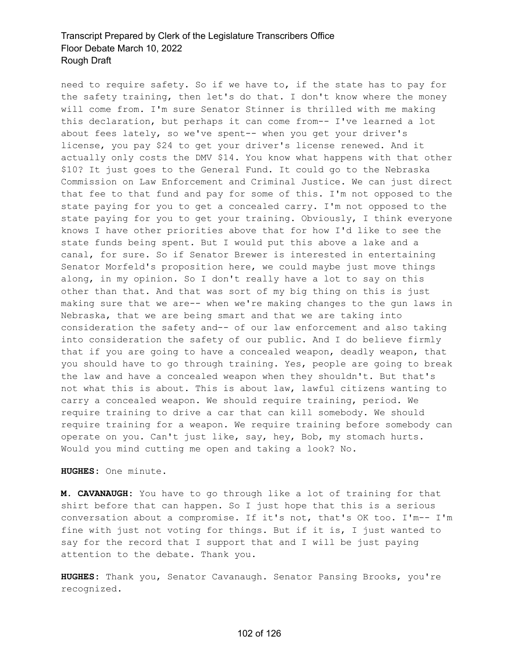need to require safety. So if we have to, if the state has to pay for the safety training, then let's do that. I don't know where the money will come from. I'm sure Senator Stinner is thrilled with me making this declaration, but perhaps it can come from-- I've learned a lot about fees lately, so we've spent-- when you get your driver's license, you pay \$24 to get your driver's license renewed. And it actually only costs the DMV \$14. You know what happens with that other \$10? It just goes to the General Fund. It could go to the Nebraska Commission on Law Enforcement and Criminal Justice. We can just direct that fee to that fund and pay for some of this. I'm not opposed to the state paying for you to get a concealed carry. I'm not opposed to the state paying for you to get your training. Obviously, I think everyone knows I have other priorities above that for how I'd like to see the state funds being spent. But I would put this above a lake and a canal, for sure. So if Senator Brewer is interested in entertaining Senator Morfeld's proposition here, we could maybe just move things along, in my opinion. So I don't really have a lot to say on this other than that. And that was sort of my big thing on this is just making sure that we are-- when we're making changes to the gun laws in Nebraska, that we are being smart and that we are taking into consideration the safety and-- of our law enforcement and also taking into consideration the safety of our public. And I do believe firmly that if you are going to have a concealed weapon, deadly weapon, that you should have to go through training. Yes, people are going to break the law and have a concealed weapon when they shouldn't. But that's not what this is about. This is about law, lawful citizens wanting to carry a concealed weapon. We should require training, period. We require training to drive a car that can kill somebody. We should require training for a weapon. We require training before somebody can operate on you. Can't just like, say, hey, Bob, my stomach hurts. Would you mind cutting me open and taking a look? No.

**HUGHES:** One minute.

**M. CAVANAUGH:** You have to go through like a lot of training for that shirt before that can happen. So I just hope that this is a serious conversation about a compromise. If it's not, that's OK too. I'm-- I'm fine with just not voting for things. But if it is, I just wanted to say for the record that I support that and I will be just paying attention to the debate. Thank you.

**HUGHES:** Thank you, Senator Cavanaugh. Senator Pansing Brooks, you're recognized.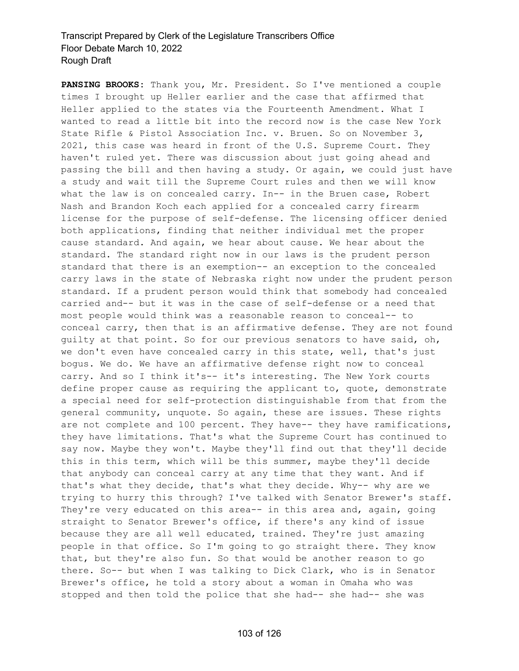**PANSING BROOKS:** Thank you, Mr. President. So I've mentioned a couple times I brought up Heller earlier and the case that affirmed that Heller applied to the states via the Fourteenth Amendment. What I wanted to read a little bit into the record now is the case New York State Rifle & Pistol Association Inc. v. Bruen. So on November 3, 2021, this case was heard in front of the U.S. Supreme Court. They haven't ruled yet. There was discussion about just going ahead and passing the bill and then having a study. Or again, we could just have a study and wait till the Supreme Court rules and then we will know what the law is on concealed carry. In-- in the Bruen case, Robert Nash and Brandon Koch each applied for a concealed carry firearm license for the purpose of self-defense. The licensing officer denied both applications, finding that neither individual met the proper cause standard. And again, we hear about cause. We hear about the standard. The standard right now in our laws is the prudent person standard that there is an exemption-- an exception to the concealed carry laws in the state of Nebraska right now under the prudent person standard. If a prudent person would think that somebody had concealed carried and-- but it was in the case of self-defense or a need that most people would think was a reasonable reason to conceal-- to conceal carry, then that is an affirmative defense. They are not found guilty at that point. So for our previous senators to have said, oh, we don't even have concealed carry in this state, well, that's just bogus. We do. We have an affirmative defense right now to conceal carry. And so I think it's-- it's interesting. The New York courts define proper cause as requiring the applicant to, quote, demonstrate a special need for self-protection distinguishable from that from the general community, unquote. So again, these are issues. These rights are not complete and 100 percent. They have-- they have ramifications, they have limitations. That's what the Supreme Court has continued to say now. Maybe they won't. Maybe they'll find out that they'll decide this in this term, which will be this summer, maybe they'll decide that anybody can conceal carry at any time that they want. And if that's what they decide, that's what they decide. Why-- why are we trying to hurry this through? I've talked with Senator Brewer's staff. They're very educated on this area-- in this area and, again, going straight to Senator Brewer's office, if there's any kind of issue because they are all well educated, trained. They're just amazing people in that office. So I'm going to go straight there. They know that, but they're also fun. So that would be another reason to go there. So-- but when I was talking to Dick Clark, who is in Senator Brewer's office, he told a story about a woman in Omaha who was stopped and then told the police that she had-- she had-- she was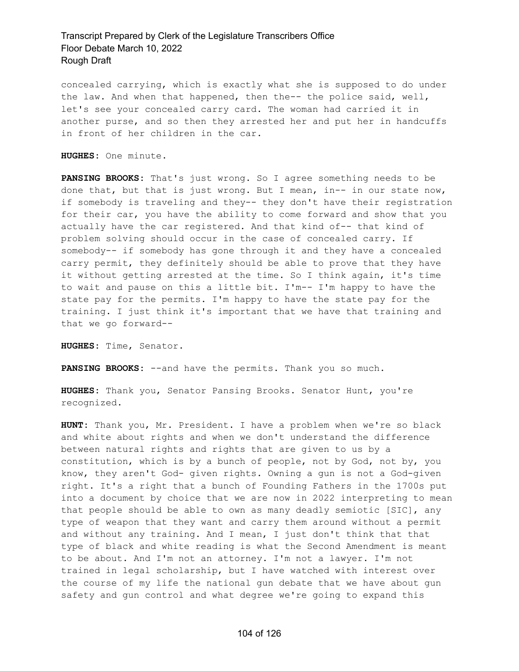concealed carrying, which is exactly what she is supposed to do under the law. And when that happened, then the-- the police said, well, let's see your concealed carry card. The woman had carried it in another purse, and so then they arrested her and put her in handcuffs in front of her children in the car.

**HUGHES:** One minute.

**PANSING BROOKS:** That's just wrong. So I agree something needs to be done that, but that is just wrong. But I mean, in-- in our state now, if somebody is traveling and they-- they don't have their registration for their car, you have the ability to come forward and show that you actually have the car registered. And that kind of-- that kind of problem solving should occur in the case of concealed carry. If somebody-- if somebody has gone through it and they have a concealed carry permit, they definitely should be able to prove that they have it without getting arrested at the time. So I think again, it's time to wait and pause on this a little bit. I'm-- I'm happy to have the state pay for the permits. I'm happy to have the state pay for the training. I just think it's important that we have that training and that we go forward--

**HUGHES:** Time, Senator.

**PANSING BROOKS:** --and have the permits. Thank you so much.

**HUGHES:** Thank you, Senator Pansing Brooks. Senator Hunt, you're recognized.

**HUNT:** Thank you, Mr. President. I have a problem when we're so black and white about rights and when we don't understand the difference between natural rights and rights that are given to us by a constitution, which is by a bunch of people, not by God, not by, you know, they aren't God- given rights. Owning a gun is not a God-given right. It's a right that a bunch of Founding Fathers in the 1700s put into a document by choice that we are now in 2022 interpreting to mean that people should be able to own as many deadly semiotic [SIC], any type of weapon that they want and carry them around without a permit and without any training. And I mean, I just don't think that that type of black and white reading is what the Second Amendment is meant to be about. And I'm not an attorney. I'm not a lawyer. I'm not trained in legal scholarship, but I have watched with interest over the course of my life the national gun debate that we have about gun safety and gun control and what degree we're going to expand this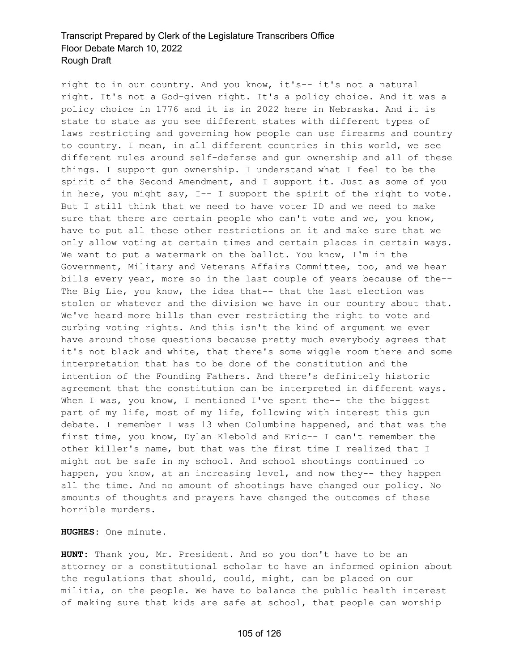right to in our country. And you know, it's-- it's not a natural right. It's not a God-given right. It's a policy choice. And it was a policy choice in 1776 and it is in 2022 here in Nebraska. And it is state to state as you see different states with different types of laws restricting and governing how people can use firearms and country to country. I mean, in all different countries in this world, we see different rules around self-defense and gun ownership and all of these things. I support gun ownership. I understand what I feel to be the spirit of the Second Amendment, and I support it. Just as some of you in here, you might say, I-- I support the spirit of the right to vote. But I still think that we need to have voter ID and we need to make sure that there are certain people who can't vote and we, you know, have to put all these other restrictions on it and make sure that we only allow voting at certain times and certain places in certain ways. We want to put a watermark on the ballot. You know, I'm in the Government, Military and Veterans Affairs Committee, too, and we hear bills every year, more so in the last couple of years because of the-- The Big Lie, you know, the idea that-- that the last election was stolen or whatever and the division we have in our country about that. We've heard more bills than ever restricting the right to vote and curbing voting rights. And this isn't the kind of argument we ever have around those questions because pretty much everybody agrees that it's not black and white, that there's some wiggle room there and some interpretation that has to be done of the constitution and the intention of the Founding Fathers. And there's definitely historic agreement that the constitution can be interpreted in different ways. When I was, you know, I mentioned I've spent the-- the the biggest part of my life, most of my life, following with interest this gun debate. I remember I was 13 when Columbine happened, and that was the first time, you know, Dylan Klebold and Eric-- I can't remember the other killer's name, but that was the first time I realized that I might not be safe in my school. And school shootings continued to happen, you know, at an increasing level, and now they-- they happen all the time. And no amount of shootings have changed our policy. No amounts of thoughts and prayers have changed the outcomes of these horrible murders.

**HUGHES:** One minute.

**HUNT:** Thank you, Mr. President. And so you don't have to be an attorney or a constitutional scholar to have an informed opinion about the regulations that should, could, might, can be placed on our militia, on the people. We have to balance the public health interest of making sure that kids are safe at school, that people can worship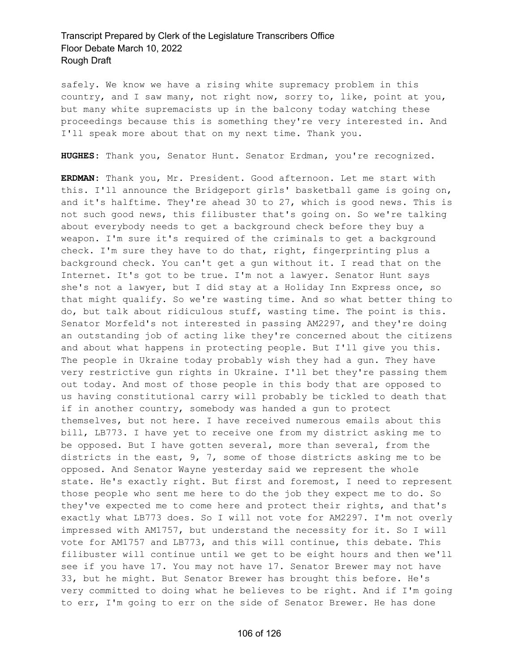safely. We know we have a rising white supremacy problem in this country, and I saw many, not right now, sorry to, like, point at you, but many white supremacists up in the balcony today watching these proceedings because this is something they're very interested in. And I'll speak more about that on my next time. Thank you.

**HUGHES:** Thank you, Senator Hunt. Senator Erdman, you're recognized.

**ERDMAN:** Thank you, Mr. President. Good afternoon. Let me start with this. I'll announce the Bridgeport girls' basketball game is going on, and it's halftime. They're ahead 30 to 27, which is good news. This is not such good news, this filibuster that's going on. So we're talking about everybody needs to get a background check before they buy a weapon. I'm sure it's required of the criminals to get a background check. I'm sure they have to do that, right, fingerprinting plus a background check. You can't get a gun without it. I read that on the Internet. It's got to be true. I'm not a lawyer. Senator Hunt says she's not a lawyer, but I did stay at a Holiday Inn Express once, so that might qualify. So we're wasting time. And so what better thing to do, but talk about ridiculous stuff, wasting time. The point is this. Senator Morfeld's not interested in passing AM2297, and they're doing an outstanding job of acting like they're concerned about the citizens and about what happens in protecting people. But I'll give you this. The people in Ukraine today probably wish they had a gun. They have very restrictive gun rights in Ukraine. I'll bet they're passing them out today. And most of those people in this body that are opposed to us having constitutional carry will probably be tickled to death that if in another country, somebody was handed a gun to protect themselves, but not here. I have received numerous emails about this bill, LB773. I have yet to receive one from my district asking me to be opposed. But I have gotten several, more than several, from the districts in the east, 9, 7, some of those districts asking me to be opposed. And Senator Wayne yesterday said we represent the whole state. He's exactly right. But first and foremost, I need to represent those people who sent me here to do the job they expect me to do. So they've expected me to come here and protect their rights, and that's exactly what LB773 does. So I will not vote for AM2297. I'm not overly impressed with AM1757, but understand the necessity for it. So I will vote for AM1757 and LB773, and this will continue, this debate. This filibuster will continue until we get to be eight hours and then we'll see if you have 17. You may not have 17. Senator Brewer may not have 33, but he might. But Senator Brewer has brought this before. He's very committed to doing what he believes to be right. And if I'm going to err, I'm going to err on the side of Senator Brewer. He has done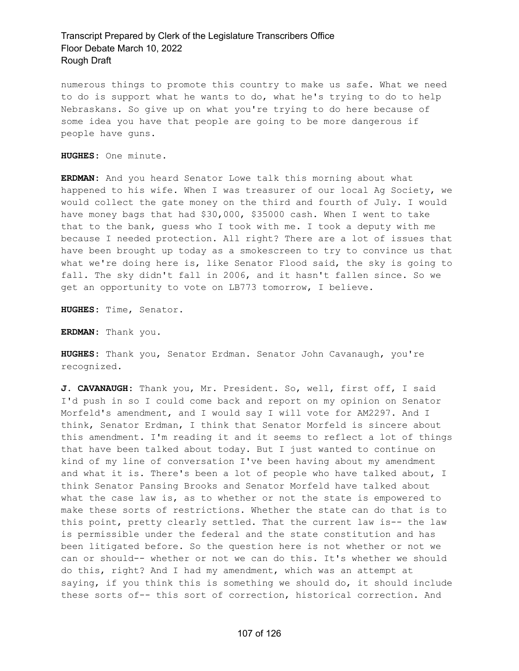numerous things to promote this country to make us safe. What we need to do is support what he wants to do, what he's trying to do to help Nebraskans. So give up on what you're trying to do here because of some idea you have that people are going to be more dangerous if people have guns.

**HUGHES:** One minute.

**ERDMAN:** And you heard Senator Lowe talk this morning about what happened to his wife. When I was treasurer of our local Ag Society, we would collect the gate money on the third and fourth of July. I would have money bags that had \$30,000, \$35000 cash. When I went to take that to the bank, guess who I took with me. I took a deputy with me because I needed protection. All right? There are a lot of issues that have been brought up today as a smokescreen to try to convince us that what we're doing here is, like Senator Flood said, the sky is going to fall. The sky didn't fall in 2006, and it hasn't fallen since. So we get an opportunity to vote on LB773 tomorrow, I believe.

**HUGHES:** Time, Senator.

**ERDMAN:** Thank you.

**HUGHES:** Thank you, Senator Erdman. Senator John Cavanaugh, you're recognized.

**J. CAVANAUGH:** Thank you, Mr. President. So, well, first off, I said I'd push in so I could come back and report on my opinion on Senator Morfeld's amendment, and I would say I will vote for AM2297. And I think, Senator Erdman, I think that Senator Morfeld is sincere about this amendment. I'm reading it and it seems to reflect a lot of things that have been talked about today. But I just wanted to continue on kind of my line of conversation I've been having about my amendment and what it is. There's been a lot of people who have talked about, I think Senator Pansing Brooks and Senator Morfeld have talked about what the case law is, as to whether or not the state is empowered to make these sorts of restrictions. Whether the state can do that is to this point, pretty clearly settled. That the current law is-- the law is permissible under the federal and the state constitution and has been litigated before. So the question here is not whether or not we can or should-- whether or not we can do this. It's whether we should do this, right? And I had my amendment, which was an attempt at saying, if you think this is something we should do, it should include these sorts of-- this sort of correction, historical correction. And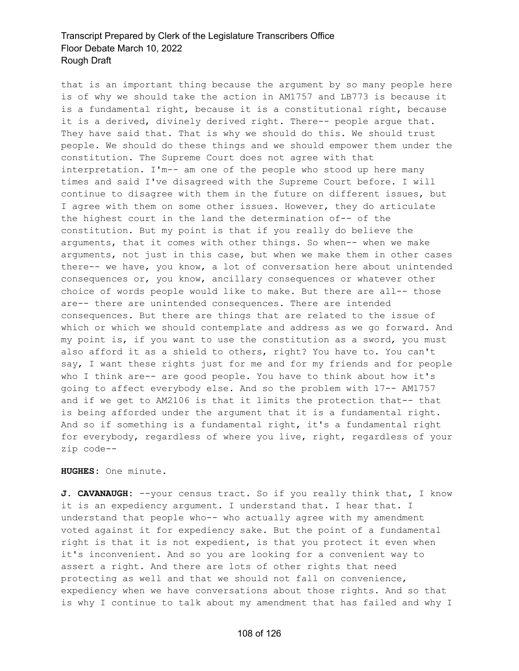that is an important thing because the argument by so many people here is of why we should take the action in AM1757 and LB773 is because it is a fundamental right, because it is a constitutional right, because it is a derived, divinely derived right. There-- people argue that. They have said that. That is why we should do this. We should trust people. We should do these things and we should empower them under the constitution. The Supreme Court does not agree with that interpretation. I'm-- am one of the people who stood up here many times and said I've disagreed with the Supreme Court before. I will continue to disagree with them in the future on different issues, but I agree with them on some other issues. However, they do articulate the highest court in the land the determination of-- of the constitution. But my point is that if you really do believe the arguments, that it comes with other things. So when-- when we make arguments, not just in this case, but when we make them in other cases there-- we have, you know, a lot of conversation here about unintended consequences or, you know, ancillary consequences or whatever other choice of words people would like to make. But there are all-- those are-- there are unintended consequences. There are intended consequences. But there are things that are related to the issue of which or which we should contemplate and address as we go forward. And my point is, if you want to use the constitution as a sword, you must also afford it as a shield to others, right? You have to. You can't say, I want these rights just for me and for my friends and for people who I think are-- are good people. You have to think about how it's going to affect everybody else. And so the problem with 17-- AM1757 and if we get to AM2106 is that it limits the protection that-- that is being afforded under the argument that it is a fundamental right. And so if something is a fundamental right, it's a fundamental right for everybody, regardless of where you live, right, regardless of your zip code--

**HUGHES:** One minute.

**J. CAVANAUGH:** --your census tract. So if you really think that, I know it is an expediency argument. I understand that. I hear that. I understand that people who-- who actually agree with my amendment voted against it for expediency sake. But the point of a fundamental right is that it is not expedient, is that you protect it even when it's inconvenient. And so you are looking for a convenient way to assert a right. And there are lots of other rights that need protecting as well and that we should not fall on convenience, expediency when we have conversations about those rights. And so that is why I continue to talk about my amendment that has failed and why I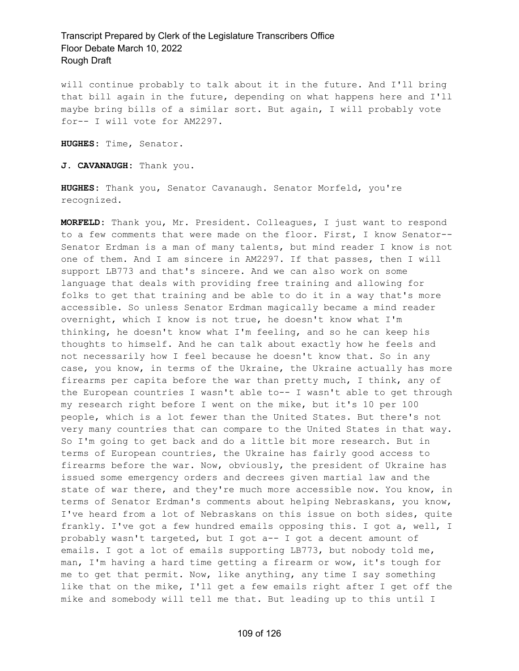will continue probably to talk about it in the future. And I'll bring that bill again in the future, depending on what happens here and I'll maybe bring bills of a similar sort. But again, I will probably vote for-- I will vote for AM2297.

**HUGHES:** Time, Senator.

**J. CAVANAUGH:** Thank you.

**HUGHES:** Thank you, Senator Cavanaugh. Senator Morfeld, you're recognized.

**MORFELD:** Thank you, Mr. President. Colleagues, I just want to respond to a few comments that were made on the floor. First, I know Senator-- Senator Erdman is a man of many talents, but mind reader I know is not one of them. And I am sincere in AM2297. If that passes, then I will support LB773 and that's sincere. And we can also work on some language that deals with providing free training and allowing for folks to get that training and be able to do it in a way that's more accessible. So unless Senator Erdman magically became a mind reader overnight, which I know is not true, he doesn't know what I'm thinking, he doesn't know what I'm feeling, and so he can keep his thoughts to himself. And he can talk about exactly how he feels and not necessarily how I feel because he doesn't know that. So in any case, you know, in terms of the Ukraine, the Ukraine actually has more firearms per capita before the war than pretty much, I think, any of the European countries I wasn't able to-- I wasn't able to get through my research right before I went on the mike, but it's 10 per 100 people, which is a lot fewer than the United States. But there's not very many countries that can compare to the United States in that way. So I'm going to get back and do a little bit more research. But in terms of European countries, the Ukraine has fairly good access to firearms before the war. Now, obviously, the president of Ukraine has issued some emergency orders and decrees given martial law and the state of war there, and they're much more accessible now. You know, in terms of Senator Erdman's comments about helping Nebraskans, you know, I've heard from a lot of Nebraskans on this issue on both sides, quite frankly. I've got a few hundred emails opposing this. I got a, well, I probably wasn't targeted, but I got a-- I got a decent amount of emails. I got a lot of emails supporting LB773, but nobody told me, man, I'm having a hard time getting a firearm or wow, it's tough for me to get that permit. Now, like anything, any time I say something like that on the mike, I'll get a few emails right after I get off the mike and somebody will tell me that. But leading up to this until I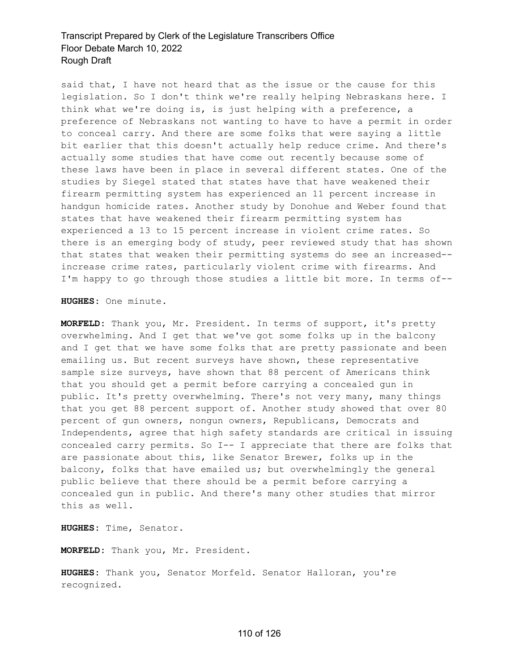said that, I have not heard that as the issue or the cause for this legislation. So I don't think we're really helping Nebraskans here. I think what we're doing is, is just helping with a preference, a preference of Nebraskans not wanting to have to have a permit in order to conceal carry. And there are some folks that were saying a little bit earlier that this doesn't actually help reduce crime. And there's actually some studies that have come out recently because some of these laws have been in place in several different states. One of the studies by Siegel stated that states have that have weakened their firearm permitting system has experienced an 11 percent increase in handgun homicide rates. Another study by Donohue and Weber found that states that have weakened their firearm permitting system has experienced a 13 to 15 percent increase in violent crime rates. So there is an emerging body of study, peer reviewed study that has shown that states that weaken their permitting systems do see an increased- increase crime rates, particularly violent crime with firearms. And I'm happy to go through those studies a little bit more. In terms of--

**HUGHES:** One minute.

**MORFELD:** Thank you, Mr. President. In terms of support, it's pretty overwhelming. And I get that we've got some folks up in the balcony and I get that we have some folks that are pretty passionate and been emailing us. But recent surveys have shown, these representative sample size surveys, have shown that 88 percent of Americans think that you should get a permit before carrying a concealed gun in public. It's pretty overwhelming. There's not very many, many things that you get 88 percent support of. Another study showed that over 80 percent of gun owners, nongun owners, Republicans, Democrats and Independents, agree that high safety standards are critical in issuing concealed carry permits. So I-- I appreciate that there are folks that are passionate about this, like Senator Brewer, folks up in the balcony, folks that have emailed us; but overwhelmingly the general public believe that there should be a permit before carrying a concealed gun in public. And there's many other studies that mirror this as well.

**HUGHES:** Time, Senator.

**MORFELD:** Thank you, Mr. President.

**HUGHES:** Thank you, Senator Morfeld. Senator Halloran, you're recognized.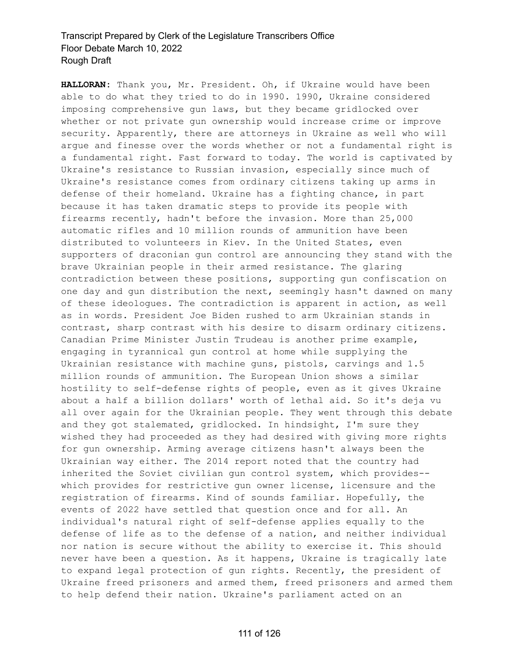**HALLORAN:** Thank you, Mr. President. Oh, if Ukraine would have been able to do what they tried to do in 1990. 1990, Ukraine considered imposing comprehensive gun laws, but they became gridlocked over whether or not private gun ownership would increase crime or improve security. Apparently, there are attorneys in Ukraine as well who will argue and finesse over the words whether or not a fundamental right is a fundamental right. Fast forward to today. The world is captivated by Ukraine's resistance to Russian invasion, especially since much of Ukraine's resistance comes from ordinary citizens taking up arms in defense of their homeland. Ukraine has a fighting chance, in part because it has taken dramatic steps to provide its people with firearms recently, hadn't before the invasion. More than 25,000 automatic rifles and 10 million rounds of ammunition have been distributed to volunteers in Kiev. In the United States, even supporters of draconian gun control are announcing they stand with the brave Ukrainian people in their armed resistance. The glaring contradiction between these positions, supporting gun confiscation on one day and gun distribution the next, seemingly hasn't dawned on many of these ideologues. The contradiction is apparent in action, as well as in words. President Joe Biden rushed to arm Ukrainian stands in contrast, sharp contrast with his desire to disarm ordinary citizens. Canadian Prime Minister Justin Trudeau is another prime example, engaging in tyrannical gun control at home while supplying the Ukrainian resistance with machine guns, pistols, carvings and 1.5 million rounds of ammunition. The European Union shows a similar hostility to self-defense rights of people, even as it gives Ukraine about a half a billion dollars' worth of lethal aid. So it's deja vu all over again for the Ukrainian people. They went through this debate and they got stalemated, gridlocked. In hindsight, I'm sure they wished they had proceeded as they had desired with giving more rights for gun ownership. Arming average citizens hasn't always been the Ukrainian way either. The 2014 report noted that the country had inherited the Soviet civilian gun control system, which provides- which provides for restrictive qun owner license, licensure and the registration of firearms. Kind of sounds familiar. Hopefully, the events of 2022 have settled that question once and for all. An individual's natural right of self-defense applies equally to the defense of life as to the defense of a nation, and neither individual nor nation is secure without the ability to exercise it. This should never have been a question. As it happens, Ukraine is tragically late to expand legal protection of gun rights. Recently, the president of Ukraine freed prisoners and armed them, freed prisoners and armed them to help defend their nation. Ukraine's parliament acted on an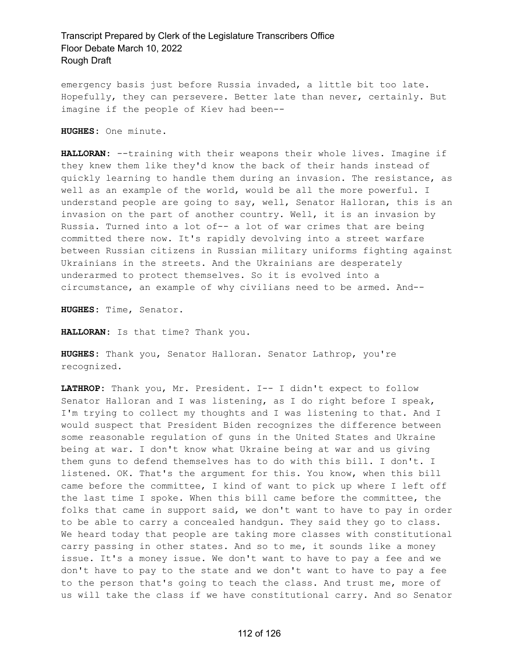emergency basis just before Russia invaded, a little bit too late. Hopefully, they can persevere. Better late than never, certainly. But imagine if the people of Kiev had been--

**HUGHES:** One minute.

**HALLORAN:** --training with their weapons their whole lives. Imagine if they knew them like they'd know the back of their hands instead of quickly learning to handle them during an invasion. The resistance, as well as an example of the world, would be all the more powerful. I understand people are going to say, well, Senator Halloran, this is an invasion on the part of another country. Well, it is an invasion by Russia. Turned into a lot of-- a lot of war crimes that are being committed there now. It's rapidly devolving into a street warfare between Russian citizens in Russian military uniforms fighting against Ukrainians in the streets. And the Ukrainians are desperately underarmed to protect themselves. So it is evolved into a circumstance, an example of why civilians need to be armed. And--

**HUGHES:** Time, Senator.

**HALLORAN:** Is that time? Thank you.

**HUGHES:** Thank you, Senator Halloran. Senator Lathrop, you're recognized.

**LATHROP:** Thank you, Mr. President. I-- I didn't expect to follow Senator Halloran and I was listening, as I do right before I speak, I'm trying to collect my thoughts and I was listening to that. And I would suspect that President Biden recognizes the difference between some reasonable regulation of guns in the United States and Ukraine being at war. I don't know what Ukraine being at war and us giving them guns to defend themselves has to do with this bill. I don't. I listened. OK. That's the argument for this. You know, when this bill came before the committee, I kind of want to pick up where I left off the last time I spoke. When this bill came before the committee, the folks that came in support said, we don't want to have to pay in order to be able to carry a concealed handgun. They said they go to class. We heard today that people are taking more classes with constitutional carry passing in other states. And so to me, it sounds like a money issue. It's a money issue. We don't want to have to pay a fee and we don't have to pay to the state and we don't want to have to pay a fee to the person that's going to teach the class. And trust me, more of us will take the class if we have constitutional carry. And so Senator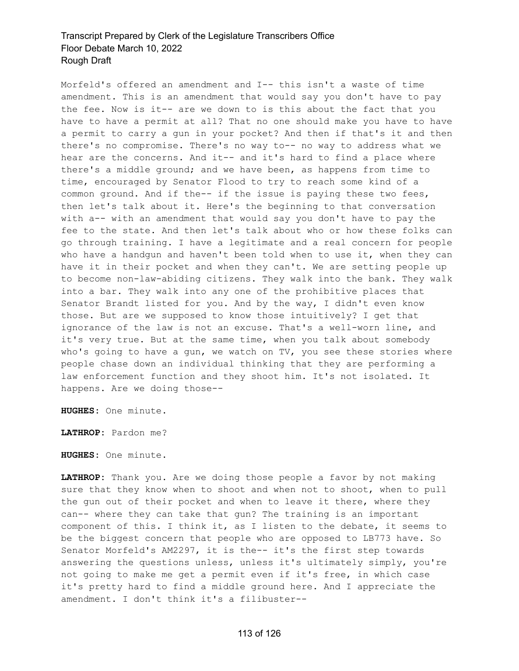Morfeld's offered an amendment and I-- this isn't a waste of time amendment. This is an amendment that would say you don't have to pay the fee. Now is it-- are we down to is this about the fact that you have to have a permit at all? That no one should make you have to have a permit to carry a gun in your pocket? And then if that's it and then there's no compromise. There's no way to-- no way to address what we hear are the concerns. And it-- and it's hard to find a place where there's a middle ground; and we have been, as happens from time to time, encouraged by Senator Flood to try to reach some kind of a common ground. And if the-- if the issue is paying these two fees, then let's talk about it. Here's the beginning to that conversation with a-- with an amendment that would say you don't have to pay the fee to the state. And then let's talk about who or how these folks can go through training. I have a legitimate and a real concern for people who have a handgun and haven't been told when to use it, when they can have it in their pocket and when they can't. We are setting people up to become non-law-abiding citizens. They walk into the bank. They walk into a bar. They walk into any one of the prohibitive places that Senator Brandt listed for you. And by the way, I didn't even know those. But are we supposed to know those intuitively? I get that ignorance of the law is not an excuse. That's a well-worn line, and it's very true. But at the same time, when you talk about somebody who's going to have a gun, we watch on TV, you see these stories where people chase down an individual thinking that they are performing a law enforcement function and they shoot him. It's not isolated. It happens. Are we doing those--

**HUGHES:** One minute.

**LATHROP:** Pardon me?

**HUGHES:** One minute.

**LATHROP:** Thank you. Are we doing those people a favor by not making sure that they know when to shoot and when not to shoot, when to pull the gun out of their pocket and when to leave it there, where they can-- where they can take that gun? The training is an important component of this. I think it, as I listen to the debate, it seems to be the biggest concern that people who are opposed to LB773 have. So Senator Morfeld's AM2297, it is the-- it's the first step towards answering the questions unless, unless it's ultimately simply, you're not going to make me get a permit even if it's free, in which case it's pretty hard to find a middle ground here. And I appreciate the amendment. I don't think it's a filibuster--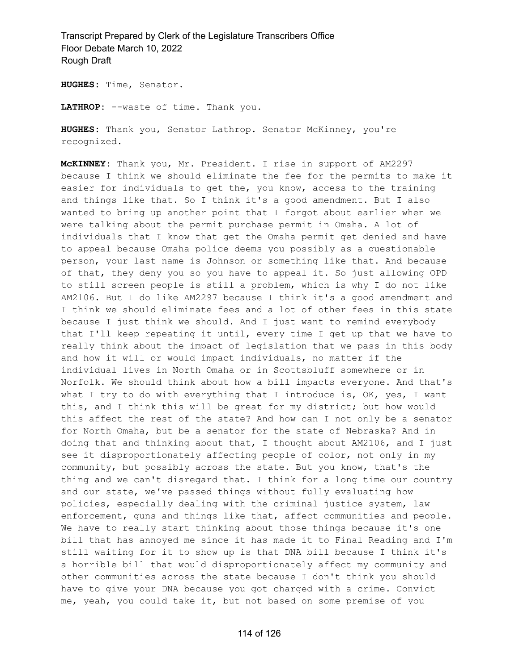**HUGHES:** Time, Senator.

**LATHROP:** --waste of time. Thank you.

**HUGHES:** Thank you, Senator Lathrop. Senator McKinney, you're recognized.

**McKINNEY:** Thank you, Mr. President. I rise in support of AM2297 because I think we should eliminate the fee for the permits to make it easier for individuals to get the, you know, access to the training and things like that. So I think it's a good amendment. But I also wanted to bring up another point that I forgot about earlier when we were talking about the permit purchase permit in Omaha. A lot of individuals that I know that get the Omaha permit get denied and have to appeal because Omaha police deems you possibly as a questionable person, your last name is Johnson or something like that. And because of that, they deny you so you have to appeal it. So just allowing OPD to still screen people is still a problem, which is why I do not like AM2106. But I do like AM2297 because I think it's a good amendment and I think we should eliminate fees and a lot of other fees in this state because I just think we should. And I just want to remind everybody that I'll keep repeating it until, every time I get up that we have to really think about the impact of legislation that we pass in this body and how it will or would impact individuals, no matter if the individual lives in North Omaha or in Scottsbluff somewhere or in Norfolk. We should think about how a bill impacts everyone. And that's what I try to do with everything that I introduce is, OK, yes, I want this, and I think this will be great for my district; but how would this affect the rest of the state? And how can I not only be a senator for North Omaha, but be a senator for the state of Nebraska? And in doing that and thinking about that, I thought about AM2106, and I just see it disproportionately affecting people of color, not only in my community, but possibly across the state. But you know, that's the thing and we can't disregard that. I think for a long time our country and our state, we've passed things without fully evaluating how policies, especially dealing with the criminal justice system, law enforcement, guns and things like that, affect communities and people. We have to really start thinking about those things because it's one bill that has annoyed me since it has made it to Final Reading and I'm still waiting for it to show up is that DNA bill because I think it's a horrible bill that would disproportionately affect my community and other communities across the state because I don't think you should have to give your DNA because you got charged with a crime. Convict me, yeah, you could take it, but not based on some premise of you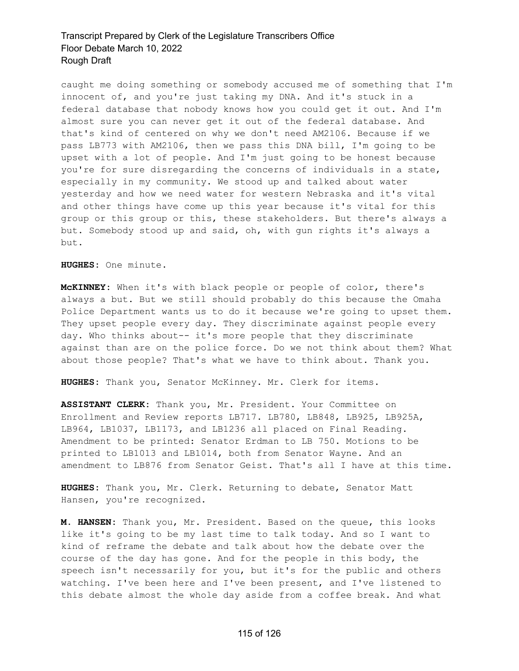caught me doing something or somebody accused me of something that I'm innocent of, and you're just taking my DNA. And it's stuck in a federal database that nobody knows how you could get it out. And I'm almost sure you can never get it out of the federal database. And that's kind of centered on why we don't need AM2106. Because if we pass LB773 with AM2106, then we pass this DNA bill, I'm going to be upset with a lot of people. And I'm just going to be honest because you're for sure disregarding the concerns of individuals in a state, especially in my community. We stood up and talked about water yesterday and how we need water for western Nebraska and it's vital and other things have come up this year because it's vital for this group or this group or this, these stakeholders. But there's always a but. Somebody stood up and said, oh, with gun rights it's always a but.

**HUGHES:** One minute.

**McKINNEY:** When it's with black people or people of color, there's always a but. But we still should probably do this because the Omaha Police Department wants us to do it because we're going to upset them. They upset people every day. They discriminate against people every day. Who thinks about-- it's more people that they discriminate against than are on the police force. Do we not think about them? What about those people? That's what we have to think about. Thank you.

**HUGHES:** Thank you, Senator McKinney. Mr. Clerk for items.

**ASSISTANT CLERK:** Thank you, Mr. President. Your Committee on Enrollment and Review reports LB717. LB780, LB848, LB925, LB925A, LB964, LB1037, LB1173, and LB1236 all placed on Final Reading. Amendment to be printed: Senator Erdman to LB 750. Motions to be printed to LB1013 and LB1014, both from Senator Wayne. And an amendment to LB876 from Senator Geist. That's all I have at this time.

**HUGHES:** Thank you, Mr. Clerk. Returning to debate, Senator Matt Hansen, you're recognized.

**M. HANSEN:** Thank you, Mr. President. Based on the queue, this looks like it's going to be my last time to talk today. And so I want to kind of reframe the debate and talk about how the debate over the course of the day has gone. And for the people in this body, the speech isn't necessarily for you, but it's for the public and others watching. I've been here and I've been present, and I've listened to this debate almost the whole day aside from a coffee break. And what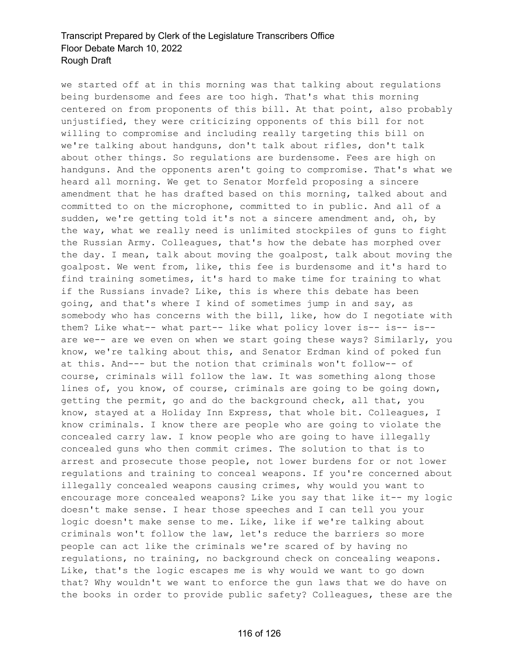we started off at in this morning was that talking about regulations being burdensome and fees are too high. That's what this morning centered on from proponents of this bill. At that point, also probably unjustified, they were criticizing opponents of this bill for not willing to compromise and including really targeting this bill on we're talking about handguns, don't talk about rifles, don't talk about other things. So regulations are burdensome. Fees are high on handguns. And the opponents aren't going to compromise. That's what we heard all morning. We get to Senator Morfeld proposing a sincere amendment that he has drafted based on this morning, talked about and committed to on the microphone, committed to in public. And all of a sudden, we're getting told it's not a sincere amendment and, oh, by the way, what we really need is unlimited stockpiles of guns to fight the Russian Army. Colleagues, that's how the debate has morphed over the day. I mean, talk about moving the goalpost, talk about moving the goalpost. We went from, like, this fee is burdensome and it's hard to find training sometimes, it's hard to make time for training to what if the Russians invade? Like, this is where this debate has been going, and that's where I kind of sometimes jump in and say, as somebody who has concerns with the bill, like, how do I negotiate with them? Like what-- what part-- like what policy lover is-- is-- is- are we-- are we even on when we start going these ways? Similarly, you know, we're talking about this, and Senator Erdman kind of poked fun at this. And--- but the notion that criminals won't follow-- of course, criminals will follow the law. It was something along those lines of, you know, of course, criminals are going to be going down, getting the permit, go and do the background check, all that, you know, stayed at a Holiday Inn Express, that whole bit. Colleagues, I know criminals. I know there are people who are going to violate the concealed carry law. I know people who are going to have illegally concealed guns who then commit crimes. The solution to that is to arrest and prosecute those people, not lower burdens for or not lower regulations and training to conceal weapons. If you're concerned about illegally concealed weapons causing crimes, why would you want to encourage more concealed weapons? Like you say that like it-- my logic doesn't make sense. I hear those speeches and I can tell you your logic doesn't make sense to me. Like, like if we're talking about criminals won't follow the law, let's reduce the barriers so more people can act like the criminals we're scared of by having no regulations, no training, no background check on concealing weapons. Like, that's the logic escapes me is why would we want to go down that? Why wouldn't we want to enforce the gun laws that we do have on the books in order to provide public safety? Colleagues, these are the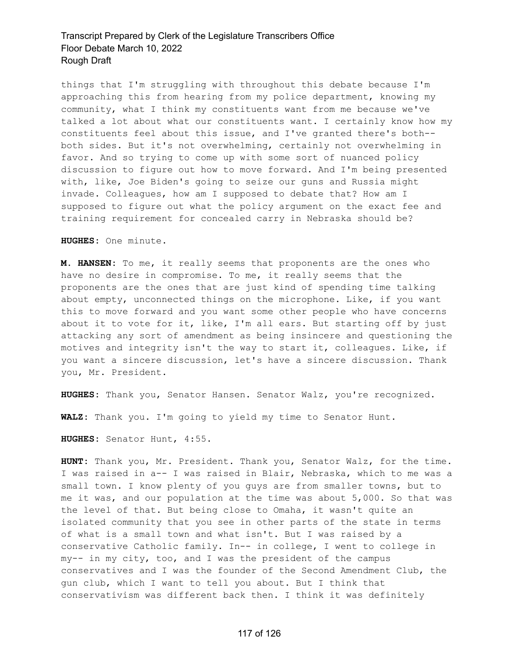things that I'm struggling with throughout this debate because I'm approaching this from hearing from my police department, knowing my community, what I think my constituents want from me because we've talked a lot about what our constituents want. I certainly know how my constituents feel about this issue, and I've granted there's both- both sides. But it's not overwhelming, certainly not overwhelming in favor. And so trying to come up with some sort of nuanced policy discussion to figure out how to move forward. And I'm being presented with, like, Joe Biden's going to seize our guns and Russia might invade. Colleagues, how am I supposed to debate that? How am I supposed to figure out what the policy argument on the exact fee and training requirement for concealed carry in Nebraska should be?

**HUGHES:** One minute.

**M. HANSEN:** To me, it really seems that proponents are the ones who have no desire in compromise. To me, it really seems that the proponents are the ones that are just kind of spending time talking about empty, unconnected things on the microphone. Like, if you want this to move forward and you want some other people who have concerns about it to vote for it, like, I'm all ears. But starting off by just attacking any sort of amendment as being insincere and questioning the motives and integrity isn't the way to start it, colleagues. Like, if you want a sincere discussion, let's have a sincere discussion. Thank you, Mr. President.

**HUGHES:** Thank you, Senator Hansen. Senator Walz, you're recognized.

**WALZ:** Thank you. I'm going to yield my time to Senator Hunt.

**HUGHES:** Senator Hunt, 4:55.

**HUNT:** Thank you, Mr. President. Thank you, Senator Walz, for the time. I was raised in a-- I was raised in Blair, Nebraska, which to me was a small town. I know plenty of you guys are from smaller towns, but to me it was, and our population at the time was about 5,000. So that was the level of that. But being close to Omaha, it wasn't quite an isolated community that you see in other parts of the state in terms of what is a small town and what isn't. But I was raised by a conservative Catholic family. In-- in college, I went to college in my-- in my city, too, and I was the president of the campus conservatives and I was the founder of the Second Amendment Club, the gun club, which I want to tell you about. But I think that conservativism was different back then. I think it was definitely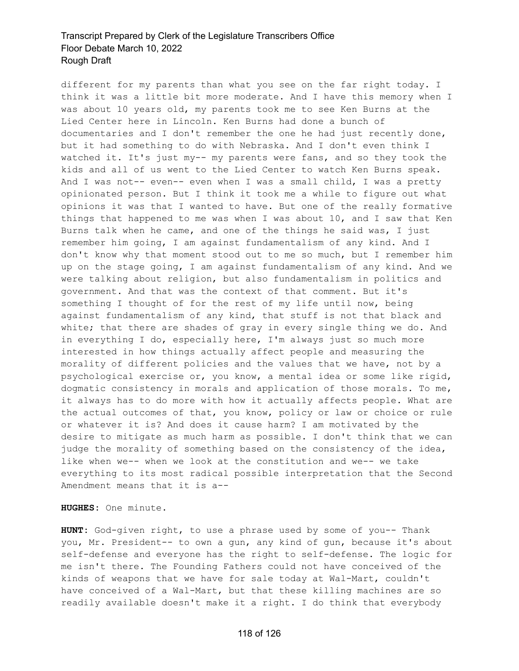different for my parents than what you see on the far right today. I think it was a little bit more moderate. And I have this memory when I was about 10 years old, my parents took me to see Ken Burns at the Lied Center here in Lincoln. Ken Burns had done a bunch of documentaries and I don't remember the one he had just recently done, but it had something to do with Nebraska. And I don't even think I watched it. It's just my-- my parents were fans, and so they took the kids and all of us went to the Lied Center to watch Ken Burns speak. And I was not-- even-- even when I was a small child, I was a pretty opinionated person. But I think it took me a while to figure out what opinions it was that I wanted to have. But one of the really formative things that happened to me was when I was about 10, and I saw that Ken Burns talk when he came, and one of the things he said was, I just remember him going, I am against fundamentalism of any kind. And I don't know why that moment stood out to me so much, but I remember him up on the stage going, I am against fundamentalism of any kind. And we were talking about religion, but also fundamentalism in politics and government. And that was the context of that comment. But it's something I thought of for the rest of my life until now, being against fundamentalism of any kind, that stuff is not that black and white; that there are shades of gray in every single thing we do. And in everything I do, especially here, I'm always just so much more interested in how things actually affect people and measuring the morality of different policies and the values that we have, not by a psychological exercise or, you know, a mental idea or some like rigid, dogmatic consistency in morals and application of those morals. To me, it always has to do more with how it actually affects people. What are the actual outcomes of that, you know, policy or law or choice or rule or whatever it is? And does it cause harm? I am motivated by the desire to mitigate as much harm as possible. I don't think that we can judge the morality of something based on the consistency of the idea, like when we-- when we look at the constitution and we-- we take everything to its most radical possible interpretation that the Second Amendment means that it is a--

**HUGHES:** One minute.

**HUNT:** God-given right, to use a phrase used by some of you-- Thank you, Mr. President-- to own a gun, any kind of gun, because it's about self-defense and everyone has the right to self-defense. The logic for me isn't there. The Founding Fathers could not have conceived of the kinds of weapons that we have for sale today at Wal-Mart, couldn't have conceived of a Wal-Mart, but that these killing machines are so readily available doesn't make it a right. I do think that everybody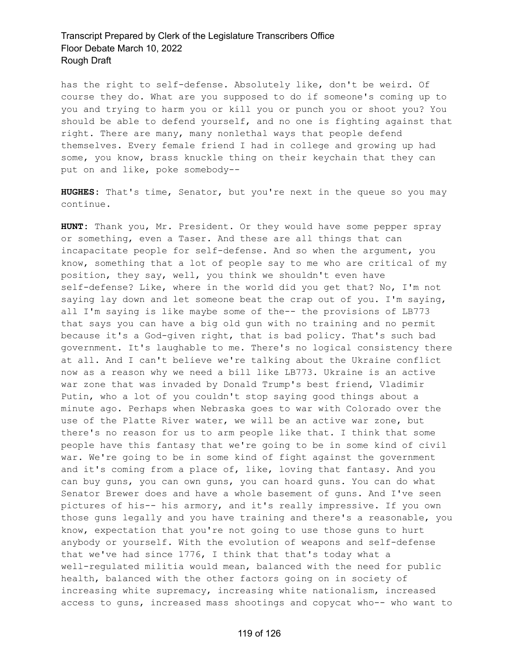has the right to self-defense. Absolutely like, don't be weird. Of course they do. What are you supposed to do if someone's coming up to you and trying to harm you or kill you or punch you or shoot you? You should be able to defend yourself, and no one is fighting against that right. There are many, many nonlethal ways that people defend themselves. Every female friend I had in college and growing up had some, you know, brass knuckle thing on their keychain that they can put on and like, poke somebody--

**HUGHES:** That's time, Senator, but you're next in the queue so you may continue.

**HUNT:** Thank you, Mr. President. Or they would have some pepper spray or something, even a Taser. And these are all things that can incapacitate people for self-defense. And so when the argument, you know, something that a lot of people say to me who are critical of my position, they say, well, you think we shouldn't even have self-defense? Like, where in the world did you get that? No, I'm not saying lay down and let someone beat the crap out of you. I'm saying, all I'm saying is like maybe some of the-- the provisions of LB773 that says you can have a big old gun with no training and no permit because it's a God-given right, that is bad policy. That's such bad government. It's laughable to me. There's no logical consistency there at all. And I can't believe we're talking about the Ukraine conflict now as a reason why we need a bill like LB773. Ukraine is an active war zone that was invaded by Donald Trump's best friend, Vladimir Putin, who a lot of you couldn't stop saying good things about a minute ago. Perhaps when Nebraska goes to war with Colorado over the use of the Platte River water, we will be an active war zone, but there's no reason for us to arm people like that. I think that some people have this fantasy that we're going to be in some kind of civil war. We're going to be in some kind of fight against the government and it's coming from a place of, like, loving that fantasy. And you can buy guns, you can own guns, you can hoard guns. You can do what Senator Brewer does and have a whole basement of guns. And I've seen pictures of his-- his armory, and it's really impressive. If you own those guns legally and you have training and there's a reasonable, you know, expectation that you're not going to use those guns to hurt anybody or yourself. With the evolution of weapons and self-defense that we've had since 1776, I think that that's today what a well-regulated militia would mean, balanced with the need for public health, balanced with the other factors going on in society of increasing white supremacy, increasing white nationalism, increased access to guns, increased mass shootings and copycat who-- who want to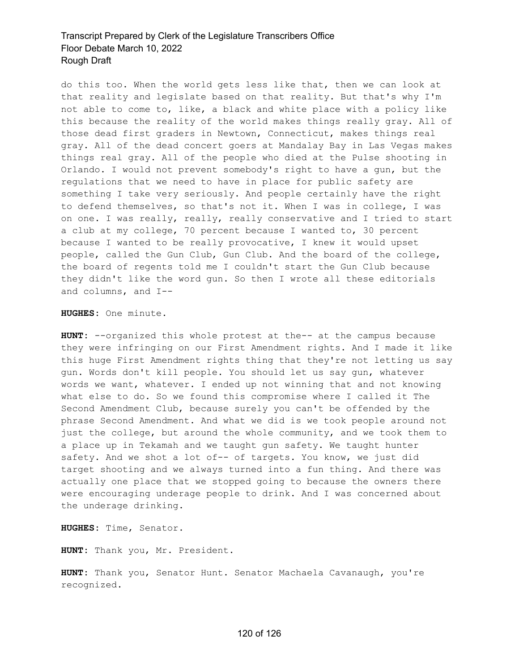do this too. When the world gets less like that, then we can look at that reality and legislate based on that reality. But that's why I'm not able to come to, like, a black and white place with a policy like this because the reality of the world makes things really gray. All of those dead first graders in Newtown, Connecticut, makes things real gray. All of the dead concert goers at Mandalay Bay in Las Vegas makes things real gray. All of the people who died at the Pulse shooting in Orlando. I would not prevent somebody's right to have a gun, but the regulations that we need to have in place for public safety are something I take very seriously. And people certainly have the right to defend themselves, so that's not it. When I was in college, I was on one. I was really, really, really conservative and I tried to start a club at my college, 70 percent because I wanted to, 30 percent because I wanted to be really provocative, I knew it would upset people, called the Gun Club, Gun Club. And the board of the college, the board of regents told me I couldn't start the Gun Club because they didn't like the word gun. So then I wrote all these editorials and columns, and I--

**HUGHES:** One minute.

**HUNT:** --organized this whole protest at the-- at the campus because they were infringing on our First Amendment rights. And I made it like this huge First Amendment rights thing that they're not letting us say gun. Words don't kill people. You should let us say gun, whatever words we want, whatever. I ended up not winning that and not knowing what else to do. So we found this compromise where I called it The Second Amendment Club, because surely you can't be offended by the phrase Second Amendment. And what we did is we took people around not just the college, but around the whole community, and we took them to a place up in Tekamah and we taught gun safety. We taught hunter safety. And we shot a lot of-- of targets. You know, we just did target shooting and we always turned into a fun thing. And there was actually one place that we stopped going to because the owners there were encouraging underage people to drink. And I was concerned about the underage drinking.

**HUGHES:** Time, Senator.

**HUNT:** Thank you, Mr. President.

**HUNT:** Thank you, Senator Hunt. Senator Machaela Cavanaugh, you're recognized.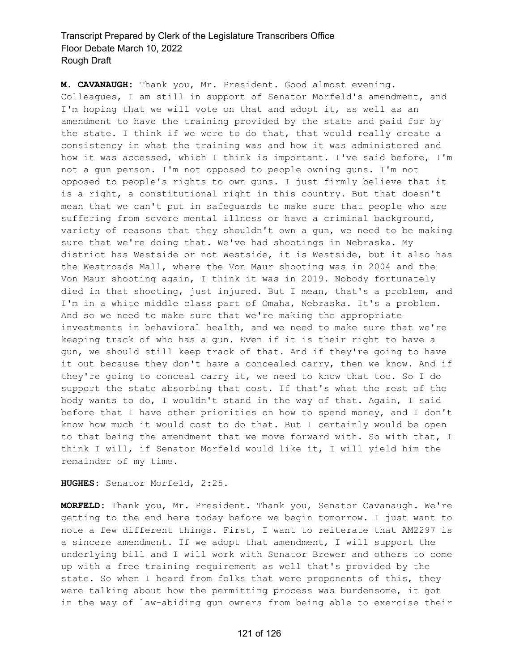**M. CAVANAUGH:** Thank you, Mr. President. Good almost evening. Colleagues, I am still in support of Senator Morfeld's amendment, and I'm hoping that we will vote on that and adopt it, as well as an amendment to have the training provided by the state and paid for by the state. I think if we were to do that, that would really create a consistency in what the training was and how it was administered and how it was accessed, which I think is important. I've said before, I'm not a gun person. I'm not opposed to people owning guns. I'm not opposed to people's rights to own guns. I just firmly believe that it is a right, a constitutional right in this country. But that doesn't mean that we can't put in safeguards to make sure that people who are suffering from severe mental illness or have a criminal background, variety of reasons that they shouldn't own a gun, we need to be making sure that we're doing that. We've had shootings in Nebraska. My district has Westside or not Westside, it is Westside, but it also has the Westroads Mall, where the Von Maur shooting was in 2004 and the Von Maur shooting again, I think it was in 2019. Nobody fortunately died in that shooting, just injured. But I mean, that's a problem, and I'm in a white middle class part of Omaha, Nebraska. It's a problem. And so we need to make sure that we're making the appropriate investments in behavioral health, and we need to make sure that we're keeping track of who has a gun. Even if it is their right to have a gun, we should still keep track of that. And if they're going to have it out because they don't have a concealed carry, then we know. And if they're going to conceal carry it, we need to know that too. So I do support the state absorbing that cost. If that's what the rest of the body wants to do, I wouldn't stand in the way of that. Again, I said before that I have other priorities on how to spend money, and I don't know how much it would cost to do that. But I certainly would be open to that being the amendment that we move forward with. So with that, I think I will, if Senator Morfeld would like it, I will yield him the remainder of my time.

**HUGHES:** Senator Morfeld, 2:25.

**MORFELD:** Thank you, Mr. President. Thank you, Senator Cavanaugh. We're getting to the end here today before we begin tomorrow. I just want to note a few different things. First, I want to reiterate that AM2297 is a sincere amendment. If we adopt that amendment, I will support the underlying bill and I will work with Senator Brewer and others to come up with a free training requirement as well that's provided by the state. So when I heard from folks that were proponents of this, they were talking about how the permitting process was burdensome, it got in the way of law-abiding gun owners from being able to exercise their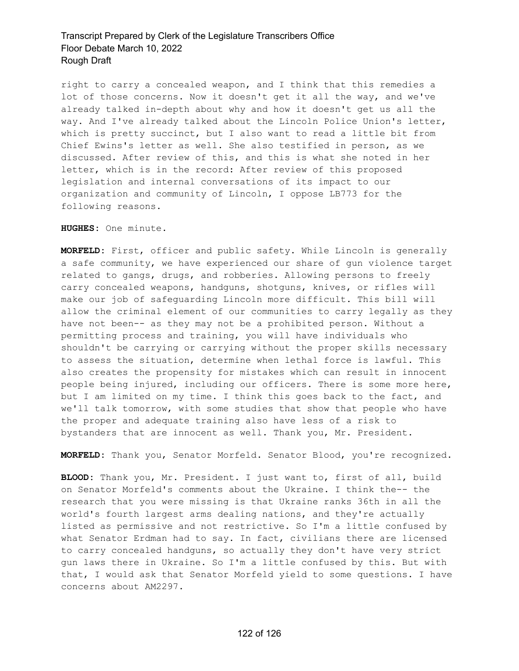right to carry a concealed weapon, and I think that this remedies a lot of those concerns. Now it doesn't get it all the way, and we've already talked in-depth about why and how it doesn't get us all the way. And I've already talked about the Lincoln Police Union's letter, which is pretty succinct, but I also want to read a little bit from Chief Ewins's letter as well. She also testified in person, as we discussed. After review of this, and this is what she noted in her letter, which is in the record: After review of this proposed legislation and internal conversations of its impact to our organization and community of Lincoln, I oppose LB773 for the following reasons.

**HUGHES:** One minute.

**MORFELD:** First, officer and public safety. While Lincoln is generally a safe community, we have experienced our share of gun violence target related to gangs, drugs, and robberies. Allowing persons to freely carry concealed weapons, handguns, shotguns, knives, or rifles will make our job of safeguarding Lincoln more difficult. This bill will allow the criminal element of our communities to carry legally as they have not been-- as they may not be a prohibited person. Without a permitting process and training, you will have individuals who shouldn't be carrying or carrying without the proper skills necessary to assess the situation, determine when lethal force is lawful. This also creates the propensity for mistakes which can result in innocent people being injured, including our officers. There is some more here, but I am limited on my time. I think this goes back to the fact, and we'll talk tomorrow, with some studies that show that people who have the proper and adequate training also have less of a risk to bystanders that are innocent as well. Thank you, Mr. President.

**MORFELD:** Thank you, Senator Morfeld. Senator Blood, you're recognized.

**BLOOD:** Thank you, Mr. President. I just want to, first of all, build on Senator Morfeld's comments about the Ukraine. I think the-- the research that you were missing is that Ukraine ranks 36th in all the world's fourth largest arms dealing nations, and they're actually listed as permissive and not restrictive. So I'm a little confused by what Senator Erdman had to say. In fact, civilians there are licensed to carry concealed handguns, so actually they don't have very strict gun laws there in Ukraine. So I'm a little confused by this. But with that, I would ask that Senator Morfeld yield to some questions. I have concerns about AM2297.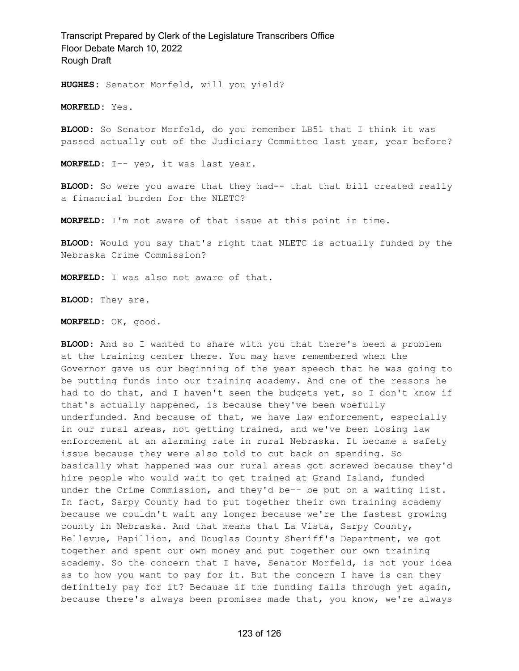**HUGHES:** Senator Morfeld, will you yield?

**MORFELD:** Yes.

**BLOOD:** So Senator Morfeld, do you remember LB51 that I think it was passed actually out of the Judiciary Committee last year, year before?

**MORFELD:** I-- yep, it was last year.

**BLOOD:** So were you aware that they had-- that that bill created really a financial burden for the NLETC?

**MORFELD:** I'm not aware of that issue at this point in time.

**BLOOD:** Would you say that's right that NLETC is actually funded by the Nebraska Crime Commission?

**MORFELD:** I was also not aware of that.

**BLOOD:** They are.

**MORFELD:** OK, good.

**BLOOD:** And so I wanted to share with you that there's been a problem at the training center there. You may have remembered when the Governor gave us our beginning of the year speech that he was going to be putting funds into our training academy. And one of the reasons he had to do that, and I haven't seen the budgets yet, so I don't know if that's actually happened, is because they've been woefully underfunded. And because of that, we have law enforcement, especially in our rural areas, not getting trained, and we've been losing law enforcement at an alarming rate in rural Nebraska. It became a safety issue because they were also told to cut back on spending. So basically what happened was our rural areas got screwed because they'd hire people who would wait to get trained at Grand Island, funded under the Crime Commission, and they'd be-- be put on a waiting list. In fact, Sarpy County had to put together their own training academy because we couldn't wait any longer because we're the fastest growing county in Nebraska. And that means that La Vista, Sarpy County, Bellevue, Papillion, and Douglas County Sheriff's Department, we got together and spent our own money and put together our own training academy. So the concern that I have, Senator Morfeld, is not your idea as to how you want to pay for it. But the concern I have is can they definitely pay for it? Because if the funding falls through yet again, because there's always been promises made that, you know, we're always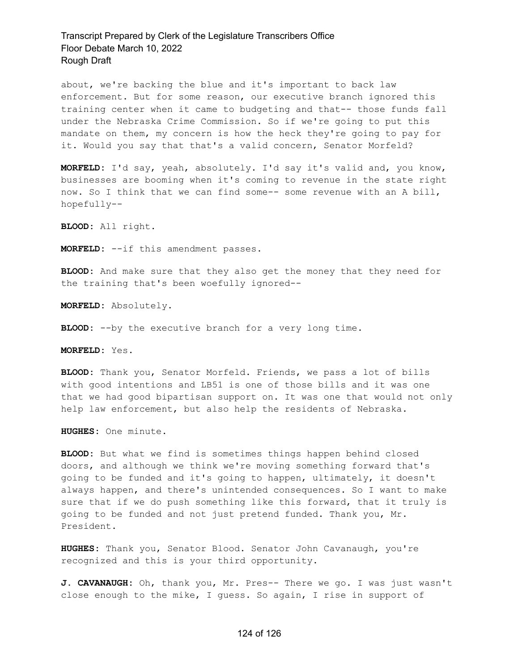about, we're backing the blue and it's important to back law enforcement. But for some reason, our executive branch ignored this training center when it came to budgeting and that-- those funds fall under the Nebraska Crime Commission. So if we're going to put this mandate on them, my concern is how the heck they're going to pay for it. Would you say that that's a valid concern, Senator Morfeld?

**MORFELD:** I'd say, yeah, absolutely. I'd say it's valid and, you know, businesses are booming when it's coming to revenue in the state right now. So I think that we can find some-- some revenue with an A bill, hopefully--

**BLOOD:** All right.

**MORFELD:** --if this amendment passes.

**BLOOD:** And make sure that they also get the money that they need for the training that's been woefully ignored--

**MORFELD:** Absolutely.

**BLOOD:** --by the executive branch for a very long time.

**MORFELD:** Yes.

**BLOOD:** Thank you, Senator Morfeld. Friends, we pass a lot of bills with good intentions and LB51 is one of those bills and it was one that we had good bipartisan support on. It was one that would not only help law enforcement, but also help the residents of Nebraska.

**HUGHES:** One minute.

**BLOOD:** But what we find is sometimes things happen behind closed doors, and although we think we're moving something forward that's going to be funded and it's going to happen, ultimately, it doesn't always happen, and there's unintended consequences. So I want to make sure that if we do push something like this forward, that it truly is going to be funded and not just pretend funded. Thank you, Mr. President.

**HUGHES:** Thank you, Senator Blood. Senator John Cavanaugh, you're recognized and this is your third opportunity.

**J. CAVANAUGH:** Oh, thank you, Mr. Pres-- There we go. I was just wasn't close enough to the mike, I guess. So again, I rise in support of

#### 124 of 126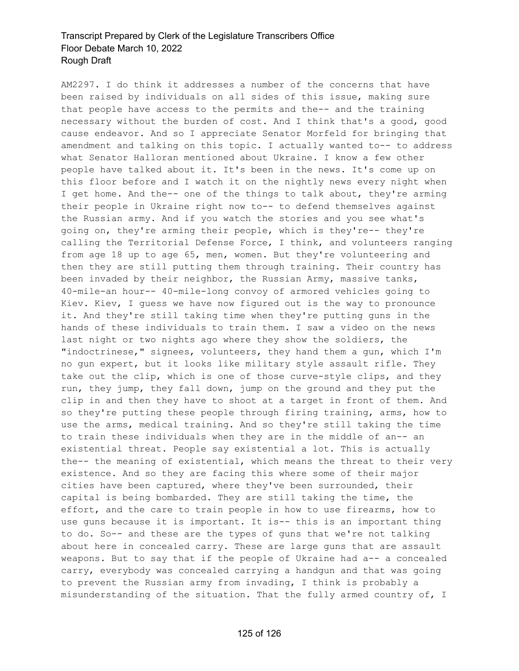AM2297. I do think it addresses a number of the concerns that have been raised by individuals on all sides of this issue, making sure that people have access to the permits and the-- and the training necessary without the burden of cost. And I think that's a good, good cause endeavor. And so I appreciate Senator Morfeld for bringing that amendment and talking on this topic. I actually wanted to-- to address what Senator Halloran mentioned about Ukraine. I know a few other people have talked about it. It's been in the news. It's come up on this floor before and I watch it on the nightly news every night when I get home. And the-- one of the things to talk about, they're arming their people in Ukraine right now to-- to defend themselves against the Russian army. And if you watch the stories and you see what's going on, they're arming their people, which is they're-- they're calling the Territorial Defense Force, I think, and volunteers ranging from age 18 up to age 65, men, women. But they're volunteering and then they are still putting them through training. Their country has been invaded by their neighbor, the Russian Army, massive tanks, 40-mile-an hour-- 40-mile-long convoy of armored vehicles going to Kiev. Kiev, I guess we have now figured out is the way to pronounce it. And they're still taking time when they're putting guns in the hands of these individuals to train them. I saw a video on the news last night or two nights ago where they show the soldiers, the "indoctrinese," signees, volunteers, they hand them a gun, which I'm no gun expert, but it looks like military style assault rifle. They take out the clip, which is one of those curve-style clips, and they run, they jump, they fall down, jump on the ground and they put the clip in and then they have to shoot at a target in front of them. And so they're putting these people through firing training, arms, how to use the arms, medical training. And so they're still taking the time to train these individuals when they are in the middle of an-- an existential threat. People say existential a lot. This is actually the-- the meaning of existential, which means the threat to their very existence. And so they are facing this where some of their major cities have been captured, where they've been surrounded, their capital is being bombarded. They are still taking the time, the effort, and the care to train people in how to use firearms, how to use guns because it is important. It is-- this is an important thing to do. So-- and these are the types of guns that we're not talking about here in concealed carry. These are large guns that are assault weapons. But to say that if the people of Ukraine had a-- a concealed carry, everybody was concealed carrying a handgun and that was going to prevent the Russian army from invading, I think is probably a misunderstanding of the situation. That the fully armed country of, I